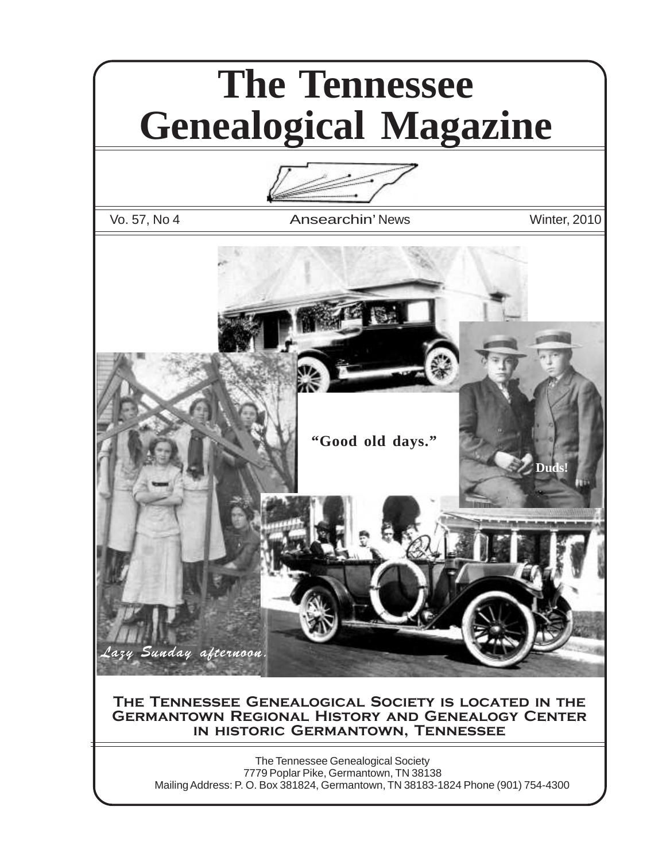# **The Tennessee Genealogical Magazine**



Vo. 57, No 4 **Ansearchin' News** Winter, 2010



#### **The Tennessee Genealogical Society is located in the Germantown Regional History and Genealogy Center in historic Germantown, Tennessee**

The Tennessee Genealogical Society 7779 Poplar Pike, Germantown, TN 38138 Mailing Address: P. O. Box 381824, Germantown, TN 38183-1824 Phone (901) 754-4300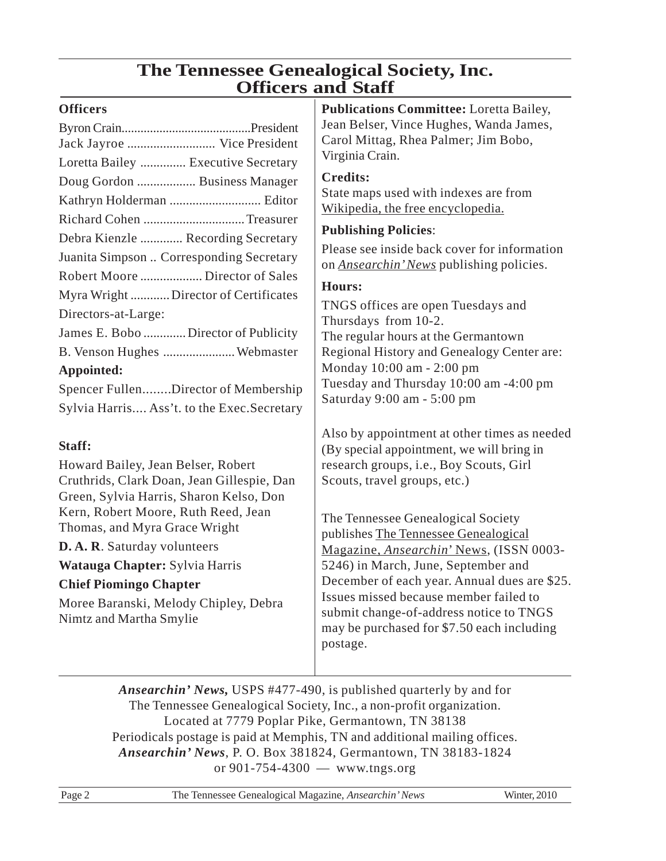### **The Tennessee Genealogical Society, Inc. Officers and Staff**

### **Officers**

| Jack Jayroe  Vice President                          |
|------------------------------------------------------|
| Loretta Bailey  Executive Secretary                  |
| Doug Gordon  Business Manager                        |
|                                                      |
|                                                      |
| Debra Kienzle  Recording Secretary                   |
| Juanita Simpson  Corresponding Secretary             |
| Robert Moore  Director of Sales                      |
| Myra Wright  Director of Certificates                |
| Directors-at-Large:                                  |
| James E. Bobo  Director of Publicity                 |
| B. Venson Hughes  Webmaster                          |
| Appointed:                                           |
| $S_{\text{noncar}}$ Fullen<br>Director of Membershir |

Spencer Fullen........Director of Membership Sylvia Harris.... Ass't. to the Exec.Secretary

### **Staff:**

Howard Bailey, Jean Belser, Robert Cruthrids, Clark Doan, Jean Gillespie, Dan Green, Sylvia Harris, Sharon Kelso, Don Kern, Robert Moore, Ruth Reed, Jean Thomas, and Myra Grace Wright

**D. A. R**. Saturday volunteers

**Watauga Chapter:** Sylvia Harris

### **Chief Piomingo Chapter**

Moree Baranski, Melody Chipley, Debra Nimtz and Martha Smylie

**Publications Committee:** Loretta Bailey, Jean Belser, Vince Hughes, Wanda James, Carol Mittag, Rhea Palmer; Jim Bobo, Virginia Crain.

### **Credits:**

State maps used with indexes are from Wikipedia, the free encyclopedia.

### **Publishing Policies**:

Please see inside back cover for information on *Ansearchin' News* publishing policies.

### **Hours:**

TNGS offices are open Tuesdays and Thursdays from 10-2. The regular hours at the Germantown Regional History and Genealogy Center are: Monday 10:00 am - 2:00 pm Tuesday and Thursday 10:00 am -4:00 pm Saturday 9:00 am - 5:00 pm

Also by appointment at other times as needed (By special appointment, we will bring in research groups, i.e., Boy Scouts, Girl Scouts, travel groups, etc.)

The Tennessee Genealogical Society publishes The Tennessee Genealogical Magazine, *Ansearchin*' News, (ISSN 0003- 5246) in March, June, September and December of each year. Annual dues are \$25. Issues missed because member failed to submit change-of-address notice to TNGS may be purchased for \$7.50 each including postage.

*Ansearchin' News,* USPS #477-490, is published quarterly by and for The Tennessee Genealogical Society, Inc., a non-profit organization. Located at 7779 Poplar Pike, Germantown, TN 38138 Periodicals postage is paid at Memphis, TN and additional mailing offices. *Ansearchin' News*, P. O. Box 381824, Germantown, TN 38183-1824 or 901-754-4300 — www.tngs.org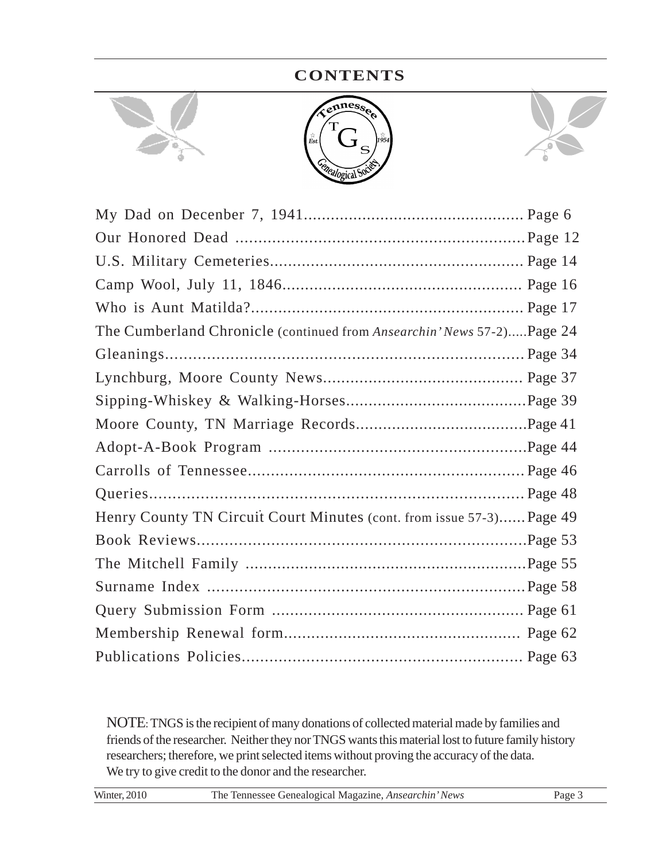### **CONTENTS**





| The Cumberland Chronicle (continued from Ansearchin' News 57-2)Page 24 |  |
|------------------------------------------------------------------------|--|
|                                                                        |  |
|                                                                        |  |
|                                                                        |  |
|                                                                        |  |
|                                                                        |  |
|                                                                        |  |
|                                                                        |  |
| Henry County TN Circuit Court Minutes (cont. from issue 57-3) Page 49  |  |
|                                                                        |  |
|                                                                        |  |
|                                                                        |  |
|                                                                        |  |
|                                                                        |  |
|                                                                        |  |

NOTE: TNGS is the recipient of many donations of collected material made by families and friends of the researcher. Neither they nor TNGS wants this material lost to future family history researchers; therefore, we print selected items without proving the accuracy of the data. We try to give credit to the donor and the researcher.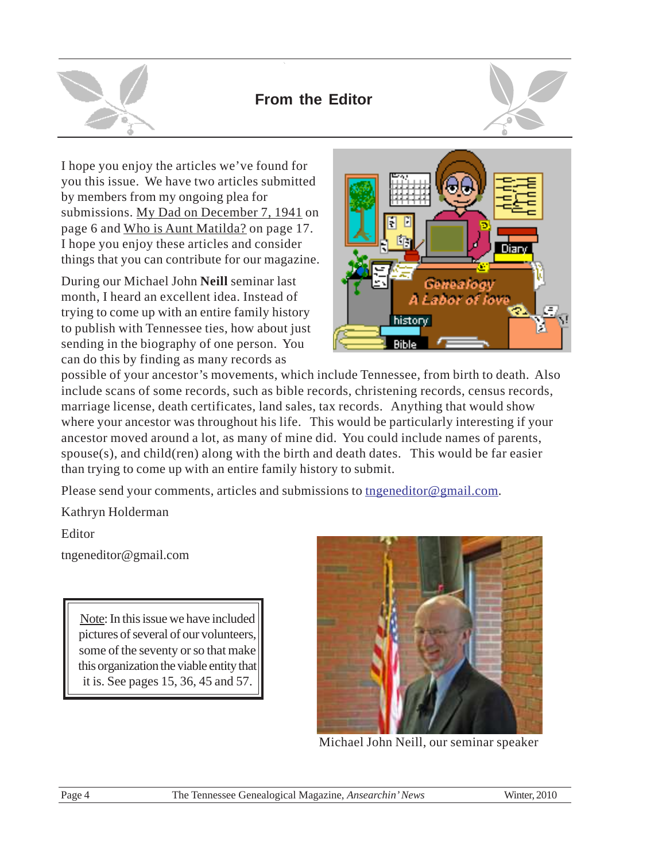

### **From the Editor**



I hope you enjoy the articles we've found for you this issue. We have two articles submitted by members from my ongoing plea for submissions. My Dad on December 7, 1941 on page 6 and Who is Aunt Matilda? on page 17. I hope you enjoy these articles and consider things that you can contribute for our magazine.

During our Michael John **Neill** seminar last month, I heard an excellent idea. Instead of trying to come up with an entire family history to publish with Tennessee ties, how about just sending in the biography of one person. You can do this by finding as many records as



possible of your ancestor's movements, which include Tennessee, from birth to death. Also include scans of some records, such as bible records, christening records, census records, marriage license, death certificates, land sales, tax records. Anything that would show where your ancestor was throughout his life. This would be particularly interesting if your ancestor moved around a lot, as many of mine did. You could include names of parents, spouse(s), and child(ren) along with the birth and death dates. This would be far easier than trying to come up with an entire family history to submit.

Please send your comments, articles and submissions to tngeneditor@gmail.com.

Kathryn Holderman

Editor

tngeneditor@gmail.com

Note: In this issue we have included pictures of several of our volunteers, some of the seventy or so that make this organization the viable entity that it is. See pages 15, 36, 45 and 57.



Michael John Neill, our seminar speaker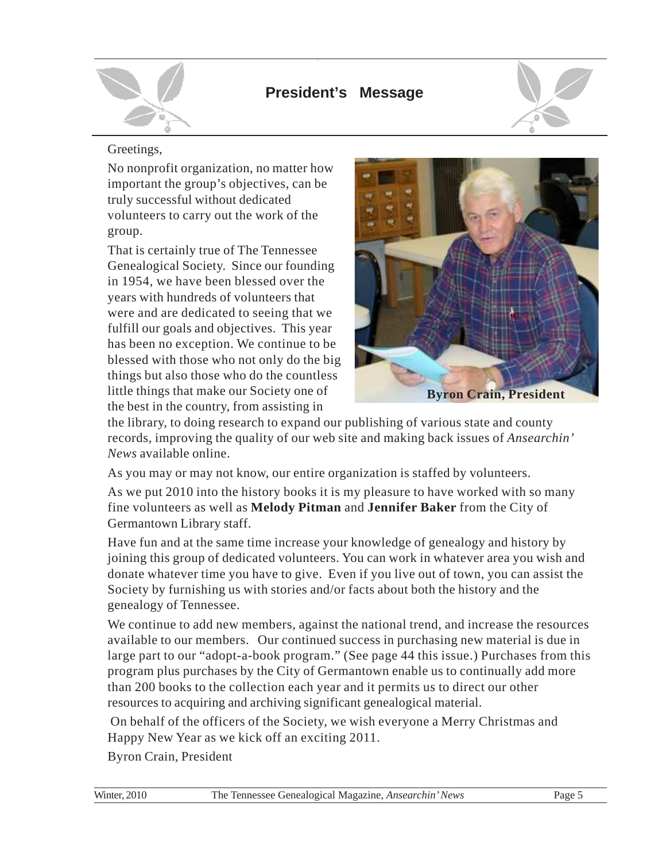

### **President's Message**



### Greetings,

No nonprofit organization, no matter how important the group's objectives, can be truly successful without dedicated volunteers to carry out the work of the group.

That is certainly true of The Tennessee Genealogical Society. Since our founding in 1954, we have been blessed over the years with hundreds of volunteers that were and are dedicated to seeing that we fulfill our goals and objectives. This year has been no exception. We continue to be blessed with those who not only do the big things but also those who do the countless little things that make our Society one of the best in the country, from assisting in



the library, to doing research to expand our publishing of various state and county records, improving the quality of our web site and making back issues of *Ansearchin' News* available online.

As you may or may not know, our entire organization is staffed by volunteers.

As we put 2010 into the history books it is my pleasure to have worked with so many fine volunteers as well as **Melody Pitman** and **Jennifer Baker** from the City of Germantown Library staff.

Have fun and at the same time increase your knowledge of genealogy and history by joining this group of dedicated volunteers. You can work in whatever area you wish and donate whatever time you have to give. Even if you live out of town, you can assist the Society by furnishing us with stories and/or facts about both the history and the genealogy of Tennessee.

We continue to add new members, against the national trend, and increase the resources available to our members. Our continued success in purchasing new material is due in large part to our "adopt-a-book program." (See page 44 this issue.) Purchases from this program plus purchases by the City of Germantown enable us to continually add more than 200 books to the collection each year and it permits us to direct our other resources to acquiring and archiving significant genealogical material.

 On behalf of the officers of the Society, we wish everyone a Merry Christmas and Happy New Year as we kick off an exciting 2011.

Byron Crain, President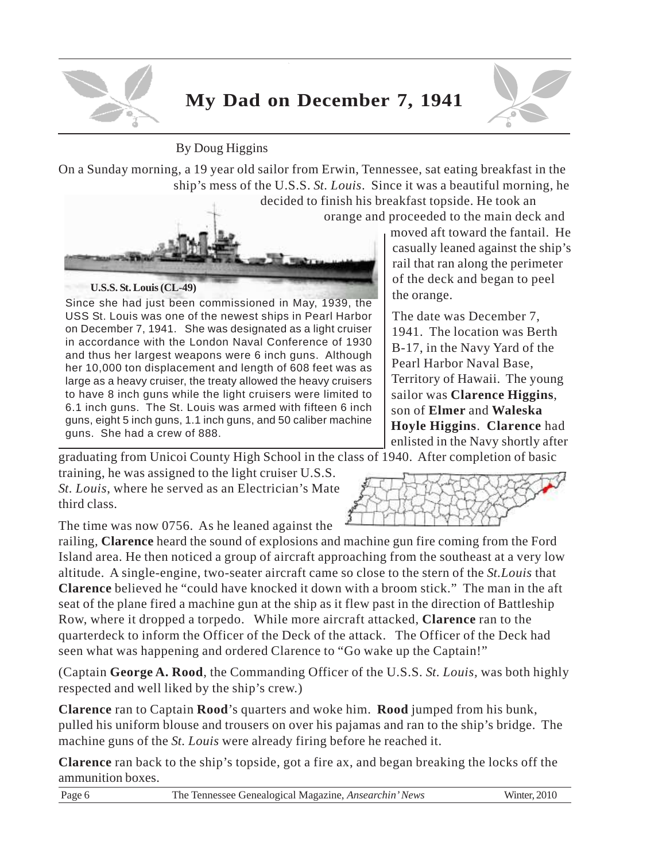

# **My Dad on December 7, 1941**



### By Doug Higgins

On a Sunday morning, a 19 year old sailor from Erwin, Tennessee, sat eating breakfast in the ship's mess of the U.S.S. *St. Louis*. Since it was a beautiful morning, he

> decided to finish his breakfast topside. He took an orange and proceeded to the main deck and

**U.S.S. St. Louis (CL-49)**

Since she had just been commissioned in May, 1939, the USS St. Louis was one of the newest ships in Pearl Harbor on December 7, 1941. She was designated as a light cruiser in accordance with the London Naval Conference of 1930 and thus her largest weapons were 6 inch guns. Although her 10,000 ton displacement and length of 608 feet was as large as a heavy cruiser, the treaty allowed the heavy cruisers to have 8 inch guns while the light cruisers were limited to 6.1 inch guns. The St. Louis was armed with fifteen 6 inch guns, eight 5 inch guns, 1.1 inch guns, and 50 caliber machine guns. She had a crew of 888.

moved aft toward the fantail. He casually leaned against the ship's rail that ran along the perimeter of the deck and began to peel the orange.

The date was December 7, 1941. The location was Berth B-17, in the Navy Yard of the Pearl Harbor Naval Base, Territory of Hawaii. The young sailor was **Clarence Higgins**, son of **Elmer** and **Waleska Hoyle Higgins**. **Clarence** had enlisted in the Navy shortly after

graduating from Unicoi County High School in the class of 1940. After completion of basic

training, he was assigned to the light cruiser U.S.S. *St. Louis*, where he served as an Electrician's Mate third class.

The time was now 0756. As he leaned against the

railing, **Clarence** heard the sound of explosions and machine gun fire coming from the Ford Island area. He then noticed a group of aircraft approaching from the southeast at a very low altitude. A single-engine, two-seater aircraft came so close to the stern of the *St.Louis* that **Clarence** believed he "could have knocked it down with a broom stick." The man in the aft seat of the plane fired a machine gun at the ship as it flew past in the direction of Battleship Row, where it dropped a torpedo. While more aircraft attacked, **Clarence** ran to the quarterdeck to inform the Officer of the Deck of the attack. The Officer of the Deck had seen what was happening and ordered Clarence to "Go wake up the Captain!"

(Captain **George A. Rood**, the Commanding Officer of the U.S.S. *St. Louis,* was both highly respected and well liked by the ship's crew.)

**Clarence** ran to Captain **Rood**'s quarters and woke him. **Rood** jumped from his bunk, pulled his uniform blouse and trousers on over his pajamas and ran to the ship's bridge. The machine guns of the *St. Louis* were already firing before he reached it.

**Clarence** ran back to the ship's topside, got a fire ax, and began breaking the locks off the ammunition boxes.

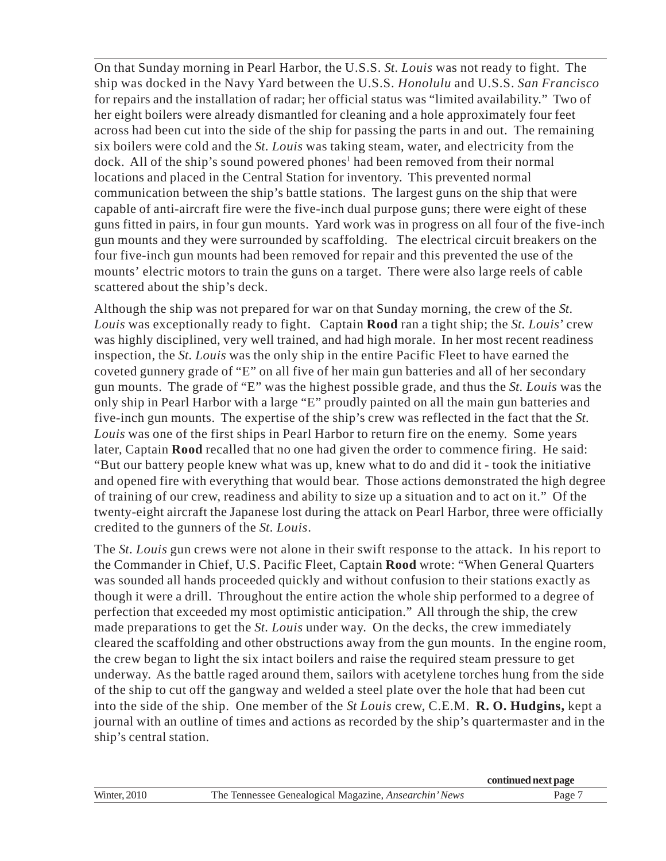On that Sunday morning in Pearl Harbor, the U.S.S. *St. Louis* was not ready to fight. The ship was docked in the Navy Yard between the U.S.S. *Honolulu* and U.S.S. *San Francisco* for repairs and the installation of radar; her official status was "limited availability." Two of her eight boilers were already dismantled for cleaning and a hole approximately four feet across had been cut into the side of the ship for passing the parts in and out. The remaining six boilers were cold and the *St. Louis* was taking steam, water, and electricity from the dock. All of the ship's sound powered phones<sup>1</sup> had been removed from their normal locations and placed in the Central Station for inventory. This prevented normal communication between the ship's battle stations. The largest guns on the ship that were capable of anti-aircraft fire were the five-inch dual purpose guns; there were eight of these guns fitted in pairs, in four gun mounts. Yard work was in progress on all four of the five-inch gun mounts and they were surrounded by scaffolding. The electrical circuit breakers on the four five-inch gun mounts had been removed for repair and this prevented the use of the mounts' electric motors to train the guns on a target. There were also large reels of cable scattered about the ship's deck.

Although the ship was not prepared for war on that Sunday morning, the crew of the *St. Louis* was exceptionally ready to fight. Captain **Rood** ran a tight ship; the *St. Louis*' crew was highly disciplined, very well trained, and had high morale. In her most recent readiness inspection, the *St. Louis* was the only ship in the entire Pacific Fleet to have earned the coveted gunnery grade of "E" on all five of her main gun batteries and all of her secondary gun mounts. The grade of "E" was the highest possible grade, and thus the *St. Louis* was the only ship in Pearl Harbor with a large "E" proudly painted on all the main gun batteries and five-inch gun mounts. The expertise of the ship's crew was reflected in the fact that the *St. Louis* was one of the first ships in Pearl Harbor to return fire on the enemy. Some years later, Captain **Rood** recalled that no one had given the order to commence firing. He said: "But our battery people knew what was up, knew what to do and did it - took the initiative and opened fire with everything that would bear. Those actions demonstrated the high degree of training of our crew, readiness and ability to size up a situation and to act on it." Of the twenty-eight aircraft the Japanese lost during the attack on Pearl Harbor, three were officially credited to the gunners of the *St. Louis*.

The *St. Louis* gun crews were not alone in their swift response to the attack. In his report to the Commander in Chief, U.S. Pacific Fleet, Captain **Rood** wrote: "When General Quarters was sounded all hands proceeded quickly and without confusion to their stations exactly as though it were a drill. Throughout the entire action the whole ship performed to a degree of perfection that exceeded my most optimistic anticipation." All through the ship, the crew made preparations to get the *St. Louis* under way. On the decks, the crew immediately cleared the scaffolding and other obstructions away from the gun mounts. In the engine room, the crew began to light the six intact boilers and raise the required steam pressure to get underway. As the battle raged around them, sailors with acetylene torches hung from the side of the ship to cut off the gangway and welded a steel plate over the hole that had been cut into the side of the ship. One member of the *St Louis* crew, C.E.M. **R. O. Hudgins,** kept a journal with an outline of times and actions as recorded by the ship's quartermaster and in the ship's central station.

|                     |                                                              | continued next page |
|---------------------|--------------------------------------------------------------|---------------------|
| <b>Winter, 2010</b> | The Tennessee Genealogical Magazine, <i>Ansearchin' News</i> | Page '              |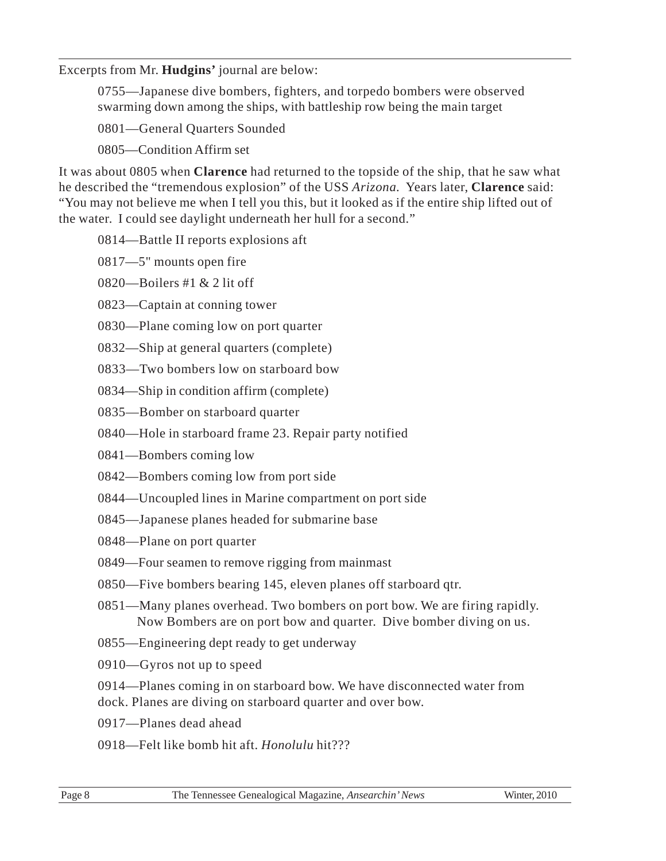### Excerpts from Mr. **Hudgins'** journal are below:

0755—Japanese dive bombers, fighters, and torpedo bombers were observed swarming down among the ships, with battleship row being the main target

0801—General Quarters Sounded

0805—Condition Affirm set

It was about 0805 when **Clarence** had returned to the topside of the ship, that he saw what he described the "tremendous explosion" of the USS *Arizona.* Years later, **Clarence** said: "You may not believe me when I tell you this, but it looked as if the entire ship lifted out of the water. I could see daylight underneath her hull for a second."

- 0814—Battle II reports explosions aft
- 0817—5" mounts open fire
- 0820—Boilers #1 & 2 lit off
- 0823—Captain at conning tower
- 0830—Plane coming low on port quarter
- 0832—Ship at general quarters (complete)
- 0833—Two bombers low on starboard bow
- 0834—Ship in condition affirm (complete)
- 0835—Bomber on starboard quarter
- 0840—Hole in starboard frame 23. Repair party notified
- 0841—Bombers coming low
- 0842—Bombers coming low from port side
- 0844—Uncoupled lines in Marine compartment on port side
- 0845—Japanese planes headed for submarine base
- 0848—Plane on port quarter
- 0849—Four seamen to remove rigging from mainmast
- 0850—Five bombers bearing 145, eleven planes off starboard qtr.
- 0851—Many planes overhead. Two bombers on port bow. We are firing rapidly. Now Bombers are on port bow and quarter. Dive bomber diving on us.
- 0855—Engineering dept ready to get underway
- 0910—Gyros not up to speed
- 0914—Planes coming in on starboard bow. We have disconnected water from dock. Planes are diving on starboard quarter and over bow.
- 0917—Planes dead ahead
- 0918—Felt like bomb hit aft. *Honolulu* hit???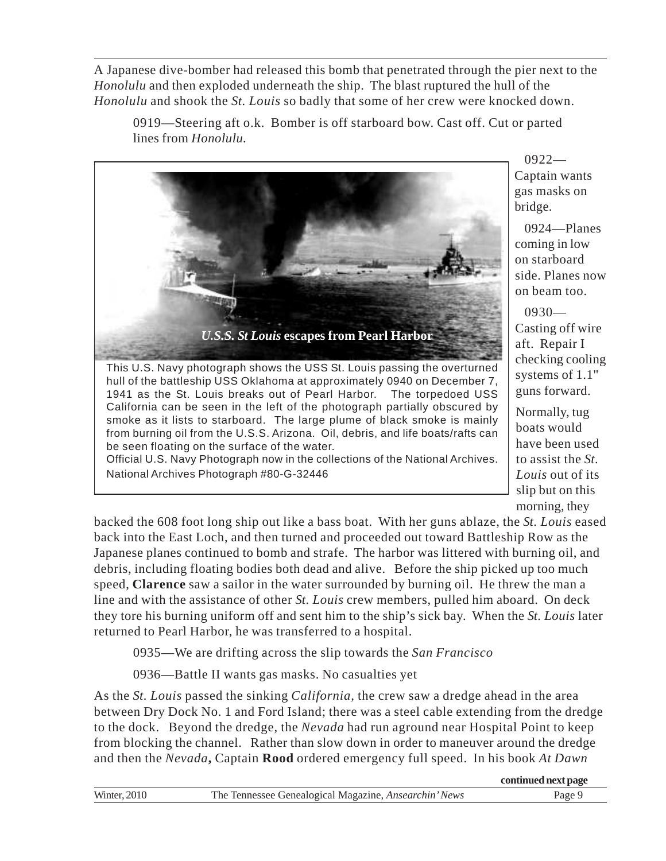A Japanese dive-bomber had released this bomb that penetrated through the pier next to the *Honolulu* and then exploded underneath the ship. The blast ruptured the hull of the *Honolulu* and shook the *St. Louis* so badly that some of her crew were knocked down.

0919—Steering aft o.k. Bomber is off starboard bow. Cast off. Cut or parted lines from *Honolulu.*



be seen floating on the surface of the water. Official U.S. Navy Photograph now in the collections of the National Archives. National Archives Photograph #80-G-32446

0922— Captain wants gas masks on bridge.

0924—Planes coming in low on starboard side. Planes now on beam too.

0930— Casting off wire aft. Repair I checking cooling systems of 1.1" guns forward.

Normally, tug boats would have been used to assist the *St. Louis* out of its slip but on this morning, they

backed the 608 foot long ship out like a bass boat. With her guns ablaze, the *St. Louis* eased back into the East Loch, and then turned and proceeded out toward Battleship Row as the Japanese planes continued to bomb and strafe. The harbor was littered with burning oil, and debris, including floating bodies both dead and alive. Before the ship picked up too much speed, **Clarence** saw a sailor in the water surrounded by burning oil. He threw the man a line and with the assistance of other *St. Louis* crew members, pulled him aboard. On deck they tore his burning uniform off and sent him to the ship's sick bay.When the *St. Louis* later returned to Pearl Harbor, he was transferred to a hospital.

0935—We are drifting across the slip towards the *San Francisco*

0936—Battle II wants gas masks. No casualties yet

As the *St. Louis* passed the sinking *California,* the crew saw a dredge ahead in the area between Dry Dock No. 1 and Ford Island; there was a steel cable extending from the dredge to the dock. Beyond the dredge, the *Nevada* had run aground near Hospital Point to keep from blocking the channel. Rather than slow down in order to maneuver around the dredge and then the *Nevada***,** Captain **Rood** ordered emergency full speed. In his book *At Dawn*

|                     |                                                              | continued next page |
|---------------------|--------------------------------------------------------------|---------------------|
| <b>Winter, 2010</b> | The Tennessee Genealogical Magazine, <i>Ansearchin' News</i> | Page 9              |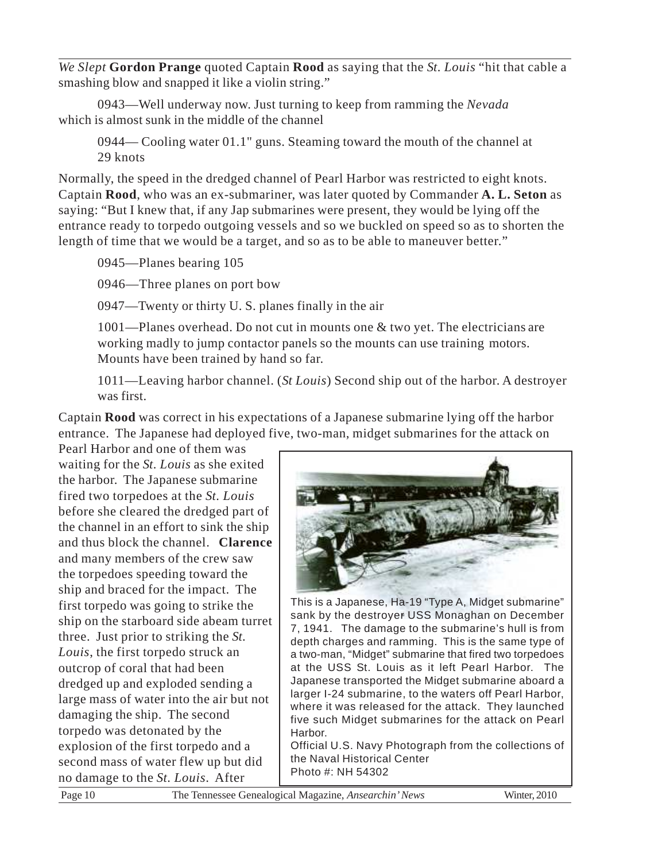*We Slept* **Gordon Prange** quoted Captain **Rood** as saying that the *St. Louis* "hit that cable a smashing blow and snapped it like a violin string."

0943—Well underway now. Just turning to keep from ramming the *Nevada* which is almost sunk in the middle of the channel

0944— Cooling water 01.1" guns. Steaming toward the mouth of the channel at 29 knots

Normally, the speed in the dredged channel of Pearl Harbor was restricted to eight knots. Captain **Rood**, who was an ex-submariner, was later quoted by Commander **A. L. Seton** as saying: "But I knew that, if any Jap submarines were present, they would be lying off the entrance ready to torpedo outgoing vessels and so we buckled on speed so as to shorten the length of time that we would be a target, and so as to be able to maneuver better."

0945—Planes bearing 105

0946—Three planes on port bow

0947—Twenty or thirty U. S. planes finally in the air

1001—Planes overhead. Do not cut in mounts one & two yet. The electricians are working madly to jump contactor panels so the mounts can use training motors. Mounts have been trained by hand so far.

1011—Leaving harbor channel. (*St Louis*) Second ship out of the harbor. A destroyer was first.

Captain **Rood** was correct in his expectations of a Japanese submarine lying off the harbor entrance. The Japanese had deployed five, two-man, midget submarines for the attack on

Pearl Harbor and one of them was waiting for the *St. Louis* as she exited the harbor. The Japanese submarine fired two torpedoes at the *St. Louis* before she cleared the dredged part of the channel in an effort to sink the ship and thus block the channel. **Clarence** and many members of the crew saw the torpedoes speeding toward the ship and braced for the impact. The first torpedo was going to strike the ship on the starboard side abeam turret three. Just prior to striking the *St. Louis*, the first torpedo struck an outcrop of coral that had been dredged up and exploded sending a large mass of water into the air but not damaging the ship. The second torpedo was detonated by the explosion of the first torpedo and a second mass of water flew up but did no damage to the *St. Louis*. After



This is a Japanese, Ha-19 "Type A, Midget submarine" sank by the destroyer USS Monaghan on December 7, 1941. The damage to the submarine's hull is from depth charges and ramming. This is the same type of a two-man, "Midget" submarine that fired two torpedoes at the USS St. Louis as it left Pearl Harbor. The Japanese transported the Midget submarine aboard a larger I-24 submarine, to the waters off Pearl Harbor, where it was released for the attack. They launched five such Midget submarines for the attack on Pearl **Harbor** 

Official U.S. Navy Photograph from the collections of the Naval Historical Center Photo #: NH 54302

Page 10 The Tennessee Genealogical Magazine, *Ansearchin' News* Winter, 2010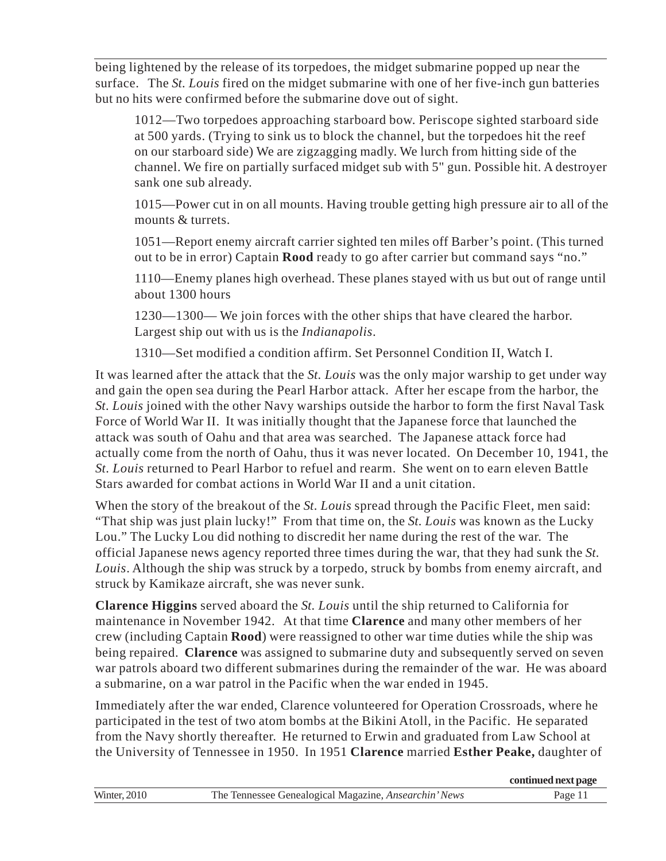being lightened by the release of its torpedoes, the midget submarine popped up near the surface. The *St. Louis* fired on the midget submarine with one of her five-inch gun batteries but no hits were confirmed before the submarine dove out of sight.

1012—Two torpedoes approaching starboard bow. Periscope sighted starboard side at 500 yards. (Trying to sink us to block the channel, but the torpedoes hit the reef on our starboard side) We are zigzagging madly. We lurch from hitting side of the channel. We fire on partially surfaced midget sub with 5" gun. Possible hit. A destroyer sank one sub already.

1015—Power cut in on all mounts. Having trouble getting high pressure air to all of the mounts & turrets.

1051—Report enemy aircraft carrier sighted ten miles off Barber's point. (This turned out to be in error) Captain **Rood** ready to go after carrier but command says "no."

1110—Enemy planes high overhead. These planes stayed with us but out of range until about 1300 hours

1230—1300— We join forces with the other ships that have cleared the harbor. Largest ship out with us is the *Indianapolis*.

1310—Set modified a condition affirm. Set Personnel Condition II, Watch I.

It was learned after the attack that the *St. Louis* was the only major warship to get under way and gain the open sea during the Pearl Harbor attack. After her escape from the harbor, the *St. Louis* joined with the other Navy warships outside the harbor to form the first Naval Task Force of World War II. It was initially thought that the Japanese force that launched the attack was south of Oahu and that area was searched. The Japanese attack force had actually come from the north of Oahu, thus it was never located. On December 10, 1941, the *St. Louis* returned to Pearl Harbor to refuel and rearm. She went on to earn eleven Battle Stars awarded for combat actions in World War II and a unit citation.

When the story of the breakout of the *St. Louis* spread through the Pacific Fleet, men said: "That ship was just plain lucky!" From that time on, the *St. Louis* was known as the Lucky Lou." The Lucky Lou did nothing to discredit her name during the rest of the war. The official Japanese news agency reported three times during the war, that they had sunk the *St. Louis*. Although the ship was struck by a torpedo, struck by bombs from enemy aircraft, and struck by Kamikaze aircraft, she was never sunk.

**Clarence Higgins** served aboard the *St. Louis* until the ship returned to California for maintenance in November 1942. At that time **Clarence** and many other members of her crew (including Captain **Rood**) were reassigned to other war time duties while the ship was being repaired. **Clarence** was assigned to submarine duty and subsequently served on seven war patrols aboard two different submarines during the remainder of the war. He was aboard a submarine, on a war patrol in the Pacific when the war ended in 1945.

Immediately after the war ended, Clarence volunteered for Operation Crossroads, where he participated in the test of two atom bombs at the Bikini Atoll, in the Pacific. He separated from the Navy shortly thereafter. He returned to Erwin and graduated from Law School at the University of Tennessee in 1950. In 1951 **Clarence** married **Esther Peake,** daughter of

|              |                                                              | continued next page |
|--------------|--------------------------------------------------------------|---------------------|
| Winter, 2010 | The Tennessee Genealogical Magazine, <i>Ansearchin' News</i> | Page 11             |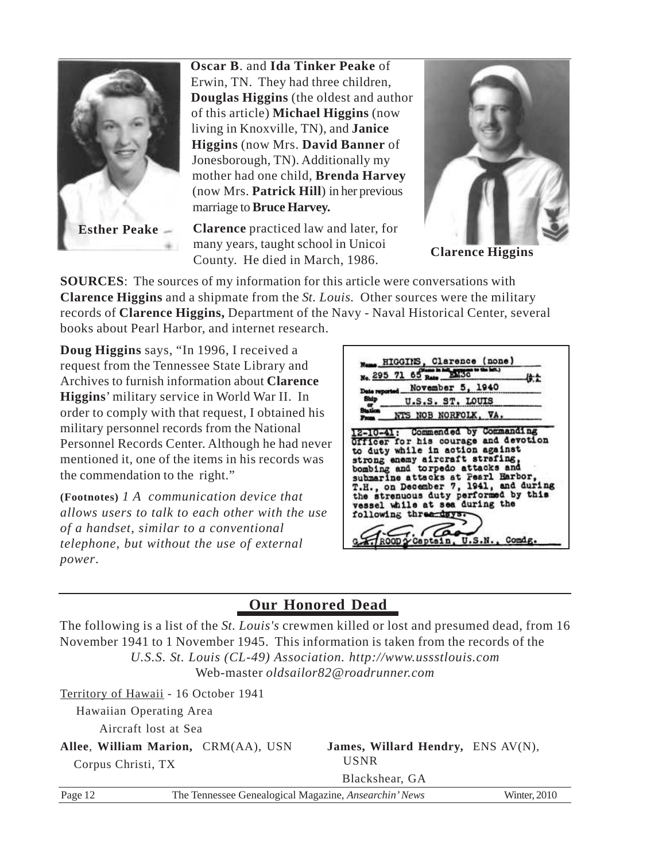

**Oscar B**. and **Ida Tinker Peake** of Erwin, TN. They had three children, **Douglas Higgins** (the oldest and author of this article) **Michael Higgins** (now living in Knoxville, TN), and **Janice Higgins** (now Mrs. **David Banner** of Jonesborough, TN). Additionally my mother had one child, **Brenda Harvey** (now Mrs. **Patrick Hill**) in her previous marriage to **Bruce Harvey.**

**Clarence** practiced law and later, for many years, taught school in Unicoi County. He died in March, 1986.



**Clarence Higgins**

**SOURCES**: The sources of my information for this article were conversations with **Clarence Higgins** and a shipmate from the *St. Louis.* Other sources were the military records of **Clarence Higgins,** Department of the Navy - Naval Historical Center, several books about Pearl Harbor, and internet research.

**Doug Higgins** says, "In 1996, I received a request from the Tennessee State Library and Archives to furnish information about **Clarence Higgins**' military service in World War II. In order to comply with that request, I obtained his military personnel records from the National Personnel Records Center. Although he had never mentioned it, one of the items in his records was the commendation to the right."

**(Footnotes)** *1 A communication device that allows users to talk to each other with the use of a handset, similar to a conventional telephone, but without the use of external power*.

|               | Mane HIGGINS, Clarence (none)<br>No. 295 71 65 Rate<br>EM30                                                                                                                                                                 |  |
|---------------|-----------------------------------------------------------------------------------------------------------------------------------------------------------------------------------------------------------------------------|--|
| Date reported | November 5, 1940                                                                                                                                                                                                            |  |
| Ship          | U.S.S. ST. LOUIS                                                                                                                                                                                                            |  |
|               | NTS NOB NORFOLK, VA.                                                                                                                                                                                                        |  |
|               | strong enemy aircraft strafing.<br>bombing and torpedo attacks and<br>submarine attacks at Pearl Harbor,<br>T.H., on December 7, 1941, and during<br>the strenuous duty performed by this<br>vessel while at sea during the |  |

### **Our Honored Dead**

The following is a list of the *St. Louis's* crewmen killed or lost and presumed dead, from 16 November 1941 to 1 November 1945. This information is taken from the records of the *U.S.S. St. Louis (CL-49) Association. http://www.ussstlouis.com* Web-master *oldsailor82@roadrunner.com*

|                    | Territory of Hawaii - 16 October 1941                        |                                   |                     |
|--------------------|--------------------------------------------------------------|-----------------------------------|---------------------|
|                    | Hawaiian Operating Area                                      |                                   |                     |
|                    | Aircraft lost at Sea                                         |                                   |                     |
|                    | Allee, William Marion, CRM(AA), USN                          | James, Willard Hendry, ENS AV(N), |                     |
| Corpus Christi, TX |                                                              | <b>USNR</b>                       |                     |
|                    |                                                              | Blackshear, GA                    |                     |
| Page 12            | The Tennessee Genealogical Magazine, <i>Ansearchin' News</i> |                                   | <b>Winter, 2010</b> |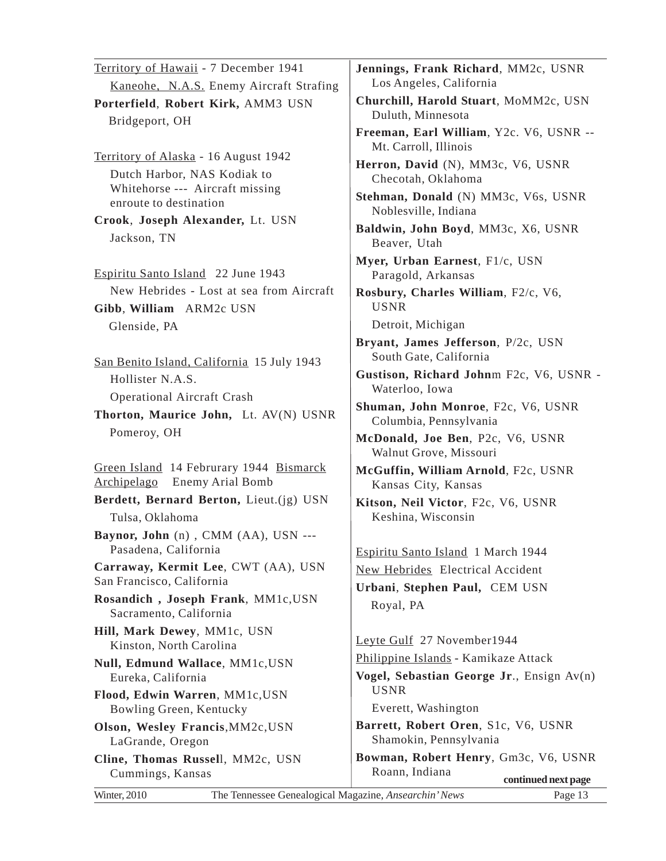| Territory of Hawaii - 7 December 1941                                                                  | Jennings, Frank Richard, MM2c, USNR                              |
|--------------------------------------------------------------------------------------------------------|------------------------------------------------------------------|
| Kaneohe, N.A.S. Enemy Aircraft Strafing                                                                | Los Angeles, California                                          |
| Porterfield, Robert Kirk, AMM3 USN<br>Bridgeport, OH                                                   | Churchill, Harold Stuart, MoMM2c, USN<br>Duluth, Minnesota       |
|                                                                                                        | Freeman, Earl William, Y2c. V6, USNR --<br>Mt. Carroll, Illinois |
| Territory of Alaska - 16 August 1942<br>Dutch Harbor, NAS Kodiak to<br>Whitehorse --- Aircraft missing | Herron, David (N), MM3c, V6, USNR<br>Checotah, Oklahoma          |
| enroute to destination                                                                                 | Stehman, Donald (N) MM3c, V6s, USNR<br>Noblesville, Indiana      |
| Crook, Joseph Alexander, Lt. USN                                                                       | Baldwin, John Boyd, MM3c, X6, USNR                               |
| Jackson, TN                                                                                            | Beaver, Utah                                                     |
| Espiritu Santo Island 22 June 1943                                                                     | Myer, Urban Earnest, F1/c, USN<br>Paragold, Arkansas             |
| New Hebrides - Lost at sea from Aircraft<br>Gibb, William ARM2c USN                                    | Rosbury, Charles William, F2/c, V6,<br><b>USNR</b>               |
| Glenside, PA                                                                                           | Detroit, Michigan                                                |
| San Benito Island, California 15 July 1943                                                             | Bryant, James Jefferson, P/2c, USN<br>South Gate, California     |
| Hollister N.A.S.                                                                                       | Gustison, Richard Johnm F2c, V6, USNR -<br>Waterloo, Iowa        |
| <b>Operational Aircraft Crash</b>                                                                      | Shuman, John Monroe, F2c, V6, USNR                               |
| Thorton, Maurice John, Lt. AV(N) USNR                                                                  | Columbia, Pennsylvania                                           |
| Pomeroy, OH                                                                                            | McDonald, Joe Ben, P2c, V6, USNR<br>Walnut Grove, Missouri       |
| Green Island 14 Februrary 1944 Bismarck<br><b>Enemy Arial Bomb</b><br><u>Archipelago</u>               | McGuffin, William Arnold, F2c, USNR<br>Kansas City, Kansas       |
| Berdett, Bernard Berton, Lieut.(jg) USN<br>Tulsa, Oklahoma                                             | Kitson, Neil Victor, F2c, V6, USNR<br>Keshina, Wisconsin         |
| Baynor, John (n), CMM (AA), USN ---<br>Pasadena, California                                            | Espiritu Santo Island 1 March 1944                               |
| Carraway, Kermit Lee, CWT (AA), USN                                                                    | New Hebrides Electrical Accident                                 |
| San Francisco, California                                                                              | Urbani, Stephen Paul, CEM USN                                    |
| Rosandich, Joseph Frank, MM1c, USN<br>Sacramento, California                                           | Royal, PA                                                        |
| Hill, Mark Dewey, MM1c, USN                                                                            | Leyte Gulf 27 November1944                                       |
| Kinston, North Carolina                                                                                | Philippine Islands - Kamikaze Attack                             |
| <b>Null, Edmund Wallace, MM1c, USN</b><br>Eureka, California                                           | Vogel, Sebastian George Jr., Ensign $Av(n)$                      |
| Flood, Edwin Warren, MM1c, USN                                                                         | <b>USNR</b><br>Everett, Washington                               |
| Bowling Green, Kentucky<br>Olson, Wesley Francis, MM2c, USN                                            | Barrett, Robert Oren, S1c, V6, USNR                              |
| LaGrande, Oregon                                                                                       | Shamokin, Pennsylvania                                           |
| Cline, Thomas Russell, MM2c, USN                                                                       | Bowman, Robert Henry, Gm3c, V6, USNR                             |
| Cummings, Kansas                                                                                       | Roann, Indiana<br>continued next page                            |
| Winter, 2010<br>The Tennessee Genealogical Magazine, Ansearchin' News                                  | Page 13                                                          |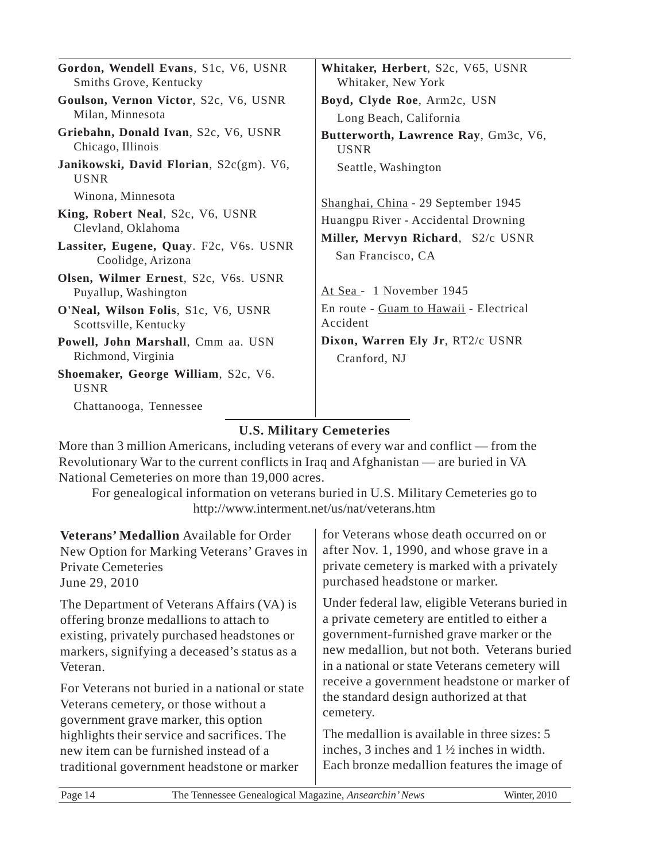| Gordon, Wendell Evans, S1c, V6, USNR<br>Smiths Grove, Kentucky                                                                             | Whitaker, Herbert, S2c, V65, USNR<br>Whitaker, New York                                                                              |
|--------------------------------------------------------------------------------------------------------------------------------------------|--------------------------------------------------------------------------------------------------------------------------------------|
| Goulson, Vernon Victor, S2c, V6, USNR<br>Milan, Minnesota                                                                                  | Boyd, Clyde Roe, Arm2c, USN<br>Long Beach, California                                                                                |
| Griebahn, Donald Ivan, S2c, V6, USNR<br>Chicago, Illinois                                                                                  | Butterworth, Lawrence Ray, Gm3c, V6,<br><b>USNR</b>                                                                                  |
| Janikowski, David Florian, S2c(gm). V6,<br><b>USNR</b>                                                                                     | Seattle, Washington                                                                                                                  |
| Winona, Minnesota<br>King, Robert Neal, S2c, V6, USNR<br>Clevland, Oklahoma<br>Lassiter, Eugene, Quay. F2c, V6s. USNR<br>Coolidge, Arizona | Shanghai, China - 29 September 1945<br>Huangpu River - Accidental Drowning<br>Miller, Mervyn Richard, S2/c USNR<br>San Francisco, CA |
| Olsen, Wilmer Ernest, S2c, V6s. USNR<br>Puyallup, Washington                                                                               | At Sea - 1 November 1945                                                                                                             |
| O'Neal, Wilson Folis, S1c, V6, USNR<br>Scottsville, Kentucky                                                                               | En route - Guam to Hawaii - Electrical<br>Accident                                                                                   |
| Powell, John Marshall, Cmm aa. USN<br>Richmond, Virginia                                                                                   | Dixon, Warren Ely Jr, RT2/c USNR<br>Cranford, NJ                                                                                     |
| Shoemaker, George William, S2c, V6.<br><b>USNR</b>                                                                                         |                                                                                                                                      |
| Chattanooga, Tennessee                                                                                                                     |                                                                                                                                      |

### **U.S. Military Cemeteries**

More than 3 million Americans, including veterans of every war and conflict — from the Revolutionary War to the current conflicts in Iraq and Afghanistan — are buried in VA National Cemeteries on more than 19,000 acres.

For genealogical information on veterans buried in U.S. Military Cemeteries go to http://www.interment.net/us/nat/veterans.htm

| Veterans' Medallion Available for Order        | for Veterans whose death occurred on or              |
|------------------------------------------------|------------------------------------------------------|
| New Option for Marking Veterans' Graves in     | after Nov. 1, 1990, and whose grave in a             |
| <b>Private Cemeteries</b>                      | private cemetery is marked with a privately          |
| June 29, 2010                                  | purchased headstone or marker.                       |
| The Department of Veterans Affairs (VA) is     | Under federal law, eligible Veterans buried in       |
| offering bronze medallions to attach to        | a private cemetery are entitled to either a          |
| existing, privately purchased headstones or    | government-furnished grave marker or the             |
| markers, signifying a deceased's status as a   | new medallion, but not both. Veterans buried         |
| Veteran.                                       | in a national or state Veterans cemetery will        |
| For Veterans not buried in a national or state | receive a government headstone or marker of          |
| Veterans cemetery, or those without a          | the standard design authorized at that               |
| government grave marker, this option           | cemetery.                                            |
| highlights their service and sacrifices. The   | The medallion is available in three sizes: 5         |
| new item can be furnished instead of a         | inches, 3 inches and $1\frac{1}{2}$ inches in width. |
| traditional government headstone or marker     | Each bronze medallion features the image of          |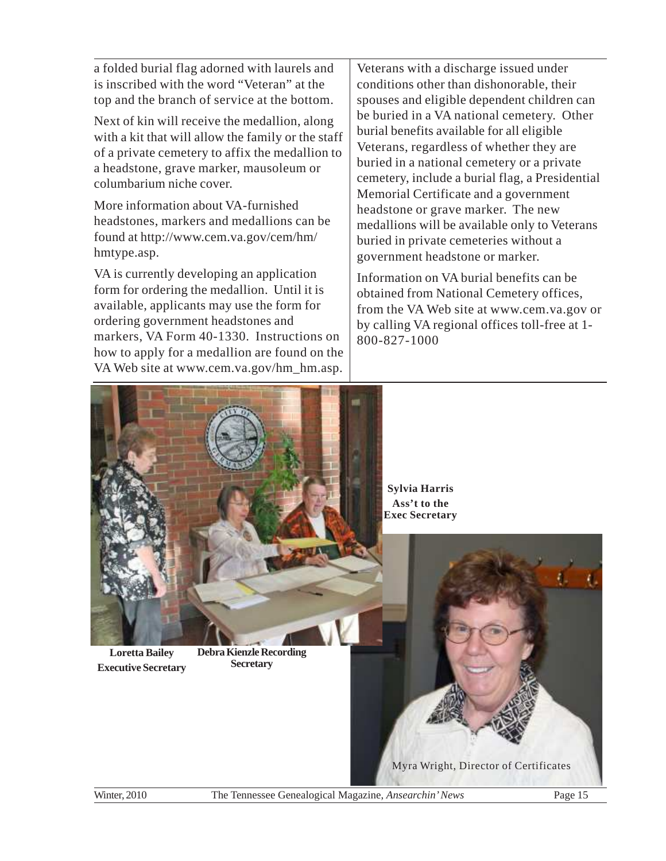a folded burial flag adorned with laurels and is inscribed with the word "Veteran" at the top and the branch of service at the bottom.

Next of kin will receive the medallion, along with a kit that will allow the family or the staff of a private cemetery to affix the medallion to a headstone, grave marker, mausoleum or columbarium niche cover.

More information about VA-furnished headstones, markers and medallions can be found at http://www.cem.va.gov/cem/hm/ hmtype.asp.

VA is currently developing an application form for ordering the medallion. Until it is available, applicants may use the form for ordering government headstones and markers, VA Form 40-1330. Instructions on how to apply for a medallion are found on the VA Web site at www.cem.va.gov/hm\_hm.asp.

Veterans with a discharge issued under conditions other than dishonorable, their spouses and eligible dependent children can be buried in a VA national cemetery. Other burial benefits available for all eligible Veterans, regardless of whether they are buried in a national cemetery or a private cemetery, include a burial flag, a Presidential Memorial Certificate and a government headstone or grave marker. The new medallions will be available only to Veterans buried in private cemeteries without a government headstone or marker.

Information on VA burial benefits can be obtained from National Cemetery offices, from the VA Web site at www.cem.va.gov or by calling VA regional offices toll-free at 1- 800-827-1000

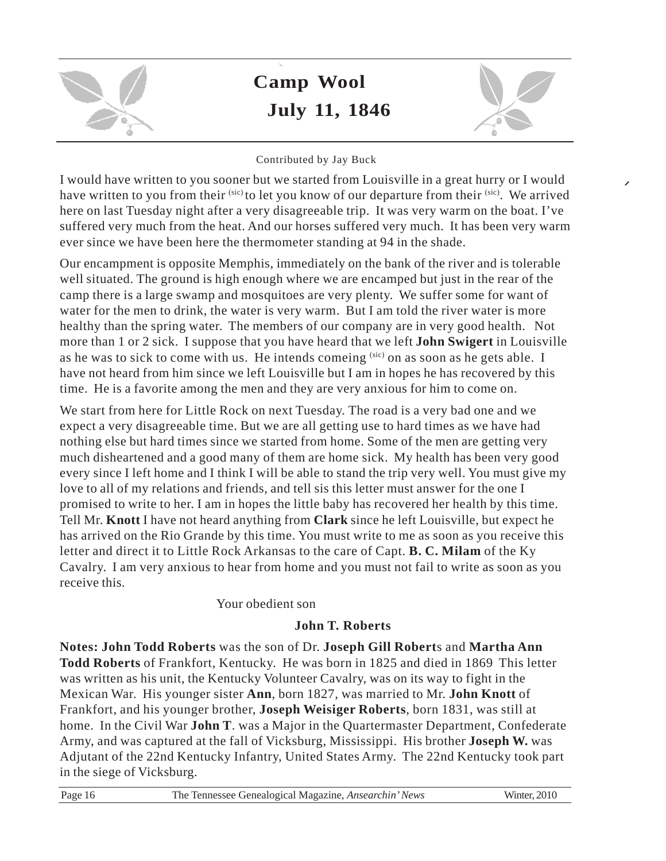

# **Camp Wool July 11, 1846**



### Contributed by Jay Buck

I would have written to you sooner but we started from Louisville in a great hurry or I would have written to you from their <sup>(sic)</sup> to let you know of our departure from their <sup>(sic)</sup>. We arrived here on last Tuesday night after a very disagreeable trip. It was very warm on the boat. I've suffered very much from the heat. And our horses suffered very much. It has been very warm ever since we have been here the thermometer standing at 94 in the shade.

Our encampment is opposite Memphis, immediately on the bank of the river and is tolerable well situated. The ground is high enough where we are encamped but just in the rear of the camp there is a large swamp and mosquitoes are very plenty. We suffer some for want of water for the men to drink, the water is very warm. But I am told the river water is more healthy than the spring water. The members of our company are in very good health. Not more than 1 or 2 sick. I suppose that you have heard that we left **John Swigert** in Louisville as he was to sick to come with us. He intends comeing (sic) on as soon as he gets able. I have not heard from him since we left Louisville but I am in hopes he has recovered by this time. He is a favorite among the men and they are very anxious for him to come on.

We start from here for Little Rock on next Tuesday. The road is a very bad one and we expect a very disagreeable time. But we are all getting use to hard times as we have had nothing else but hard times since we started from home. Some of the men are getting very much disheartened and a good many of them are home sick. My health has been very good every since I left home and I think I will be able to stand the trip very well. You must give my love to all of my relations and friends, and tell sis this letter must answer for the one I promised to write to her. I am in hopes the little baby has recovered her health by this time. Tell Mr. **Knott** I have not heard anything from **Clark** since he left Louisville, but expect he has arrived on the Rio Grande by this time. You must write to me as soon as you receive this letter and direct it to Little Rock Arkansas to the care of Capt. **B. C. Milam** of the Ky Cavalry. I am very anxious to hear from home and you must not fail to write as soon as you receive this.

### Your obedient son

### **John T. Roberts**

**Notes: John Todd Roberts** was the son of Dr. **Joseph Gill Robert**s and **Martha Ann Todd Roberts** of Frankfort, Kentucky. He was born in 1825 and died in 1869 This letter was written as his unit, the Kentucky Volunteer Cavalry, was on its way to fight in the Mexican War. His younger sister **Ann**, born 1827, was married to Mr. **John Knott** of Frankfort, and his younger brother, **Joseph Weisiger Roberts**, born 1831, was still at home. In the Civil War **John T**. was a Major in the Quartermaster Department, Confederate Army, and was captured at the fall of Vicksburg, Mississippi. His brother **Joseph W.** was Adjutant of the 22nd Kentucky Infantry, United States Army. The 22nd Kentucky took part in the siege of Vicksburg.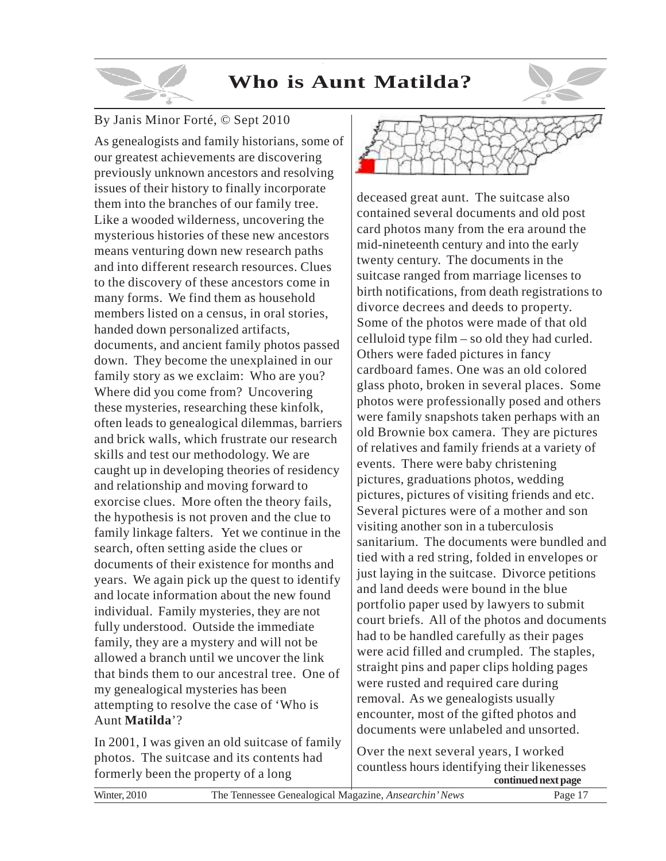# **Who is Aunt Matilda?**

### By Janis Minor Forté, © Sept 2010

As genealogists and family historians, some of our greatest achievements are discovering previously unknown ancestors and resolving issues of their history to finally incorporate them into the branches of our family tree. Like a wooded wilderness, uncovering the mysterious histories of these new ancestors means venturing down new research paths and into different research resources. Clues to the discovery of these ancestors come in many forms. We find them as household members listed on a census, in oral stories, handed down personalized artifacts, documents, and ancient family photos passed down. They become the unexplained in our family story as we exclaim: Who are you? Where did you come from? Uncovering these mysteries, researching these kinfolk, often leads to genealogical dilemmas, barriers and brick walls, which frustrate our research skills and test our methodology. We are caught up in developing theories of residency and relationship and moving forward to exorcise clues. More often the theory fails, the hypothesis is not proven and the clue to family linkage falters. Yet we continue in the search, often setting aside the clues or documents of their existence for months and years. We again pick up the quest to identify and locate information about the new found individual. Family mysteries, they are not fully understood. Outside the immediate family, they are a mystery and will not be allowed a branch until we uncover the link that binds them to our ancestral tree. One of my genealogical mysteries has been attempting to resolve the case of 'Who is Aunt **Matilda**'?

In 2001, I was given an old suitcase of family photos. The suitcase and its contents had formerly been the property of a long



deceased great aunt. The suitcase also contained several documents and old post card photos many from the era around the mid-nineteenth century and into the early twenty century. The documents in the suitcase ranged from marriage licenses to birth notifications, from death registrations to divorce decrees and deeds to property. Some of the photos were made of that old celluloid type film – so old they had curled. Others were faded pictures in fancy cardboard fames. One was an old colored glass photo, broken in several places. Some photos were professionally posed and others were family snapshots taken perhaps with an old Brownie box camera. They are pictures of relatives and family friends at a variety of events. There were baby christening pictures, graduations photos, wedding pictures, pictures of visiting friends and etc. Several pictures were of a mother and son visiting another son in a tuberculosis sanitarium. The documents were bundled and tied with a red string, folded in envelopes or just laying in the suitcase. Divorce petitions and land deeds were bound in the blue portfolio paper used by lawyers to submit court briefs. All of the photos and documents had to be handled carefully as their pages were acid filled and crumpled. The staples, straight pins and paper clips holding pages were rusted and required care during removal. As we genealogists usually encounter, most of the gifted photos and documents were unlabeled and unsorted.

Over the next several years, I worked countless hours identifying their likenesses **continued next page**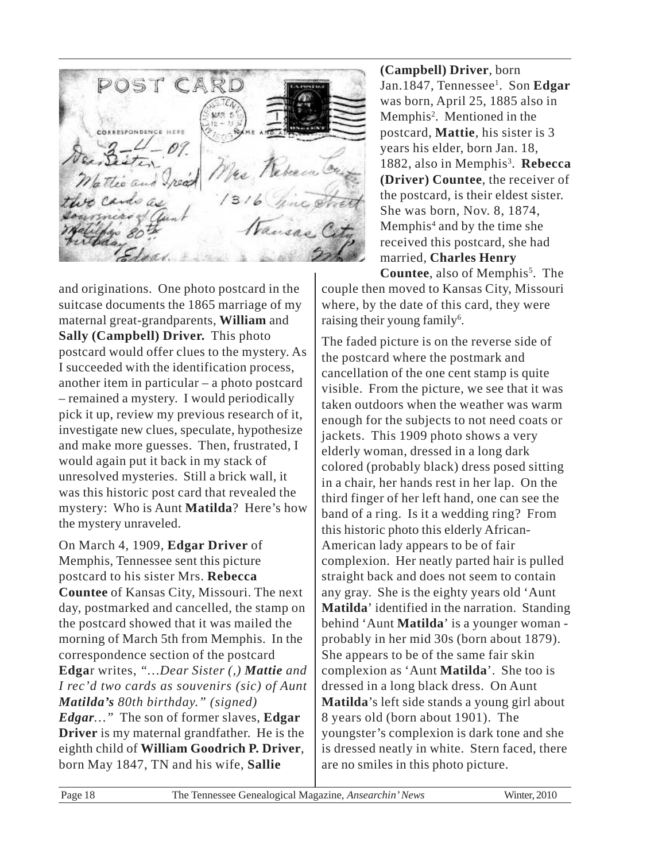POST CAR SPONDENCE HEEP The au

and originations. One photo postcard in the suitcase documents the 1865 marriage of my maternal great-grandparents, **William** and **Sally (Campbell) Driver.** This photo postcard would offer clues to the mystery. As I succeeded with the identification process, another item in particular – a photo postcard – remained a mystery. I would periodically pick it up, review my previous research of it, investigate new clues, speculate, hypothesize and make more guesses. Then, frustrated, I would again put it back in my stack of unresolved mysteries. Still a brick wall, it was this historic post card that revealed the mystery: Who is Aunt **Matilda**? Here's how the mystery unraveled.

On March 4, 1909, **Edgar Driver** of Memphis, Tennessee sent this picture postcard to his sister Mrs. **Rebecca Countee** of Kansas City, Missouri. The next day, postmarked and cancelled, the stamp on the postcard showed that it was mailed the morning of March 5th from Memphis. In the correspondence section of the postcard **Edga**r writes, *"…Dear Sister (,) Mattie and I rec'd two cards as souvenirs (sic) of Aunt Matilda's 80th birthday." (signed) Edgar…"* The son of former slaves, **Edgar Driver** is my maternal grandfather. He is the eighth child of **William Goodrich P. Driver**, born May 1847, TN and his wife, **Sallie**

**(Campbell) Driver**, born Jan.1847, Tennessee<sup>1</sup>. Son **Edgar** was born, April 25, 1885 also in Memphis<sup>2</sup>. Mentioned in the postcard, **Mattie**, his sister is 3 years his elder, born Jan. 18, 1882, also in Memphis<sup>3</sup>. Rebecca **(Driver) Countee**, the receiver of the postcard, is their eldest sister. She was born, Nov. 8, 1874, Memphis<sup>4</sup> and by the time she received this postcard, she had married, **Charles Henry**

Countee, also of Memphis<sup>5</sup>. The couple then moved to Kansas City, Missouri where, by the date of this card, they were raising their young family<sup>6</sup>.

The faded picture is on the reverse side of the postcard where the postmark and cancellation of the one cent stamp is quite visible. From the picture, we see that it was taken outdoors when the weather was warm enough for the subjects to not need coats or jackets. This 1909 photo shows a very elderly woman, dressed in a long dark colored (probably black) dress posed sitting in a chair, her hands rest in her lap. On the third finger of her left hand, one can see the band of a ring. Is it a wedding ring? From this historic photo this elderly African-American lady appears to be of fair complexion. Her neatly parted hair is pulled straight back and does not seem to contain any gray. She is the eighty years old 'Aunt **Matilda**' identified in the narration. Standing behind 'Aunt **Matilda**' is a younger woman probably in her mid 30s (born about 1879). She appears to be of the same fair skin complexion as 'Aunt **Matilda**'. She too is dressed in a long black dress. On Aunt **Matilda**'s left side stands a young girl about 8 years old (born about 1901). The youngster's complexion is dark tone and she is dressed neatly in white. Stern faced, there are no smiles in this photo picture.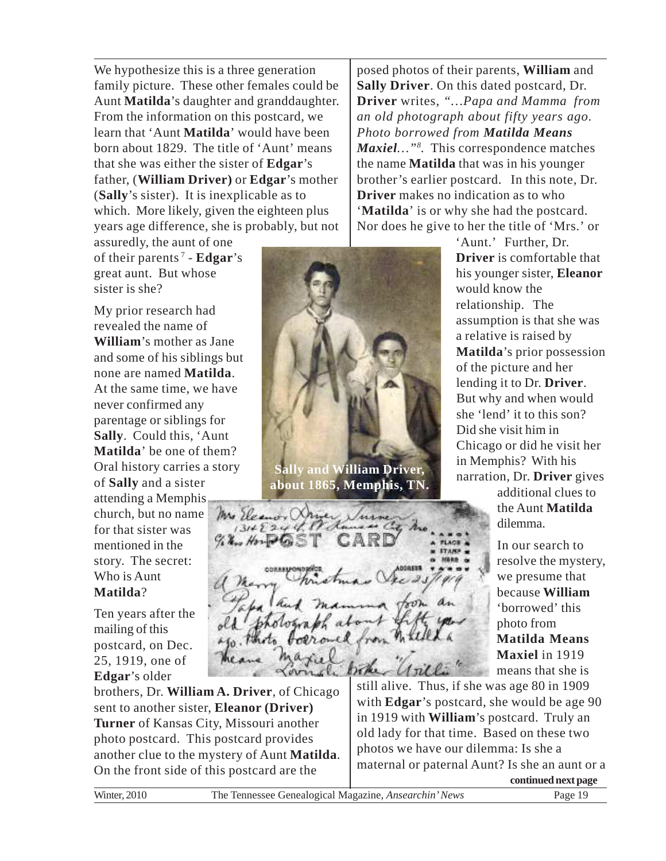We hypothesize this is a three generation family picture. These other females could be Aunt **Matilda**'s daughter and granddaughter. From the information on this postcard, we learn that 'Aunt **Matilda**' would have been born about 1829. The title of 'Aunt' means that she was either the sister of **Edgar**'s father, (**William Driver)** or **Edgar**'s mother (**Sally**'s sister). It is inexplicable as to which. More likely, given the eighteen plus years age difference, she is probably, but not

assuredly, the aunt of one of their parents<sup>7</sup> - **Edgar**'s great aunt. But whose sister is she?

My prior research had revealed the name of **William**'s mother as Jane and some of his siblings but none are named **Matilda**. At the same time, we have never confirmed any parentage or siblings for **Sally**. Could this, 'Aunt **Matilda**' be one of them? Oral history carries a story of **Sally** and a sister attending a Memphis church, but no name for that sister was mentioned in the story. The secret: Who is Aunt **Matilda**?

Ten years after the mailing of this postcard, on Dec. 25, 1919, one of **Edgar**'s older

brothers, Dr. **William A. Driver**, of Chicago sent to another sister, **Eleanor (Driver) Turner** of Kansas City, Missouri another photo postcard. This postcard provides another clue to the mystery of Aunt **Matilda**. On the front side of this postcard are the



**about 1865, Memphis, TN.**

Mrs Eleanor X  $131422448$  $H_{21}$ 

posed photos of their parents, **William** and **Sally Driver**. On this dated postcard, Dr. **Driver** writes, *"…Papa and Mamma from an old photograph about fifty years ago. Photo borrowed from Matilda Means Maxiel…"<sup>8</sup> .* This correspondence matches the name **Matilda** that was in his younger brother's earlier postcard. In this note, Dr. **Driver** makes no indication as to who '**Matilda**' is or why she had the postcard. Nor does he give to her the title of 'Mrs.' or

> 'Aunt.' Further, Dr. **Driver** is comfortable that his younger sister, **Eleanor** would know the relationship. The assumption is that she was a relative is raised by **Matilda**'s prior possession of the picture and her lending it to Dr. **Driver**. But why and when would she 'lend' it to this son? Did she visit him in Chicago or did he visit her in Memphis? With his narration, Dr. **Driver** gives

> > additional clues to the Aunt **Matilda** dilemma.

In our search to resolve the mystery, we presume that because **William** 'borrowed' this photo from **Matilda Means Maxiel** in 1919 means that she is

still alive. Thus, if she was age 80 in 1909 with **Edgar**'s postcard, she would be age 90 in 1919 with **William**'s postcard. Truly an old lady for that time. Based on these two photos we have our dilemma: Is she a maternal or paternal Aunt? Is she an aunt or a

**continued next page**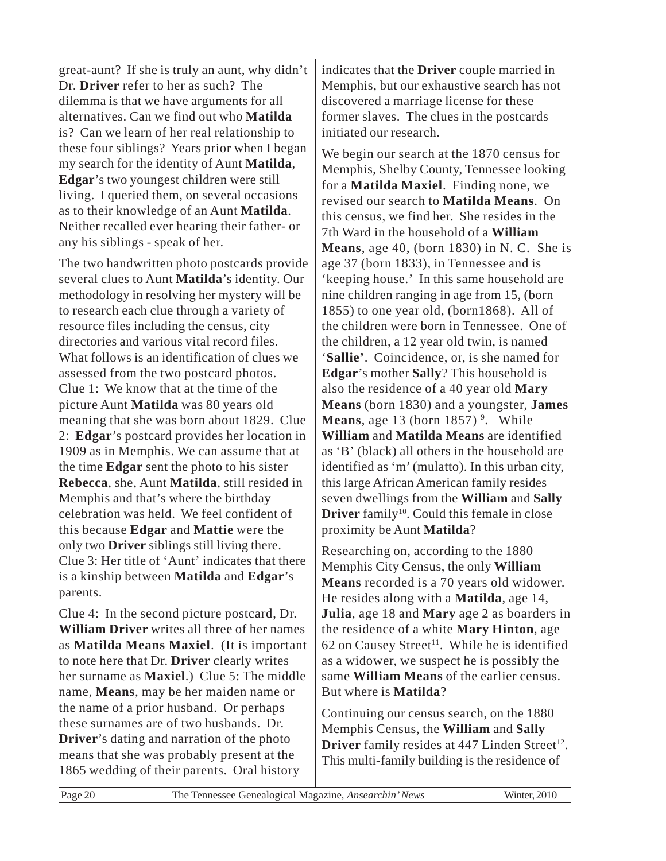great-aunt? If she is truly an aunt, why didn't Dr. **Driver** refer to her as such? The dilemma is that we have arguments for all alternatives. Can we find out who **Matilda** is? Can we learn of her real relationship to these four siblings? Years prior when I began my search for the identity of Aunt **Matilda**, **Edgar**'s two youngest children were still living. I queried them, on several occasions as to their knowledge of an Aunt **Matilda**. Neither recalled ever hearing their father- or any his siblings - speak of her.

The two handwritten photo postcards provide several clues to Aunt **Matilda**'s identity. Our methodology in resolving her mystery will be to research each clue through a variety of resource files including the census, city directories and various vital record files. What follows is an identification of clues we assessed from the two postcard photos. Clue 1: We know that at the time of the picture Aunt **Matilda** was 80 years old meaning that she was born about 1829. Clue 2: **Edgar**'s postcard provides her location in 1909 as in Memphis. We can assume that at the time **Edgar** sent the photo to his sister **Rebecca**, she, Aunt **Matilda**, still resided in Memphis and that's where the birthday celebration was held. We feel confident of this because **Edgar** and **Mattie** were the only two **Driver** siblings still living there. Clue 3: Her title of 'Aunt' indicates that there is a kinship between **Matilda** and **Edgar**'s parents.

Clue 4: In the second picture postcard, Dr. **William Driver** writes all three of her names as **Matilda Means Maxiel**. (It is important to note here that Dr. **Driver** clearly writes her surname as **Maxiel**.) Clue 5: The middle name, **Means**, may be her maiden name or the name of a prior husband. Or perhaps these surnames are of two husbands. Dr. **Driver**'s dating and narration of the photo means that she was probably present at the 1865 wedding of their parents. Oral history

indicates that the **Driver** couple married in Memphis, but our exhaustive search has not discovered a marriage license for these former slaves. The clues in the postcards initiated our research.

We begin our search at the 1870 census for Memphis, Shelby County, Tennessee looking for a **Matilda Maxiel**. Finding none, we revised our search to **Matilda Means**. On this census, we find her. She resides in the 7th Ward in the household of a **William Means**, age 40, (born 1830) in N. C. She is age 37 (born 1833), in Tennessee and is 'keeping house.' In this same household are nine children ranging in age from 15, (born 1855) to one year old, (born1868). All of the children were born in Tennessee. One of the children, a 12 year old twin, is named '**Sallie'**. Coincidence, or, is she named for **Edgar**'s mother **Sally**? This household is also the residence of a 40 year old **Mary Means** (born 1830) and a youngster, **James Means**, age 13 (born 1857)<sup>9</sup>. While **William** and **Matilda Means** are identified as 'B' (black) all others in the household are identified as 'm' (mulatto). In this urban city, this large African American family resides seven dwellings from the **William** and **Sally Driver** family<sup>10</sup>. Could this female in close proximity be Aunt **Matilda**?

Researching on, according to the 1880 Memphis City Census, the only **William Means** recorded is a 70 years old widower. He resides along with a **Matilda**, age 14, **Julia**, age 18 and **Mary** age 2 as boarders in the residence of a white **Mary Hinton**, age  $62$  on Causey Street<sup>11</sup>. While he is identified as a widower, we suspect he is possibly the same **William Means** of the earlier census. But where is **Matilda**?

Continuing our census search, on the 1880 Memphis Census, the **William** and **Sally** Driver family resides at 447 Linden Street<sup>12</sup>. This multi-family building is the residence of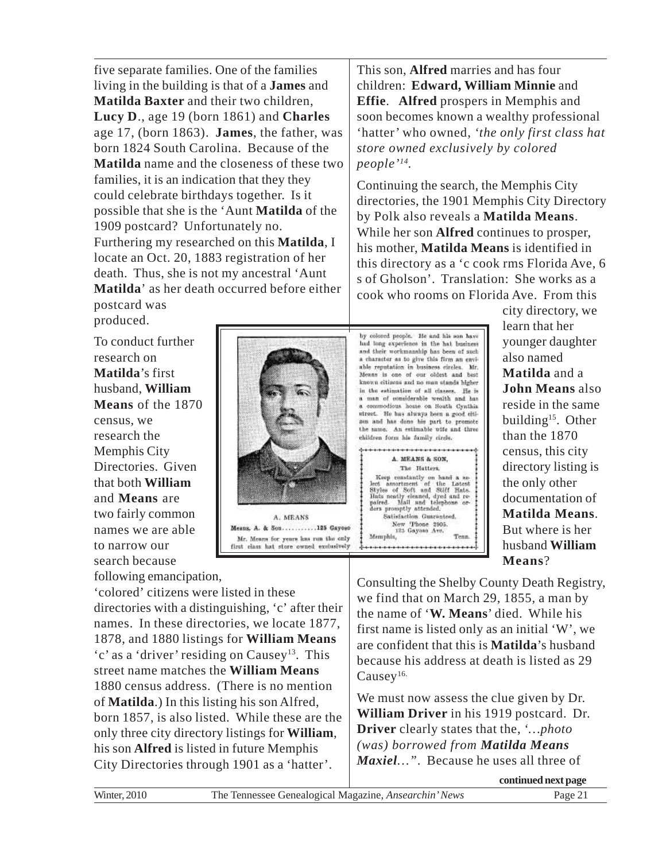five separate families. One of the families living in the building is that of a **James** and **Matilda Baxter** and their two children, **Lucy D**., age 19 (born 1861) and **Charles** age 17, (born 1863). **James**, the father, was born 1824 South Carolina. Because of the **Matilda** name and the closeness of these two families, it is an indication that they they could celebrate birthdays together. Is it possible that she is the 'Aunt **Matilda** of the 1909 postcard? Unfortunately no. Furthering my researched on this **Matilda**, I locate an Oct. 20, 1883 registration of her death. Thus, she is not my ancestral 'Aunt **Matilda**' as her death occurred before either postcard was

produced.

To conduct further research on **Matilda**'s first husband, **William Means** of the 1870 census, we research the Memphis City Directories. Given that both **William** and **Means** are two fairly common names we are able to narrow our search because following emancipation,



Mr. Means for years has run the only first class hat store owned exclusively

'colored' citizens were listed in these directories with a distinguishing, 'c' after their names. In these directories, we locate 1877, 1878, and 1880 listings for **William Means** 'c' as a 'driver' residing on Causey<sup>13</sup>. This street name matches the **William Means** 1880 census address. (There is no mention of **Matilda**.) In this listing his son Alfred, born 1857, is also listed. While these are the only three city directory listings for **William**, his son **Alfred** is listed in future Memphis City Directories through 1901 as a 'hatter'.

This son, **Alfred** marries and has four children: **Edward, William Minnie** and **Effie**. **Alfred** prospers in Memphis and soon becomes known a wealthy professional 'hatter' who owned, *'the only first class hat store owned exclusively by colored people'<sup>14</sup> .*

Continuing the search, the Memphis City directories, the 1901 Memphis City Directory by Polk also reveals a **Matilda Means**. While her son **Alfred** continues to prosper, his mother, **Matilda Means** is identified in this directory as a 'c cook rms Florida Ave, 6 s of Gholson'. Translation: She works as a cook who rooms on Florida Ave. From this

by colored people. He and his son have had long experience in the hat business and their workmanship has been of such a character as to give this firm an enviable reputation in business circles. Mr.<br>Means is one of our oldest and best known citizens and no man stands higher in the estimation of all classes. He is a man of considerable wealth and has a commodious home on South Cynthia street. He has always been a good citisen and has done his part to promote the same. An estimable wife and three children form his family circle.

............. A. MEANS & SON, The Hatters, Keep constantly on hand a select another<br>set and Stiff Entest Styles of Soft and Stiff Ents. Hats analy element, dyed and re-<br>paired. Mail and telephone or-<br>ders promptly nitended. Satisfaction Guaranteed. Satisfaction Guarante<br>New Thone 2905.<br>125 Gayoso Ave.<br>Memphis, Tenn

city directory, we learn that her younger daughter also named **Matilda** and a **John Means** also reside in the same building<sup>15</sup>. Other than the 1870 census, this city directory listing is the only other documentation of **Matilda Means**. But where is her husband **William Means**?

Consulting the Shelby County Death Registry, we find that on March 29, 1855, a man by the name of '**W. Means**' died. While his first name is listed only as an initial 'W', we are confident that this is **Matilda**'s husband because his address at death is listed as 29 Causey<sup>16.</sup>

We must now assess the clue given by Dr. **William Driver** in his 1919 postcard. Dr. **Driver** clearly states that the, *'…photo (was) borrowed from Matilda Means Maxiel…"*. Because he uses all three of

**continued next page**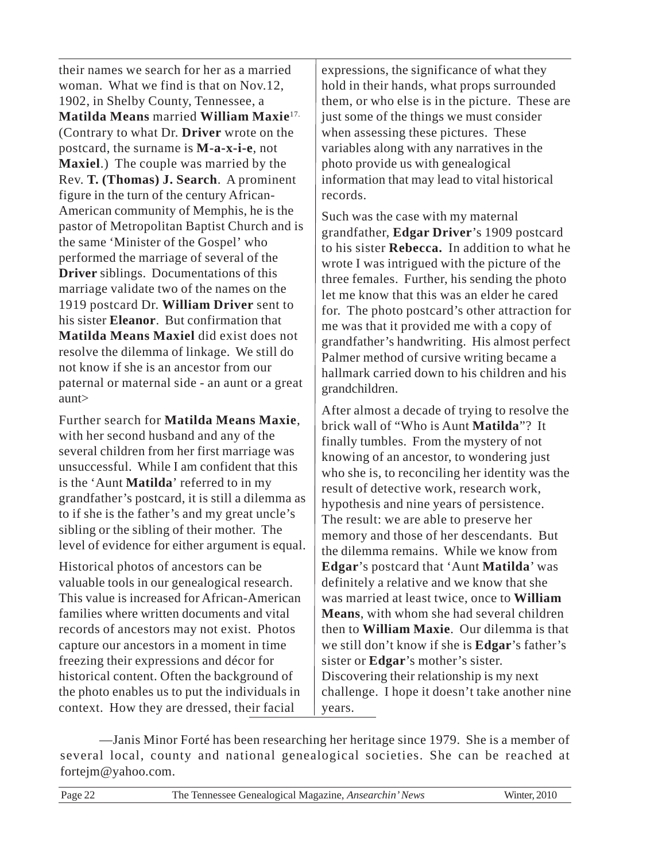their names we search for her as a married woman. What we find is that on Nov.12, 1902, in Shelby County, Tennessee, a **Matilda Means** married **William Maxie**17. (Contrary to what Dr. **Driver** wrote on the postcard, the surname is **M-a-x-i-e**, not **Maxiel**.) The couple was married by the Rev. **T. (Thomas) J. Search**. A prominent figure in the turn of the century African-American community of Memphis, he is the pastor of Metropolitan Baptist Church and is the same 'Minister of the Gospel' who performed the marriage of several of the **Driver** siblings. Documentations of this marriage validate two of the names on the 1919 postcard Dr. **William Driver** sent to his sister **Eleanor**. But confirmation that **Matilda Means Maxiel** did exist does not resolve the dilemma of linkage. We still do not know if she is an ancestor from our paternal or maternal side - an aunt or a great aunt>

Further search for **Matilda Means Maxie**, with her second husband and any of the several children from her first marriage was unsuccessful. While I am confident that this is the 'Aunt **Matilda**' referred to in my grandfather's postcard, it is still a dilemma as to if she is the father's and my great uncle's sibling or the sibling of their mother. The level of evidence for either argument is equal.

Historical photos of ancestors can be valuable tools in our genealogical research. This value is increased for African-American families where written documents and vital records of ancestors may not exist. Photos capture our ancestors in a moment in time freezing their expressions and décor for historical content. Often the background of the photo enables us to put the individuals in context. How they are dressed, their facial

expressions, the significance of what they hold in their hands, what props surrounded them, or who else is in the picture. These are just some of the things we must consider when assessing these pictures. These variables along with any narratives in the photo provide us with genealogical information that may lead to vital historical records.

Such was the case with my maternal grandfather, **Edgar Driver**'s 1909 postcard to his sister **Rebecca.** In addition to what he wrote I was intrigued with the picture of the three females. Further, his sending the photo let me know that this was an elder he cared for. The photo postcard's other attraction for me was that it provided me with a copy of grandfather's handwriting. His almost perfect Palmer method of cursive writing became a hallmark carried down to his children and his grandchildren.

After almost a decade of trying to resolve the brick wall of "Who is Aunt **Matilda**"? It finally tumbles. From the mystery of not knowing of an ancestor, to wondering just who she is, to reconciling her identity was the result of detective work, research work, hypothesis and nine years of persistence. The result: we are able to preserve her memory and those of her descendants. But the dilemma remains. While we know from **Edgar**'s postcard that 'Aunt **Matilda**' was definitely a relative and we know that she was married at least twice, once to **William Means**, with whom she had several children then to **William Maxie**. Our dilemma is that we still don't know if she is **Edgar**'s father's sister or **Edgar**'s mother's sister. Discovering their relationship is my next challenge. I hope it doesn't take another nine years.

—Janis Minor Forté has been researching her heritage since 1979. She is a member of several local, county and national genealogical societies. She can be reached at fortejm@yahoo.com.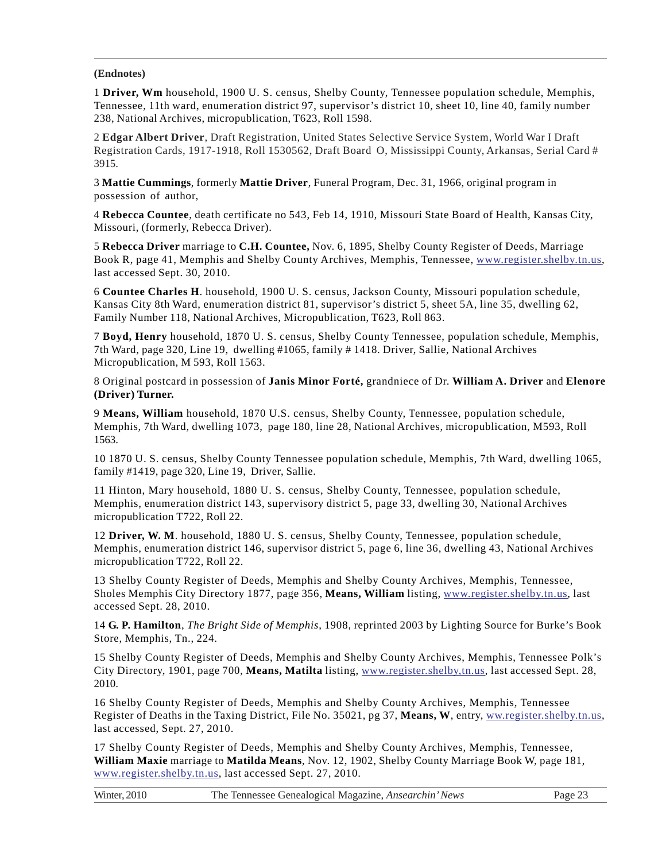#### **(Endnotes)**

1 **Driver, Wm** household, 1900 U. S. census, Shelby County, Tennessee population schedule, Memphis, Tennessee, 11th ward, enumeration district 97, supervisor's district 10, sheet 10, line 40, family number 238, National Archives, micropublication, T623, Roll 1598.

2 **Edgar Albert Driver**, Draft Registration, United States Selective Service System, World War I Draft Registration Cards, 1917-1918, Roll 1530562, Draft Board O, Mississippi County, Arkansas, Serial Card # 3915.

3 **Mattie Cummings**, formerly **Mattie Driver**, Funeral Program, Dec. 31, 1966, original program in possession of author,

4 **Rebecca Countee**, death certificate no 543, Feb 14, 1910, Missouri State Board of Health, Kansas City, Missouri, (formerly, Rebecca Driver).

5 **Rebecca Driver** marriage to **C.H. Countee,** Nov. 6, 1895, Shelby County Register of Deeds, Marriage Book R, page 41, Memphis and Shelby County Archives, Memphis, Tennessee, www.register.shelby.tn.us, last accessed Sept. 30, 2010.

6 **Countee Charles H**. household, 1900 U. S. census, Jackson County, Missouri population schedule, Kansas City 8th Ward, enumeration district 81, supervisor's district 5, sheet 5A, line 35, dwelling 62, Family Number 118, National Archives, Micropublication, T623, Roll 863.

7 **Boyd, Henry** household, 1870 U. S. census, Shelby County Tennessee, population schedule, Memphis, 7th Ward, page 320, Line 19, dwelling #1065, family # 1418. Driver, Sallie, National Archives Micropublication, M 593, Roll 1563.

8 Original postcard in possession of **Janis Minor Forté,** grandniece of Dr. **William A. Driver** and **Elenore (Driver) Turner.**

9 **Means, William** household, 1870 U.S. census, Shelby County, Tennessee, population schedule, Memphis, 7th Ward, dwelling 1073, page 180, line 28, National Archives, micropublication, M593, Roll 1563.

10 1870 U. S. census, Shelby County Tennessee population schedule, Memphis, 7th Ward, dwelling 1065, family #1419, page 320, Line 19, Driver, Sallie.

11 Hinton, Mary household, 1880 U. S. census, Shelby County, Tennessee, population schedule, Memphis, enumeration district 143, supervisory district 5, page 33, dwelling 30, National Archives micropublication T722, Roll 22.

12 **Driver, W. M**. household, 1880 U. S. census, Shelby County, Tennessee, population schedule, Memphis, enumeration district 146, supervisor district 5, page 6, line 36, dwelling 43, National Archives micropublication T722, Roll 22.

13 Shelby County Register of Deeds, Memphis and Shelby County Archives, Memphis, Tennessee, Sholes Memphis City Directory 1877, page 356, **Means, William** listing, www.register.shelby.tn.us, last accessed Sept. 28, 2010.

14 **G. P. Hamilton**, *The Bright Side of Memphis*, 1908, reprinted 2003 by Lighting Source for Burke's Book Store, Memphis, Tn., 224.

15 Shelby County Register of Deeds, Memphis and Shelby County Archives, Memphis, Tennessee Polk's City Directory, 1901, page 700, **Means, Matilta** listing, www.register.shelby,tn.us, last accessed Sept. 28, 2010.

16 Shelby County Register of Deeds, Memphis and Shelby County Archives, Memphis, Tennessee Register of Deaths in the Taxing District, File No. 35021, pg 37, **Means, W**, entry, ww.register.shelby.tn.us, last accessed, Sept. 27, 2010.

17 Shelby County Register of Deeds, Memphis and Shelby County Archives, Memphis, Tennessee, **William Maxie** marriage to **Matilda Means**, Nov. 12, 1902, Shelby County Marriage Book W, page 181, www.register.shelby.tn.us, last accessed Sept. 27, 2010.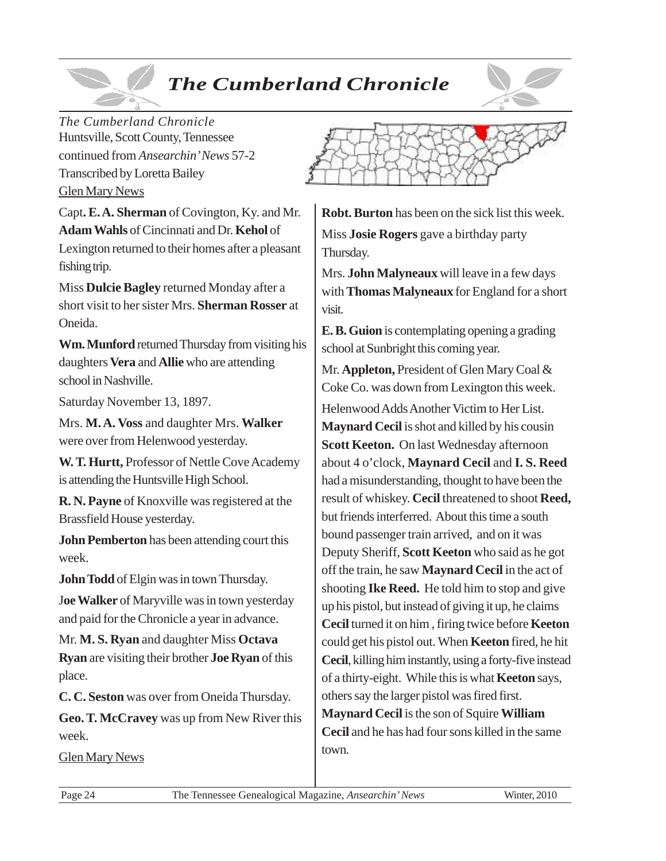# *The Cumberland Chronicle*



*The Cumberland Chronicle* Huntsville, Scott County, Tennessee continued from *Ansearchin' News* 57-2 Transcribed by Loretta Bailey Glen Mary News

Capt**. E. A. Sherman** of Covington, Ky. and Mr. **Adam Wahls** of Cincinnati and Dr. **Kehol** of Lexington returned to their homes after a pleasant fishing trip.

Miss **Dulcie Bagley** returned Monday after a short visit to her sister Mrs. **Sherman Rosser** at Oneida.

**Wm. Munford** returned Thursday from visiting his daughters **Vera** and **Allie** who are attending school in Nashville.

Saturday November 13, 1897.

Mrs. **M. A. Voss** and daughter Mrs. **Walker** were over from Helenwood yesterday.

**W. T. Hurtt,** Professor of Nettle Cove Academy is attending the Huntsville High School.

**R. N. Payne** of Knoxville was registered at the Brassfield House yesterday.

**John Pemberton** has been attending court this week.

**John Todd** of Elgin was in town Thursday.

J**oe Walker** of Maryville was in town yesterday and paid for the Chronicle a year in advance.

Mr. **M. S. Ryan** and daughter Miss **Octava Ryan** are visiting their brother **Joe Ryan** of this place.

**C. C. Seston** was over from Oneida Thursday.

**Geo. T. McCravey** was up from New River this week.

Glen Mary News



**Robt. Burton** has been on the sick list this week. Miss **Josie Rogers** gave a birthday party Thursday.

Mrs. **John Malyneaux** will leave in a few days with **Thomas Malyneaux** for England for a short visit.

**E. B. Guion** is contemplating opening a grading school at Sunbright this coming year.

Mr. **Appleton,** President of Glen Mary Coal & Coke Co. was down from Lexington this week. Helenwood Adds Another Victim to Her List. **Maynard Cecil** is shot and killed by his cousin **Scott Keeton.** On last Wednesday afternoon about 4 o'clock, **Maynard Cecil** and **I. S. Reed** had a misunderstanding, thought to have been the result of whiskey. **Cecil** threatened to shoot **Reed,** but friends interferred. About this time a south bound passenger train arrived, and on it was Deputy Sheriff, **Scott Keeton** who said as he got off the train, he saw **Maynard Cecil** in the act of shooting **Ike Reed.** He told him to stop and give up his pistol, but instead of giving it up, he claims **Cecil** turned it on him , firing twice before **Keeton** could get his pistol out. When **Keeton** fired, he hit **Cecil**, killing him instantly, using a forty-five instead of a thirty-eight. While this is what **Keeton** says, others say the larger pistol was fired first. **Maynard Cecil** is the son of Squire **William Cecil** and he has had four sons killed in the same town.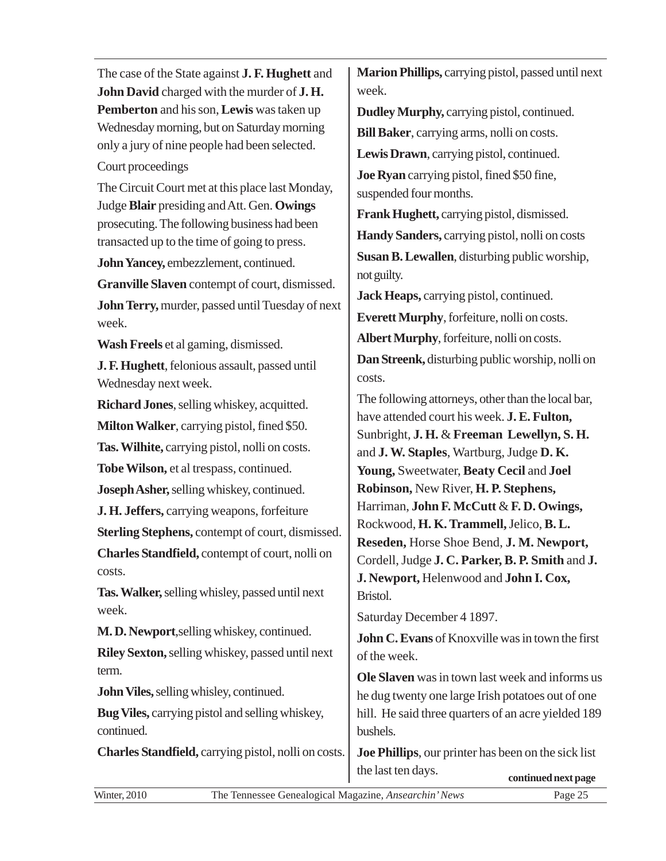The case of the State against **J. F. Hughett** and **John David** charged with the murder of **J. H. Pemberton** and his son, **Lewis** was taken up Wednesday morning, but on Saturday morning only a jury of nine people had been selected.

### Court proceedings

The Circuit Court met at this place last Monday, Judge **Blair** presiding and Att. Gen. **Owings** prosecuting. The following business had been transacted up to the time of going to press.

**John Yancey,** embezzlement, continued.

**Granville Slaven** contempt of court, dismissed. **John Terry,** murder, passed until Tuesday of next week.

**Wash Freels** et al gaming, dismissed.

**J. F. Hughett**, felonious assault, passed until Wednesday next week.

**Richard Jones**, selling whiskey, acquitted.

**Milton Walker**, carrying pistol, fined \$50.

**Tas. Wilhite,** carrying pistol, nolli on costs.

**Tobe Wilson,** et al trespass, continued.

**Joseph Asher,** selling whiskey, continued.

**J. H. Jeffers,** carrying weapons, forfeiture

**Sterling Stephens,** contempt of court, dismissed.

**Charles Standfield,** contempt of court, nolli on costs.

**Tas. Walker,** selling whisley, passed until next week.

**M. D. Newport**,selling whiskey, continued.

**Riley Sexton,** selling whiskey, passed until next term.

**John Viles,** selling whisley, continued.

**Bug Viles,** carrying pistol and selling whiskey, continued.

**Charles Standfield,** carrying pistol, nolli on costs.

**Marion Phillips,** carrying pistol, passed until next week.

**Dudley Murphy,** carrying pistol, continued. **Bill Baker**, carrying arms, nolli on costs.

**Lewis Drawn**, carrying pistol, continued.

**Joe Ryan** carrying pistol, fined \$50 fine, suspended four months.

**Frank Hughett,** carrying pistol, dismissed.

**Handy Sanders,** carrying pistol, nolli on costs **Susan B. Lewallen**, disturbing public worship, not guilty.

**Jack Heaps,** carrying pistol, continued.

**Everett Murphy**, forfeiture, nolli on costs.

**Albert Murphy**, forfeiture, nolli on costs.

**Dan Streenk,** disturbing public worship, nolli on costs.

The following attorneys, other than the local bar, have attended court his week. **J. E. Fulton,** Sunbright, **J. H.** & **Freeman Lewellyn, S. H.** and **J. W. Staples**, Wartburg, Judge **D. K. Young,** Sweetwater, **Beaty Cecil** and **Joel Robinson,** New River, **H. P. Stephens,** Harriman, **John F. McCutt** & **F. D. Owings,** Rockwood, **H. K. Trammell,** Jelico, **B. L. Reseden,** Horse Shoe Bend, **J. M. Newport,** Cordell, Judge **J. C. Parker, B. P. Smith** and **J. J. Newport,** Helenwood and **John I. Cox,** Bristol.

Saturday December 4 1897.

**John C. Evans** of Knoxville was in town the first of the week.

**Ole Slaven** was in town last week and informs us he dug twenty one large Irish potatoes out of one hill. He said three quarters of an acre yielded 189 bushels.

**Joe Phillips**, our printer has been on the sick list the last ten days. **continued next page**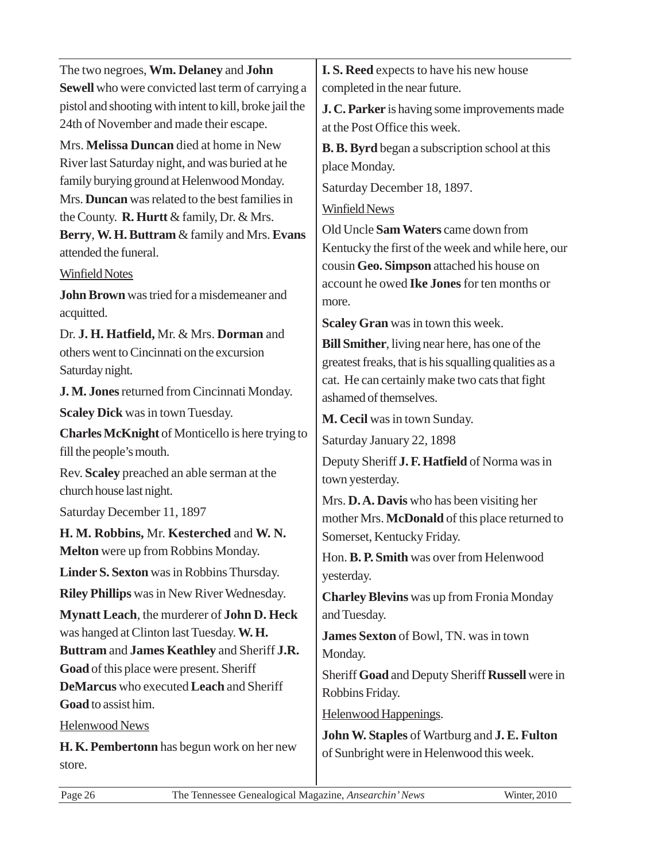| The two negroes, Wm. Delaney and John                   | I. S. Reed expects to have his new house              |
|---------------------------------------------------------|-------------------------------------------------------|
| Sewell who were convicted last term of carrying a       | completed in the near future.                         |
| pistol and shooting with intent to kill, broke jail the | J. C. Parker is having some improvements made         |
| 24th of November and made their escape.                 | at the Post Office this week.                         |
| Mrs. Melissa Duncan died at home in New                 | <b>B. B. Byrd</b> began a subscription school at this |
| River last Saturday night, and was buried at he         | place Monday.                                         |
| family burying ground at Helenwood Monday.              | Saturday December 18, 1897.                           |
| Mrs. Duncan was related to the best families in         | <b>Winfield News</b>                                  |
| the County. <b>R. Hurtt</b> & family, Dr. & Mrs.        | Old Uncle Sam Waters came down from                   |
| Berry, W. H. Buttram & family and Mrs. Evans            | Kentucky the first of the week and while here, our    |
| attended the funeral.                                   | cousin Geo. Simpson attached his house on             |
| <b>Winfield Notes</b>                                   | account he owed Ike Jones for ten months or           |
| John Brown was tried for a misdemeaner and              | more.                                                 |
| acquitted.                                              | <b>Scaley Gran</b> was in town this week.             |
| Dr. J. H. Hatfield, Mr. & Mrs. Dorman and               | Bill Smither, living near here, has one of the        |
| others went to Cincinnati on the excursion              | greatest freaks, that is his squalling qualities as a |
| Saturday night.                                         | cat. He can certainly make two cats that fight        |
| J. M. Jones returned from Cincinnati Monday.            | ashamed of themselves.                                |
| <b>Scaley Dick</b> was in town Tuesday.                 | M. Cecil was in town Sunday.                          |
| <b>Charles McKnight of Monticello is here trying to</b> | Saturday January 22, 1898                             |
| fill the people's mouth.                                | Deputy Sheriff J. F. Hatfield of Norma was in         |
| Rev. Scaley preached an able serman at the              | town yesterday.                                       |
| church house last night.                                | Mrs. D.A. Davis who has been visiting her             |
| Saturday December 11, 1897                              | mother Mrs. McDonald of this place returned to        |
| H. M. Robbins, Mr. Kesterched and W. N.                 | Somerset, Kentucky Friday.                            |
| <b>Melton</b> were up from Robbins Monday.              | Hon. B. P. Smith was over from Helenwood              |
| Linder S. Sexton was in Robbins Thursday.               | yesterday.                                            |
| <b>Riley Phillips</b> was in New River Wednesday.       | <b>Charley Blevins</b> was up from Fronia Monday      |
| Mynatt Leach, the murderer of John D. Heck              | and Tuesday.                                          |
| was hanged at Clinton last Tuesday. W. H.               | James Sexton of Bowl, TN. was in town                 |
| Buttram and James Keathley and Sheriff J.R.             | Monday.                                               |
| Goad of this place were present. Sheriff                | Sheriff Goad and Deputy Sheriff Russell were in       |
| DeMarcus who executed Leach and Sheriff                 | Robbins Friday.                                       |
| Goad to assist him.                                     | Helenwood Happenings.                                 |
| <b>Helenwood News</b>                                   | John W. Staples of Wartburg and J. E. Fulton          |
| H. K. Pembertonn has begun work on her new              | of Sunbright were in Helenwood this week.             |
| store.                                                  |                                                       |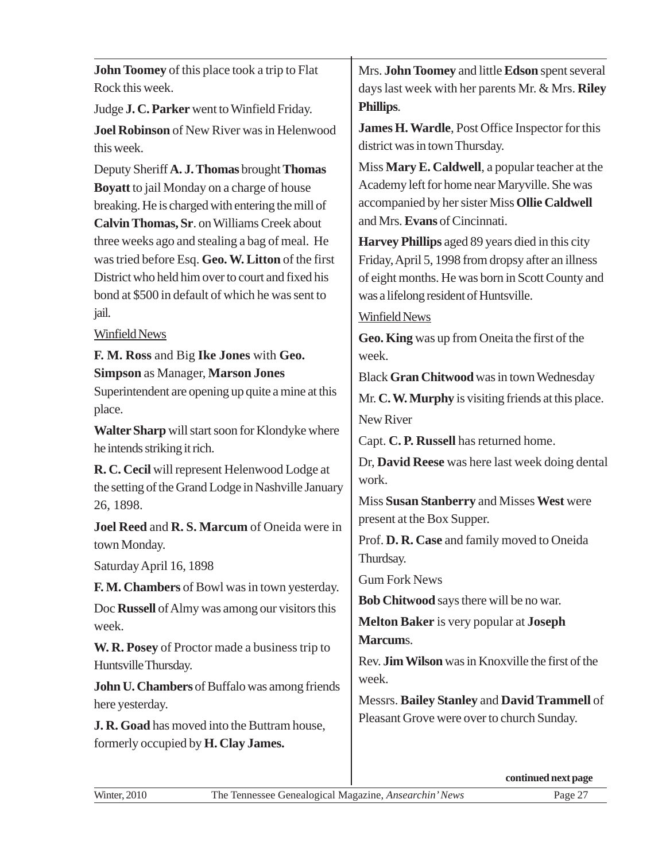| <b>John Toomey</b> of this place took a trip to Flat                                                                                                                                                                                       | Mrs. John Toomey and little Edson spent several                                                                                                                                                                              |
|--------------------------------------------------------------------------------------------------------------------------------------------------------------------------------------------------------------------------------------------|------------------------------------------------------------------------------------------------------------------------------------------------------------------------------------------------------------------------------|
| Rock this week.                                                                                                                                                                                                                            | days last week with her parents Mr. & Mrs. Riley                                                                                                                                                                             |
| Judge J. C. Parker went to Winfield Friday.                                                                                                                                                                                                | Phillips.                                                                                                                                                                                                                    |
| Joel Robinson of New River was in Helenwood                                                                                                                                                                                                | James H. Wardle, Post Office Inspector for this                                                                                                                                                                              |
| this week.                                                                                                                                                                                                                                 | district was in town Thursday.                                                                                                                                                                                               |
| Deputy Sheriff A. J. Thomas brought Thomas                                                                                                                                                                                                 | Miss Mary E. Caldwell, a popular teacher at the                                                                                                                                                                              |
| <b>Boyatt</b> to jail Monday on a charge of house                                                                                                                                                                                          | Academy left for home near Maryville. She was                                                                                                                                                                                |
| breaking. He is charged with entering the mill of                                                                                                                                                                                          | accompanied by her sister Miss Ollie Caldwell                                                                                                                                                                                |
| Calvin Thomas, Sr. on Williams Creek about                                                                                                                                                                                                 | and Mrs. Evans of Cincinnati.                                                                                                                                                                                                |
| three weeks ago and stealing a bag of meal. He                                                                                                                                                                                             | Harvey Phillips aged 89 years died in this city                                                                                                                                                                              |
| was tried before Esq. Geo. W. Litton of the first                                                                                                                                                                                          | Friday, April 5, 1998 from dropsy after an illness                                                                                                                                                                           |
| District who held him over to court and fixed his                                                                                                                                                                                          | of eight months. He was born in Scott County and                                                                                                                                                                             |
| bond at \$500 in default of which he was sent to                                                                                                                                                                                           | was a lifelong resident of Huntsville.                                                                                                                                                                                       |
| jail.                                                                                                                                                                                                                                      | <b>Winfield News</b>                                                                                                                                                                                                         |
| Winfield News                                                                                                                                                                                                                              | Geo. King was up from Oneita the first of the                                                                                                                                                                                |
| F. M. Ross and Big Ike Jones with Geo.                                                                                                                                                                                                     | week.                                                                                                                                                                                                                        |
| <b>Simpson as Manager, Marson Jones</b>                                                                                                                                                                                                    | Black Gran Chitwood was in town Wednesday                                                                                                                                                                                    |
| Superintendent are opening up quite a mine at this                                                                                                                                                                                         | Mr. C. W. Murphy is visiting friends at this place.                                                                                                                                                                          |
| place.<br>Walter Sharp will start soon for Klondyke where<br>he intends striking it rich.                                                                                                                                                  | New River<br>Capt. C. P. Russell has returned home.                                                                                                                                                                          |
| R. C. Cecil will represent Helenwood Lodge at                                                                                                                                                                                              | Dr, David Reese was here last week doing dental                                                                                                                                                                              |
| the setting of the Grand Lodge in Nashville January                                                                                                                                                                                        | work.                                                                                                                                                                                                                        |
| 26, 1898.                                                                                                                                                                                                                                  | Miss Susan Stanberry and Misses West were                                                                                                                                                                                    |
| Joel Reed and R. S. Marcum of Oneida were in                                                                                                                                                                                               | present at the Box Supper.                                                                                                                                                                                                   |
| town Monday.                                                                                                                                                                                                                               | Prof. D. R. Case and family moved to Oneida                                                                                                                                                                                  |
| Saturday April 16, 1898                                                                                                                                                                                                                    | Thurdsay.                                                                                                                                                                                                                    |
| F. M. Chambers of Bowl was in town yesterday.                                                                                                                                                                                              | <b>Gum Fork News</b>                                                                                                                                                                                                         |
| Doc Russell of Almy was among our visitors this                                                                                                                                                                                            | <b>Bob Chitwood</b> says there will be no war.                                                                                                                                                                               |
| week.<br>W. R. Posey of Proctor made a business trip to<br>Huntsville Thursday.<br>John U. Chambers of Buffalo was among friends<br>here yesterday.<br>J. R. Goad has moved into the Buttram house,<br>formerly occupied by H. Clay James. | <b>Melton Baker</b> is very popular at <b>Joseph</b><br>Marcums.<br>Rev. Jim Wilson was in Knoxville the first of the<br>week.<br>Messrs. Bailey Stanley and David Trammell of<br>Pleasant Grove were over to church Sunday. |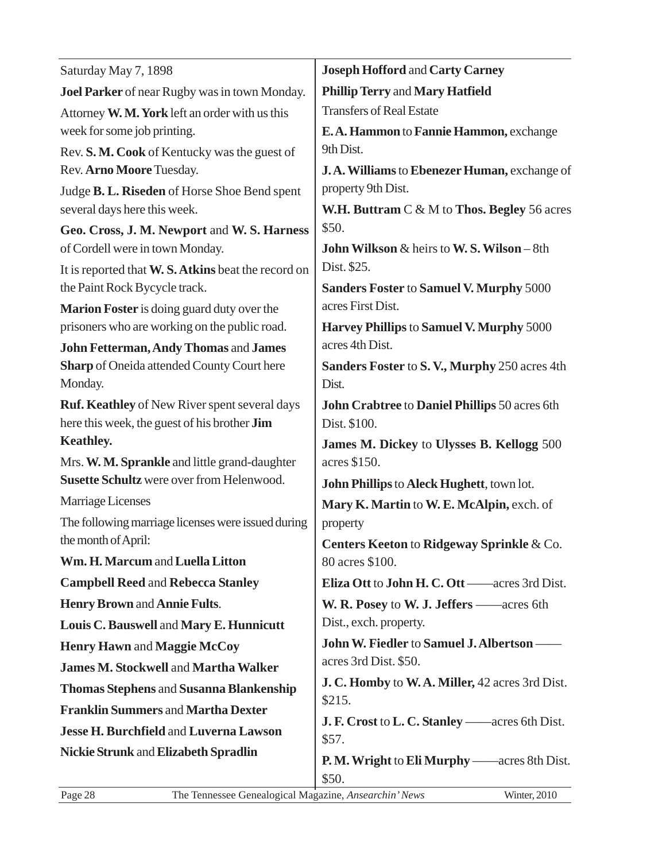| Saturday May 7, 1898                                                                                        | <b>Joseph Hofford and Carty Carney</b>                        |  |
|-------------------------------------------------------------------------------------------------------------|---------------------------------------------------------------|--|
| Joel Parker of near Rugby was in town Monday.                                                               | <b>Phillip Terry and Mary Hatfield</b>                        |  |
| Attorney W. M. York left an order with us this                                                              | <b>Transfers of Real Estate</b>                               |  |
| week for some job printing.                                                                                 | E.A. Hammon to Fannie Hammon, exchange                        |  |
| Rev. S. M. Cook of Kentucky was the guest of                                                                | 9th Dist.                                                     |  |
| Rev. Arno Moore Tuesday.                                                                                    | J.A. Williams to Ebenezer Human, exchange of                  |  |
| Judge B. L. Riseden of Horse Shoe Bend spent                                                                | property 9th Dist.                                            |  |
| several days here this week.                                                                                | W.H. Buttram $C \& M$ to Thos. Begley 56 acres                |  |
| Geo. Cross, J. M. Newport and W. S. Harness                                                                 | \$50.                                                         |  |
| of Cordell were in town Monday.                                                                             | <b>John Wilkson &amp; heirs to W.S. Wilson - 8th</b>          |  |
| It is reported that W. S. Atkins beat the record on                                                         | Dist. \$25.                                                   |  |
| the Paint Rock Bycycle track.                                                                               | <b>Sanders Foster to Samuel V. Murphy 5000</b>                |  |
| <b>Marion Foster</b> is doing guard duty over the                                                           | acres First Dist.                                             |  |
| prisoners who are working on the public road.                                                               | Harvey Phillips to Samuel V. Murphy 5000                      |  |
| John Fetterman, Andy Thomas and James                                                                       | acres 4th Dist.                                               |  |
| Sharp of Oneida attended County Court here                                                                  | Sanders Foster to S.V., Murphy 250 acres 4th                  |  |
| Monday.                                                                                                     | Dist.                                                         |  |
| <b>Ruf. Keathley</b> of New River spent several days<br>here this week, the guest of his brother <b>Jim</b> | John Crabtree to Daniel Phillips 50 acres 6th<br>Dist. \$100. |  |
| <b>Keathley.</b>                                                                                            |                                                               |  |
| Mrs. W. M. Sprankle and little grand-daughter                                                               | James M. Dickey to Ulysses B. Kellogg 500<br>acres \$150.     |  |
| Susette Schultz were over from Helenwood.                                                                   | John Phillips to Aleck Hughett, town lot.                     |  |
| Marriage Licenses                                                                                           | Mary K. Martin to W. E. McAlpin, exch. of                     |  |
| The following marriage licenses were issued during                                                          | property                                                      |  |
| the month of April:                                                                                         | Centers Keeton to Ridgeway Sprinkle & Co.                     |  |
| Wm. H. Marcum and Luella Litton                                                                             | 80 acres \$100.                                               |  |
| <b>Campbell Reed and Rebecca Stanley</b>                                                                    | Eliza Ott to John H. C. Ott — acres 3rd Dist.                 |  |
| <b>Henry Brown and Annie Fults.</b>                                                                         | W. R. Posey to W. J. Jeffers — acres 6th                      |  |
| Louis C. Bauswell and Mary E. Hunnicutt                                                                     | Dist., exch. property.                                        |  |
| <b>Henry Hawn and Maggie McCoy</b>                                                                          | John W. Fiedler to Samuel J. Albertson -                      |  |
| <b>James M. Stockwell and Martha Walker</b>                                                                 | acres 3rd Dist. \$50.                                         |  |
| <b>Thomas Stephens and Susanna Blankenship</b>                                                              | J. C. Homby to W.A. Miller, 42 acres 3rd Dist.                |  |
| <b>Franklin Summers and Martha Dexter</b>                                                                   | \$215.                                                        |  |
| <b>Jesse H. Burchfield and Luverna Lawson</b>                                                               | <b>J. F. Crost to L. C. Stanley</b> — acres 6th Dist.         |  |
|                                                                                                             | \$57.                                                         |  |
| <b>Nickie Strunk and Elizabeth Spradlin</b>                                                                 | <b>P. M. Wright to Eli Murphy</b> — acres 8th Dist.           |  |
|                                                                                                             | \$50.                                                         |  |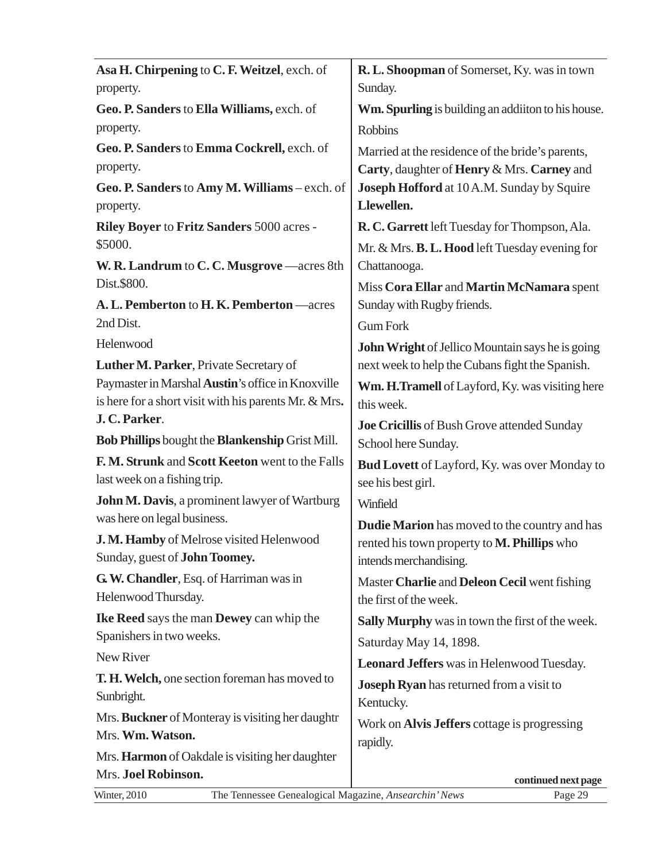| Asa H. Chirpening to C. F. Weitzel, exch. of                          | R. L. Shoopman of Somerset, Ky. was in town             |
|-----------------------------------------------------------------------|---------------------------------------------------------|
| property.                                                             | Sunday.                                                 |
| Geo. P. Sanders to Ella Williams, exch. of                            | Wm. Spurling is building an addition to his house.      |
| property.                                                             | <b>Robbins</b>                                          |
| Geo. P. Sanders to Emma Cockrell, exch. of                            | Married at the residence of the bride's parents,        |
| property.                                                             | Carty, daughter of Henry & Mrs. Carney and              |
| Geo. P. Sanders to Amy M. Williams - exch. of                         | Joseph Hofford at 10 A.M. Sunday by Squire              |
| property.                                                             | Llewellen.                                              |
| Riley Boyer to Fritz Sanders 5000 acres -                             | R. C. Garrett left Tuesday for Thompson, Ala.           |
| \$5000.                                                               | Mr. & Mrs. <b>B. L. Hood</b> left Tuesday evening for   |
| W. R. Landrum to C. C. Musgrove —acres 8th                            | Chattanooga.                                            |
| Dist.\$800.                                                           | Miss Cora Ellar and Martin McNamara spent               |
| A. L. Pemberton to H. K. Pemberton - acres                            | Sunday with Rugby friends.                              |
| 2nd Dist.                                                             | <b>Gum Fork</b>                                         |
| Helenwood                                                             | <b>John Wright</b> of Jellico Mountain says he is going |
| Luther M. Parker, Private Secretary of                                | next week to help the Cubans fight the Spanish.         |
| Paymaster in Marshal Austin's office in Knoxville                     | Wm. H.Tramell of Layford, Ky. was visiting here         |
| is here for a short visit with his parents Mr. & Mrs.                 | this week.                                              |
| J.C.Parker.                                                           | Joe Cricillis of Bush Grove attended Sunday             |
| Bob Phillips bought the Blankenship Grist Mill.                       | School here Sunday.                                     |
| F. M. Strunk and Scott Keeton went to the Falls                       | <b>Bud Lovett</b> of Layford, Ky. was over Monday to    |
| last week on a fishing trip.                                          | see his best girl.                                      |
| John M. Davis, a prominent lawyer of Wartburg                         | Winfield                                                |
| was here on legal business.                                           | Dudie Marion has moved to the country and has           |
| J. M. Hamby of Melrose visited Helenwood                              | rented his town property to <b>M. Phillips</b> who      |
| Sunday, guest of <b>John Toomey.</b>                                  | intends merchandising.                                  |
| G. W. Chandler, Esq. of Harriman was in                               | Master Charlie and Deleon Cecil went fishing            |
| Helenwood Thursday.                                                   | the first of the week.                                  |
| Ike Reed says the man Dewey can whip the                              | Sally Murphy was in town the first of the week.         |
| Spanishers in two weeks.                                              | Saturday May 14, 1898.                                  |
| New River                                                             | <b>Leonard Jeffers</b> was in Helenwood Tuesday.        |
| T. H. Welch, one section foreman has moved to                         | Joseph Ryan has returned from a visit to                |
| Sunbright.                                                            | Kentucky.                                               |
| Mrs. Buckner of Monteray is visiting her daughtr                      | Work on Alvis Jeffers cottage is progressing            |
| Mrs. Wm. Watson.                                                      | rapidly.                                                |
| Mrs. Harmon of Oakdale is visiting her daughter                       |                                                         |
| Mrs. Joel Robinson.                                                   | continued next page                                     |
| The Tennessee Genealogical Magazine, Ansearchin' News<br>Winter, 2010 | Page 29                                                 |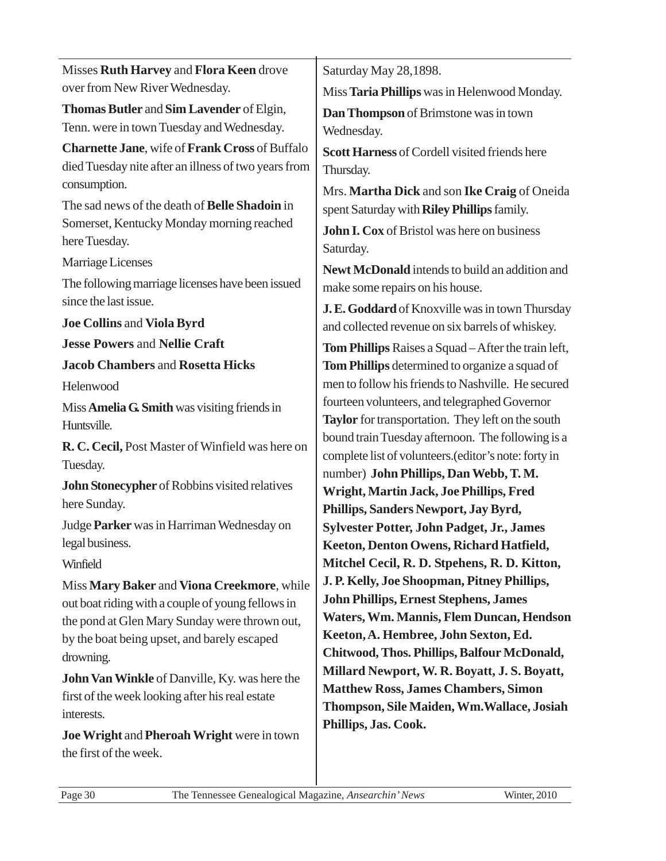| Misses Ruth Harvey and Flora Keen drove                                                                                                           | Saturday May 28,1898.                                                                                                            |
|---------------------------------------------------------------------------------------------------------------------------------------------------|----------------------------------------------------------------------------------------------------------------------------------|
| over from New River Wednesday.                                                                                                                    | Miss Taria Phillips was in Helenwood Monday.                                                                                     |
| Thomas Butler and Sim Lavender of Elgin,                                                                                                          | Dan Thompson of Brimstone was in town                                                                                            |
| Tenn. were in town Tuesday and Wednesday.                                                                                                         | Wednesday.                                                                                                                       |
| Charnette Jane, wife of Frank Cross of Buffalo<br>died Tuesday nite after an illness of two years from<br>consumption.                            | Scott Harness of Cordell visited friends here<br>Thursday.<br>Mrs. Martha Dick and son Ike Craig of Oneida                       |
| The sad news of the death of Belle Shadoin in<br>Somerset, Kentucky Monday morning reached<br>here Tuesday.                                       | spent Saturday with Riley Phillips family.<br>John I. Cox of Bristol was here on business                                        |
| Marriage Licenses                                                                                                                                 | Saturday.                                                                                                                        |
| The following marriage licenses have been issued<br>since the last issue.                                                                         | Newt McDonald intends to build an addition and<br>make some repairs on his house.                                                |
| <b>Joe Collins and Viola Byrd</b>                                                                                                                 | J. E. Goddard of Knoxville was in town Thursday                                                                                  |
| <b>Jesse Powers and Nellie Craft</b>                                                                                                              | and collected revenue on six barrels of whiskey.                                                                                 |
|                                                                                                                                                   | Tom Phillips Raises a Squad - After the train left,                                                                              |
| <b>Jacob Chambers and Rosetta Hicks</b>                                                                                                           | Tom Phillips determined to organize a squad of<br>men to follow his friends to Nashville. He secured                             |
| Helenwood                                                                                                                                         | fourteen volunteers, and telegraphed Governor                                                                                    |
| Miss Amelia G. Smith was visiting friends in<br>Huntsville.                                                                                       | Taylor for transportation. They left on the south                                                                                |
| R. C. Cecil, Post Master of Winfield was here on                                                                                                  | bound train Tuesday afternoon. The following is a                                                                                |
| Tuesday.                                                                                                                                          | complete list of volunteers.(editor's note: forty in                                                                             |
| John Stonecypher of Robbins visited relatives                                                                                                     | number) John Phillips, Dan Webb, T.M.                                                                                            |
| here Sunday.                                                                                                                                      | Wright, Martin Jack, Joe Phillips, Fred                                                                                          |
| Judge Parker was in Harriman Wednesday on                                                                                                         | Phillips, Sanders Newport, Jay Byrd,                                                                                             |
| legal business.                                                                                                                                   | <b>Sylvester Potter, John Padget, Jr., James</b><br>Keeton, Denton Owens, Richard Hatfield,                                      |
| Winfield                                                                                                                                          | Mitchel Cecil, R. D. Stpehens, R. D. Kitton,                                                                                     |
| Miss Mary Baker and Viona Creekmore, while                                                                                                        | J. P. Kelly, Joe Shoopman, Pitney Phillips,                                                                                      |
| out boat riding with a couple of young fellows in<br>the pond at Glen Mary Sunday were thrown out,<br>by the boat being upset, and barely escaped | <b>John Phillips, Ernest Stephens, James</b><br>Waters, Wm. Mannis, Flem Duncan, Hendson<br>Keeton, A. Hembree, John Sexton, Ed. |
| drowning.                                                                                                                                         | Chitwood, Thos. Phillips, Balfour McDonald,                                                                                      |
| John Van Winkle of Danville, Ky. was here the                                                                                                     | Millard Newport, W. R. Boyatt, J. S. Boyatt,                                                                                     |
| first of the week looking after his real estate<br>interests.                                                                                     | <b>Matthew Ross, James Chambers, Simon</b><br>Thompson, Sile Maiden, Wm. Wallace, Josiah                                         |
| Joe Wright and Pheroah Wright were in town<br>the first of the week.                                                                              | Phillips, Jas. Cook.                                                                                                             |
|                                                                                                                                                   |                                                                                                                                  |

 $\overline{a}$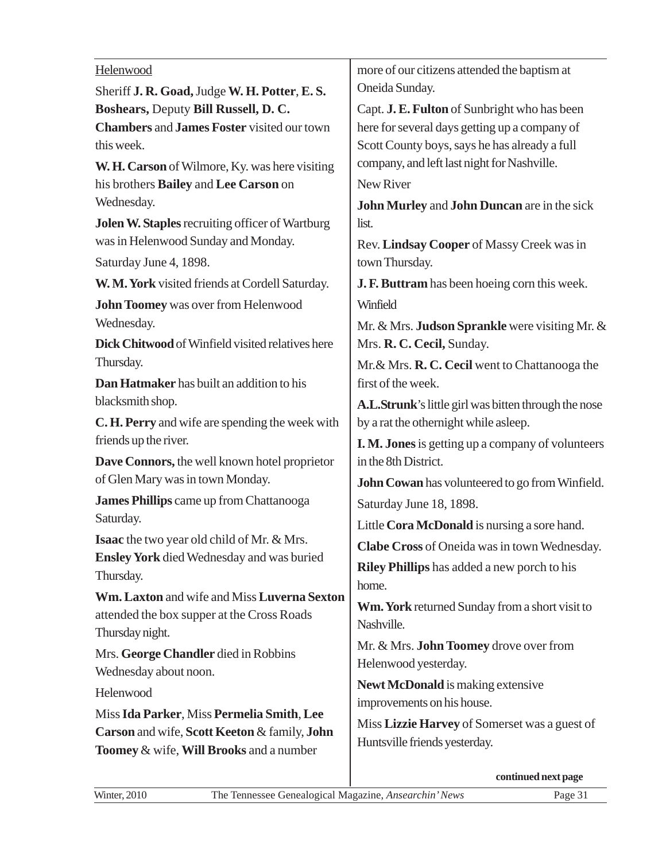### Helenwood

| Helenwood                                         | more of our citizens attended the baptism at             |  |  |
|---------------------------------------------------|----------------------------------------------------------|--|--|
| Sheriff J. R. Goad, Judge W. H. Potter, E. S.     | Oneida Sunday.                                           |  |  |
| Boshears, Deputy Bill Russell, D. C.              | Capt. J. E. Fulton of Sunbright who has been             |  |  |
| <b>Chambers and James Foster visited our town</b> | here for several days getting up a company of            |  |  |
| this week.                                        | Scott County boys, says he has already a full            |  |  |
| W. H. Carson of Wilmore, Ky. was here visiting    | company, and left last night for Nashville.              |  |  |
| his brothers Bailey and Lee Carson on             | New River                                                |  |  |
| Wednesday.                                        | John Murley and John Duncan are in the sick              |  |  |
| Jolen W. Staples recruiting officer of Wartburg   | list.                                                    |  |  |
| was in Helenwood Sunday and Monday.               | Rev. Lindsay Cooper of Massy Creek was in                |  |  |
| Saturday June 4, 1898.                            | town Thursday.                                           |  |  |
| W. M. York visited friends at Cordell Saturday.   | J. F. Buttram has been hoeing corn this week.            |  |  |
| John Toomey was over from Helenwood               | Winfield                                                 |  |  |
| Wednesday.                                        | Mr. & Mrs. Judson Sprankle were visiting Mr. &           |  |  |
| Dick Chitwood of Winfield visited relatives here  | Mrs. R. C. Cecil, Sunday.                                |  |  |
| Thursday.                                         | Mr. & Mrs. R. C. Cecil went to Chattanooga the           |  |  |
| Dan Hatmaker has built an addition to his         | first of the week.                                       |  |  |
| blacksmith shop.                                  | A.L.Strunk's little girl was bitten through the nose     |  |  |
| C. H. Perry and wife are spending the week with   | by a rat the othernight while asleep.                    |  |  |
| friends up the river.                             | <b>I. M. Jones</b> is getting up a company of volunteers |  |  |
| Dave Connors, the well known hotel proprietor     | in the 8th District.                                     |  |  |
| of Glen Mary was in town Monday.                  | <b>John Cowan</b> has volunteered to go from Winfield.   |  |  |
| <b>James Phillips</b> came up from Chattanooga    | Saturday June 18, 1898.                                  |  |  |
| Saturday.                                         | Little Cora McDonald is nursing a sore hand.             |  |  |
| Isaac the two year old child of Mr. & Mrs.        | Clabe Cross of Oneida was in town Wednesday.             |  |  |
| <b>Ensley York</b> died Wednesday and was buried  | <b>Riley Phillips</b> has added a new porch to his       |  |  |
| Thursday.                                         | home.                                                    |  |  |
| Wm. Laxton and wife and Miss Luverna Sexton       | Wm. York returned Sunday from a short visit to           |  |  |
| attended the box supper at the Cross Roads        | Nashville.                                               |  |  |
| Thursday night.                                   | Mr. & Mrs. John Toomey drove over from                   |  |  |
| Mrs. George Chandler died in Robbins              | Helenwood yesterday.                                     |  |  |
| Wednesday about noon.                             | Newt McDonald is making extensive                        |  |  |
| Helenwood                                         | improvements on his house.                               |  |  |
| Miss Ida Parker, Miss Permelia Smith, Lee         | Miss Lizzie Harvey of Somerset was a guest of            |  |  |
| Carson and wife, Scott Keeton & family, John      | Huntsville friends yesterday.                            |  |  |
| Toomey & wife, Will Brooks and a number           |                                                          |  |  |
|                                                   | continued next page                                      |  |  |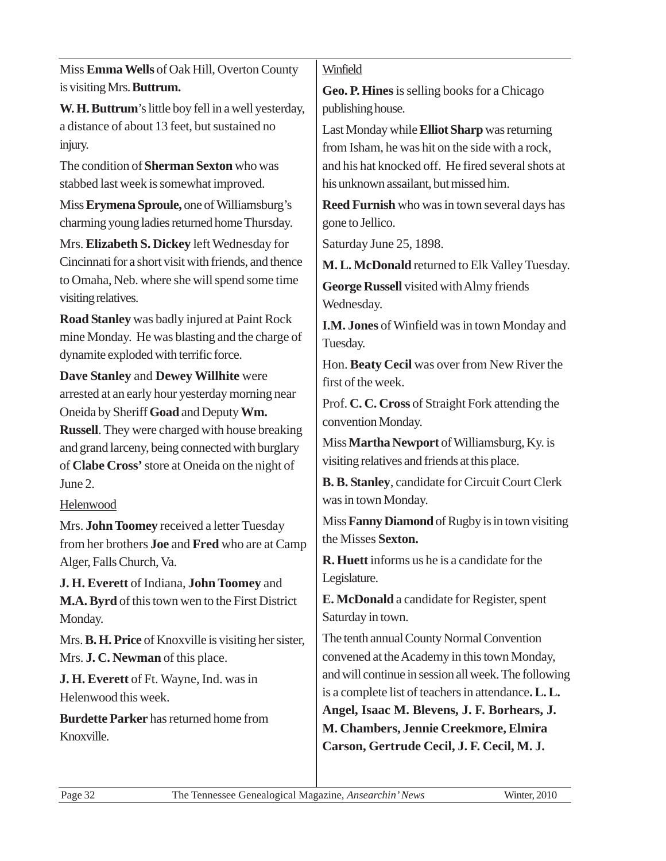| Miss Emma Wells of Oak Hill, Overton County                                                    | Winfield                                                |
|------------------------------------------------------------------------------------------------|---------------------------------------------------------|
| is visiting Mrs. Buttrum.                                                                      | <b>Geo. P. Hines</b> is selling books for a Chicago     |
| W. H. Buttrum's little boy fell in a well yesterday,                                           | publishing house.                                       |
| a distance of about 13 feet, but sustained no                                                  | Last Monday while <b>Elliot Sharp</b> was returning     |
| injury.                                                                                        | from Isham, he was hit on the side with a rock,         |
| The condition of Sherman Sexton who was                                                        | and his hat knocked off. He fired several shots at      |
| stabbed last week is somewhat improved.                                                        | his unknown assailant, but missed him.                  |
| Miss Erymena Sproule, one of Williamsburg's                                                    | <b>Reed Furnish</b> who was in town several days has    |
| charming young ladies returned home Thursday.                                                  | gone to Jellico.                                        |
| Mrs. Elizabeth S. Dickey left Wednesday for                                                    | Saturday June 25, 1898.                                 |
| Cincinnati for a short visit with friends, and thence                                          | M. L. McDonald returned to Elk Valley Tuesday.          |
| to Omaha, Neb. where she will spend some time                                                  | George Russell visited with Almy friends                |
| visiting relatives.                                                                            | Wednesday.                                              |
| <b>Road Stanley</b> was badly injured at Paint Rock                                            | I.M. Jones of Winfield was in town Monday and           |
| mine Monday. He was blasting and the charge of                                                 | Tuesday.                                                |
| dynamite exploded with terrific force.                                                         | Hon. Beaty Cecil was over from New River the            |
| Dave Stanley and Dewey Willhite were                                                           | first of the week.                                      |
| arrested at an early hour yesterday morning near                                               | Prof. C. C. Cross of Straight Fork attending the        |
| Oneida by Sheriff Goad and Deputy Wm.<br><b>Russell.</b> They were charged with house breaking | convention Monday.                                      |
| and grand larceny, being connected with burglary                                               | Miss Martha Newport of Williamsburg, Ky. is             |
| of Clabe Cross' store at Oneida on the night of                                                | visiting relatives and friends at this place.           |
| June 2.                                                                                        | <b>B. B. Stanley, candidate for Circuit Court Clerk</b> |
| Helenwood                                                                                      | was in town Monday.                                     |
| Mrs. John Toomey received a letter Tuesday                                                     | Miss Fanny Diamond of Rugby is in town visiting         |
| from her brothers Joe and Fred who are at Camp                                                 | the Misses Sexton.                                      |
| Alger, Falls Church, Va.                                                                       | <b>R. Huett</b> informs us he is a candidate for the    |
| J. H. Everett of Indiana, John Toomey and                                                      | Legislature.                                            |
| M.A. Byrd of this town wen to the First District                                               | <b>E. McDonald</b> a candidate for Register, spent      |
| Monday.                                                                                        | Saturday in town.                                       |
| Mrs. B. H. Price of Knoxville is visiting her sister,                                          | The tenth annual County Normal Convention               |
| Mrs. J. C. Newman of this place.                                                               | convened at the Academy in this town Monday,            |
| J. H. Everett of Ft. Wayne, Ind. was in                                                        | and will continue in session all week. The following    |
| Helenwood this week.                                                                           | is a complete list of teachers in attendance. L. L.     |
| <b>Burdette Parker</b> has returned home from                                                  | Angel, Isaac M. Blevens, J. F. Borhears, J.             |
| Knoxville.                                                                                     | M. Chambers, Jennie Creekmore, Elmira                   |
|                                                                                                | Carson, Gertrude Cecil, J. F. Cecil, M. J.              |
|                                                                                                |                                                         |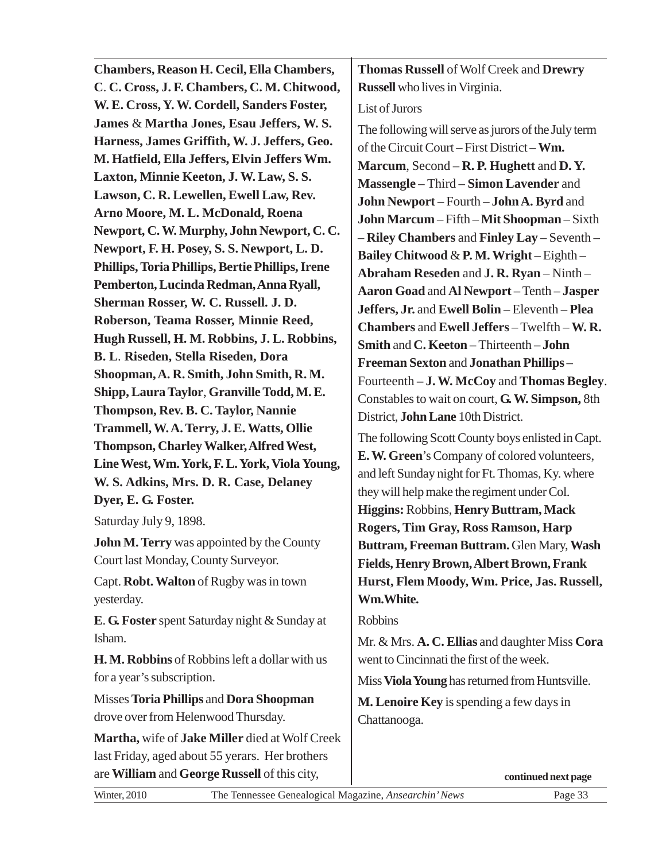| Chambers, Reason H. Cecil, Ella Chambers,            | <b>Thomas Russell of Wolf Creek and Drewry</b>      |
|------------------------------------------------------|-----------------------------------------------------|
| C. C. Cross, J. F. Chambers, C. M. Chitwood,         | <b>Russell</b> who lives in Virginia.               |
| W. E. Cross, Y. W. Cordell, Sanders Foster,          | List of Jurors                                      |
| James & Martha Jones, Esau Jeffers, W.S.             | The following will serve as jurors of the July term |
| Harness, James Griffith, W. J. Jeffers, Geo.         | of the Circuit Court – First District – Wm.         |
| M. Hatfield, Ella Jeffers, Elvin Jeffers Wm.         | Marcum, Second – R. P. Hughett and D. Y.            |
| Laxton, Minnie Keeton, J. W. Law, S. S.              | Massengle - Third - Simon Lavender and              |
| Lawson, C. R. Lewellen, Ewell Law, Rev.              | John Newport - Fourth - John A. Byrd and            |
| Arno Moore, M. L. McDonald, Roena                    | John Marcum - Fifth - Mit Shoopman - Sixth          |
| Newport, C.W. Murphy, John Newport, C.C.             | - Riley Chambers and Finley Lay - Seventh -         |
| Newport, F. H. Posey, S. S. Newport, L. D.           | Bailey Chitwood & P.M. Wright-Eighth-               |
| Phillips, Toria Phillips, Bertie Phillips, Irene     | Abraham Reseden and J. R. Ryan - Ninth -            |
| Pemberton, Lucinda Redman, Anna Ryall,               | Aaron Goad and Al Newport - Tenth - Jasper          |
| Sherman Rosser, W. C. Russell. J. D.                 | Jeffers, Jr. and Ewell Bolin - Eleventh - Plea      |
| Roberson, Teama Rosser, Minnie Reed,                 | Chambers and Ewell Jeffers - Twelfth - W.R.         |
| Hugh Russell, H. M. Robbins, J. L. Robbins,          | Smith and C. Keeton - Thirteenth - John             |
| B. L. Riseden, Stella Riseden, Dora                  | Freeman Sexton and Jonathan Phillips-               |
| Shoopman, A. R. Smith, John Smith, R. M.             | Fourteenth - J. W. McCoy and Thomas Begley.         |
| Shipp, Laura Taylor, Granville Todd, M.E.            | Constables to wait on court, G. W. Simpson, 8th     |
| Thompson, Rev. B. C. Taylor, Nannie                  | District, John Lane 10th District.                  |
| Trammell, W.A. Terry, J.E. Watts, Ollie              | The following Scott County boys enlisted in Capt.   |
| <b>Thompson, Charley Walker, Alfred West,</b>        | E. W. Green's Company of colored volunteers,        |
| Line West, Wm. York, F. L. York, Viola Young,        | and left Sunday night for Ft. Thomas, Ky. where     |
| W. S. Adkins, Mrs. D. R. Case, Delaney               | they will help make the regiment under Col.         |
| Dyer, E. G. Foster.                                  | Higgins: Robbins, Henry Buttram, Mack               |
| Saturday July 9, 1898.                               | <b>Rogers, Tim Gray, Ross Ramson, Harp</b>          |
| John M. Terry was appointed by the County            | Buttram, Freeman Buttram. Glen Mary, Wash           |
| Court last Monday, County Surveyor.                  | Fields, Henry Brown, Albert Brown, Frank            |
| Capt. Robt. Walton of Rugby was in town              | Hurst, Flem Moody, Wm. Price, Jas. Russell,         |
| yesterday.                                           | Wm.White.                                           |
| <b>E. G. Foster</b> spent Saturday night & Sunday at | <b>Robbins</b>                                      |
| Isham.                                               | Mr. & Mrs. A. C. Ellias and daughter Miss Cora      |
| H. M. Robbins of Robbins left a dollar with us       | went to Cincinnati the first of the week.           |
| for a year's subscription.                           | Miss Viola Young has returned from Huntsville.      |
| Misses Toria Phillips and Dora Shoopman              |                                                     |
| drove over from Helenwood Thursday.                  | <b>M. Lenoire Key</b> is spending a few days in     |
|                                                      | Chattanooga.                                        |
| Martha, wife of Jake Miller died at Wolf Creek       |                                                     |
| last Friday, aged about 55 yerars. Her brothers      |                                                     |
| are William and George Russell of this city,         | continued next page                                 |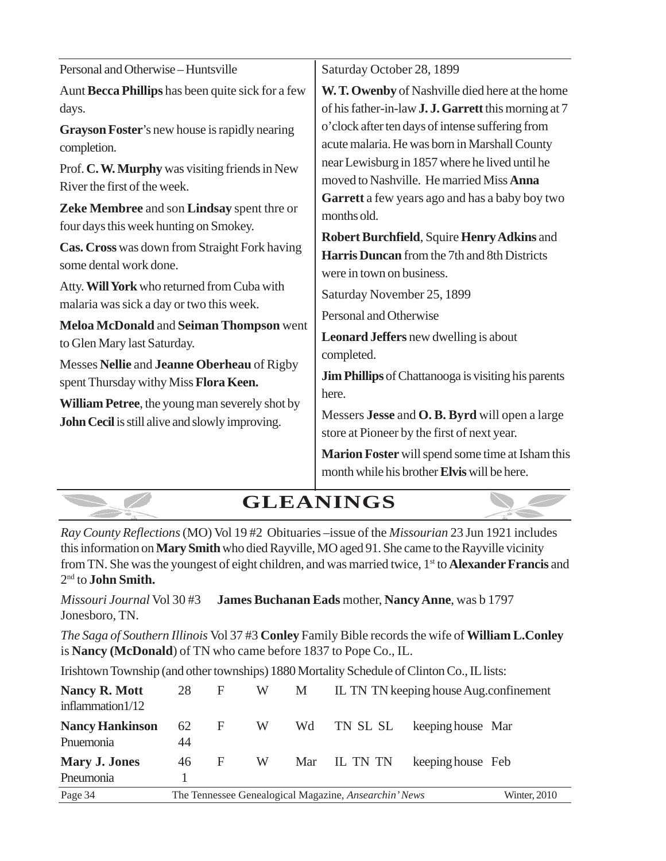| Saturday October 28, 1899                                                                                                                                                                                                                                                                                                                                                                                                                                                                                                                                                                                                                                                                                                                                                                                                                                                                                            |
|----------------------------------------------------------------------------------------------------------------------------------------------------------------------------------------------------------------------------------------------------------------------------------------------------------------------------------------------------------------------------------------------------------------------------------------------------------------------------------------------------------------------------------------------------------------------------------------------------------------------------------------------------------------------------------------------------------------------------------------------------------------------------------------------------------------------------------------------------------------------------------------------------------------------|
| W. T. Owenby of Nashville died here at the home<br>of his father-in-law <b>J. J. Garrett</b> this morning at 7<br>o'clock after ten days of intense suffering from<br>acute malaria. He was born in Marshall County<br>near Lewisburg in 1857 where he lived until he<br>moved to Nashville. He married Miss Anna<br>Garrett a few years ago and has a baby boy two<br>months old.<br>Robert Burchfield, Squire Henry Adkins and<br><b>Harris Duncan</b> from the 7th and 8th Districts<br>were in town on business.<br>Saturday November 25, 1899<br>Personal and Otherwise<br><b>Leonard Jeffers</b> new dwelling is about<br>completed.<br><b>Jim Phillips</b> of Chattanooga is visiting his parents<br>here.<br>Messers Jesse and O.B. Byrd will open a large<br>store at Pioneer by the first of next year.<br>Marion Foster will spend some time at Isham this<br>month while his brother Elvis will be here. |
|                                                                                                                                                                                                                                                                                                                                                                                                                                                                                                                                                                                                                                                                                                                                                                                                                                                                                                                      |

**GLEANINGS**

**CONTRACTOR** 

*Ray County Reflections* (MO) Vol 19 #2 Obituaries –issue of the *Missourian* 23 Jun 1921 includes this information on **Mary Smith** who died Rayville, MO aged 91. She came to the Rayville vicinity from TN. She was the youngest of eight children, and was married twice, 1st to **Alexander Francis** and 2 nd to **John Smith.**

*Missouri Journal* Vol 30 #3 **James Buchanan Eads** mother, **Nancy Anne**, was b 1797 Jonesboro, TN.

 $\sim$ 

*The Saga of Southern Illinois* Vol 37 #3 **Conley** Family Bible records the wife of **William L.Conley** is **Nancy (McDonald**) of TN who came before 1837 to Pope Co., IL.

Irishtown Township (and other townships) 1880 Mortality Schedule of Clinton Co., IL lists:

| Nancy R. Mott<br>inflammation $1/12$ | 28       | F | W | M   |                                                       | IL TN TN keeping house Aug.confinement |              |
|--------------------------------------|----------|---|---|-----|-------------------------------------------------------|----------------------------------------|--------------|
| <b>Nancy Hankinson</b><br>Pnuemonia  | 62<br>44 | F | W | Wd  | TN SL SL                                              | keeping house Mar                      |              |
| <b>Mary J. Jones</b><br>Pneumonia    | 46       | F | W | Mar | IL TN TN                                              | keeping house Feb                      |              |
| Page 34                              |          |   |   |     | The Tennessee Genealogical Magazine, Ansearchin' News |                                        | Winter, 2010 |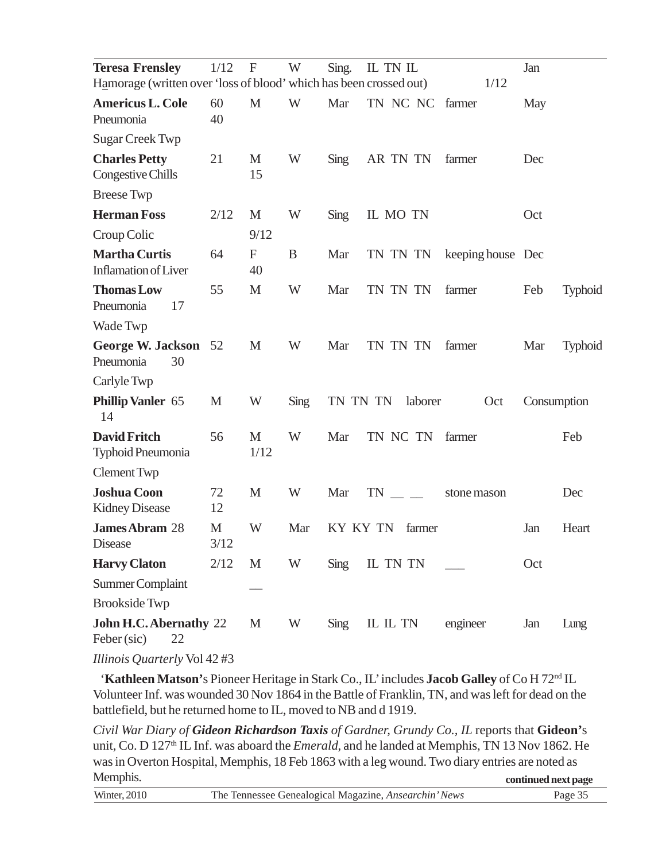| <b>Teresa Frensley</b><br>Hamorage (written over 'loss of blood' which has been crossed out) | 1/12      | $\mathbf F$       | W    | Sing.           | IL TN IL        | 1/12              | Jan         |                |
|----------------------------------------------------------------------------------------------|-----------|-------------------|------|-----------------|-----------------|-------------------|-------------|----------------|
| <b>Americus L. Cole</b><br>Pneumonia                                                         | 60<br>40  | $\mathbf{M}$      | W    | Mar             | TN NC NC farmer |                   | May         |                |
| <b>Sugar Creek Twp</b>                                                                       |           |                   |      |                 |                 |                   |             |                |
| <b>Charles Petty</b><br>Congestive Chills                                                    | 21        | M<br>15           | W    | Sing            | AR TN TN        | farmer            | Dec         |                |
| <b>Breese</b> Twp                                                                            |           |                   |      |                 |                 |                   |             |                |
| <b>Herman Foss</b>                                                                           | 2/12      | M                 | W    | Sing            | IL MO TN        |                   | Oct         |                |
| Croup Colic                                                                                  |           | 9/12              |      |                 |                 |                   |             |                |
| <b>Martha Curtis</b><br><b>Inflamation of Liver</b>                                          | 64        | $\mathbf F$<br>40 | B    | Mar             | TN TN TN        | keeping house Dec |             |                |
| <b>Thomas Low</b><br>Pneumonia<br>17                                                         | 55        | M                 | W    | Mar             | TN TN TN        | farmer            | Feb         | <b>Typhoid</b> |
| Wade Twp                                                                                     |           |                   |      |                 |                 |                   |             |                |
| <b>George W. Jackson</b><br>Pneumonia<br>30                                                  | 52        | M                 | W    | Mar             | TN TN TN        | farmer            | Mar         | <b>Typhoid</b> |
| Carlyle Twp                                                                                  |           |                   |      |                 |                 |                   |             |                |
| <b>Phillip Vanler 65</b><br>14                                                               | M         | W                 | Sing | TN TN TN        | laborer         | Oct               | Consumption |                |
| <b>David Fritch</b><br>Typhoid Pneumonia                                                     | 56        | M<br>1/12         | W    | Mar             | TN NC TN        | farmer            |             | Feb            |
| <b>Clement Twp</b>                                                                           |           |                   |      |                 |                 |                   |             |                |
| <b>Joshua Coon</b><br><b>Kidney Disease</b>                                                  | 72<br>12  | M                 | W    | Mar             | TN              | stone mason       |             | Dec            |
| <b>James Abram 28</b><br>Disease                                                             | M<br>3/12 | W                 | Mar  | <b>KY KY TN</b> | farmer          |                   | Jan         | Heart          |
| <b>Harvy Claton</b>                                                                          | 2/12      | M                 | W    | Sing            | IL TN TN        |                   | Oct         |                |
| <b>Summer Complaint</b>                                                                      |           |                   |      |                 |                 |                   |             |                |
| <b>Brookside Twp</b>                                                                         |           |                   |      |                 |                 |                   |             |                |
| John H.C. Abernathy 22<br>Feber (sic)<br>22                                                  |           | M                 | W    | Sing            | IL IL TN        | engineer          | Jan         | Lung           |
|                                                                                              |           |                   |      |                 |                 |                   |             |                |

*Illinois Quarterly* Vol 42 #3

'Kathleen Matson's Pioneer Heritage in Stark Co., IL' includes Jacob Galley of Co H 72<sup>nd</sup> IL Volunteer Inf. was wounded 30 Nov 1864 in the Battle of Franklin, TN, and was left for dead on the battlefield, but he returned home to IL, moved to NB and d 1919.

*Civil War Diary of Gideon Richardson Taxis of Gardner, Grundy Co., IL* reports that **Gideon'**s unit, Co. D 127<sup>th</sup> IL Inf. was aboard the *Emerald*, and he landed at Memphis, TN 13 Nov 1862. He was in Overton Hospital, Memphis, 18 Feb 1863 with a leg wound. Two diary entries are noted as Memphis. **continued next page**

| Winter | The Tennessee Genealogical Magazine, Ansearchin' News<br>---- ---------- - - ------ |  |
|--------|-------------------------------------------------------------------------------------|--|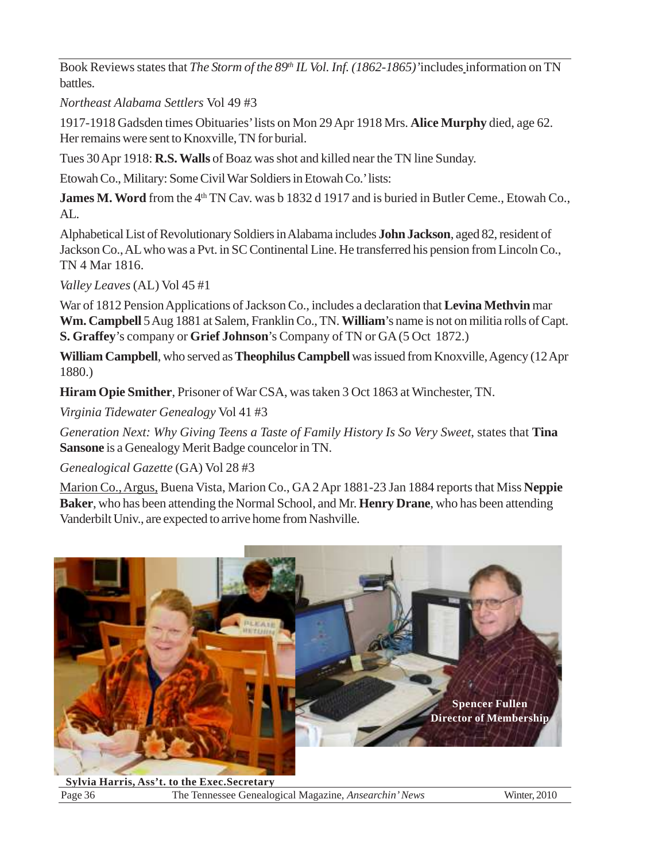Book Reviews states that *The Storm of the 89<sup>th</sup> IL Vol. Inf.* (1862-1865)'includes information on TN battles.

*Northeast Alabama Settlers* Vol 49 #3

1917-1918 Gadsden times Obituaries' lists on Mon 29 Apr 1918 Mrs. **Alice Murphy** died, age 62. Her remains were sent to Knoxville, TN for burial.

Tues 30 Apr 1918: **R.S. Walls** of Boaz was shot and killed near the TN line Sunday.

Etowah Co., Military: Some Civil War Soldiers in Etowah Co.' lists:

**James M. Word** from the 4<sup>th</sup> TN Cav. was b 1832 d 1917 and is buried in Butler Ceme., Etowah Co., AL.

Alphabetical List of Revolutionary Soldiers in Alabama includes **John Jackson**, aged 82, resident of Jackson Co., AL who was a Pvt. in SC Continental Line. He transferred his pension from Lincoln Co., TN 4 Mar 1816.

*Valley Leaves* (AL) Vol 45 #1

War of 1812 Pension Applications of Jackson Co., includes a declaration that **Levina Methvin** mar **Wm. Campbell** 5 Aug 1881 at Salem, Franklin Co., TN. **William**'s name is not on militia rolls of Capt. **S. Graffey**'s company or **Grief Johnson**'s Company of TN or GA (5 Oct 1872.)

**William Campbell**, who served as **Theophilus Campbell** was issued from Knoxville, Agency (12 Apr 1880.)

**Hiram Opie Smither**, Prisoner of War CSA, was taken 3 Oct 1863 at Winchester, TN.

*Virginia Tidewater Genealogy* Vol 41 #3

*Generation Next: Why Giving Teens a Taste of Family History Is So Very Sweet*, states that **Tina Sansone** is a Genealogy Merit Badge councelor in TN.

*Genealogical Gazette* (GA) Vol 28 #3

Marion Co., Argus, Buena Vista, Marion Co., GA 2 Apr 1881-23 Jan 1884 reports that Miss **Neppie Baker**, who has been attending the Normal School, and Mr. **Henry Drane**, who has been attending Vanderbilt Univ., are expected to arrive home from Nashville.



 Page 36 The Tennessee Genealogical Magazine, *Ansearchin' News* Winter, 2010 **Sylvia Harris, Ass't. to the Exec.Secretary**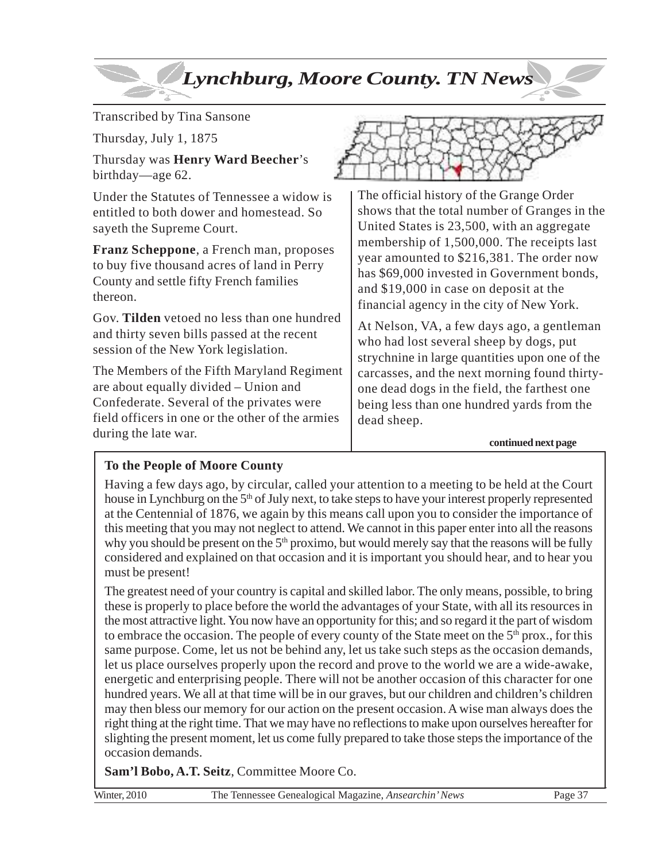# *Lynchburg, Moore County. TN News*

Transcribed by Tina Sansone

Thursday, July 1, 1875

Thursday was **Henry Ward Beecher**'s birthday—age 62.

Under the Statutes of Tennessee a widow is entitled to both dower and homestead. So sayeth the Supreme Court.

**Franz Scheppone**, a French man, proposes to buy five thousand acres of land in Perry County and settle fifty French families thereon.

Gov. **Tilden** vetoed no less than one hundred and thirty seven bills passed at the recent session of the New York legislation.

The Members of the Fifth Maryland Regiment are about equally divided – Union and Confederate. Several of the privates were field officers in one or the other of the armies during the late war.



The official history of the Grange Order shows that the total number of Granges in the United States is 23,500, with an aggregate membership of 1,500,000. The receipts last year amounted to \$216,381. The order now has \$69,000 invested in Government bonds, and \$19,000 in case on deposit at the financial agency in the city of New York.

At Nelson, VA, a few days ago, a gentleman who had lost several sheep by dogs, put strychnine in large quantities upon one of the carcasses, and the next morning found thirtyone dead dogs in the field, the farthest one being less than one hundred yards from the dead sheep.

**continued next page**

### **To the People of Moore County**

Having a few days ago, by circular, called your attention to a meeting to be held at the Court house in Lynchburg on the 5<sup>th</sup> of July next, to take steps to have your interest properly represented at the Centennial of 1876, we again by this means call upon you to consider the importance of this meeting that you may not neglect to attend. We cannot in this paper enter into all the reasons why you should be present on the  $5<sup>th</sup>$  proximo, but would merely say that the reasons will be fully considered and explained on that occasion and it is important you should hear, and to hear you must be present!

The greatest need of your country is capital and skilled labor. The only means, possible, to bring these is properly to place before the world the advantages of your State, with all its resources in the most attractive light. You now have an opportunity for this; and so regard it the part of wisdom to embrace the occasion. The people of every county of the State meet on the  $5<sup>th</sup>$  prox., for this same purpose. Come, let us not be behind any, let us take such steps as the occasion demands, let us place ourselves properly upon the record and prove to the world we are a wide-awake, energetic and enterprising people. There will not be another occasion of this character for one hundred years. We all at that time will be in our graves, but our children and children's children may then bless our memory for our action on the present occasion. A wise man always does the right thing at the right time. That we may have no reflections to make upon ourselves hereafter for slighting the present moment, let us come fully prepared to take those steps the importance of the occasion demands.

**Sam'l Bobo, A.T. Seitz**, Committee Moore Co.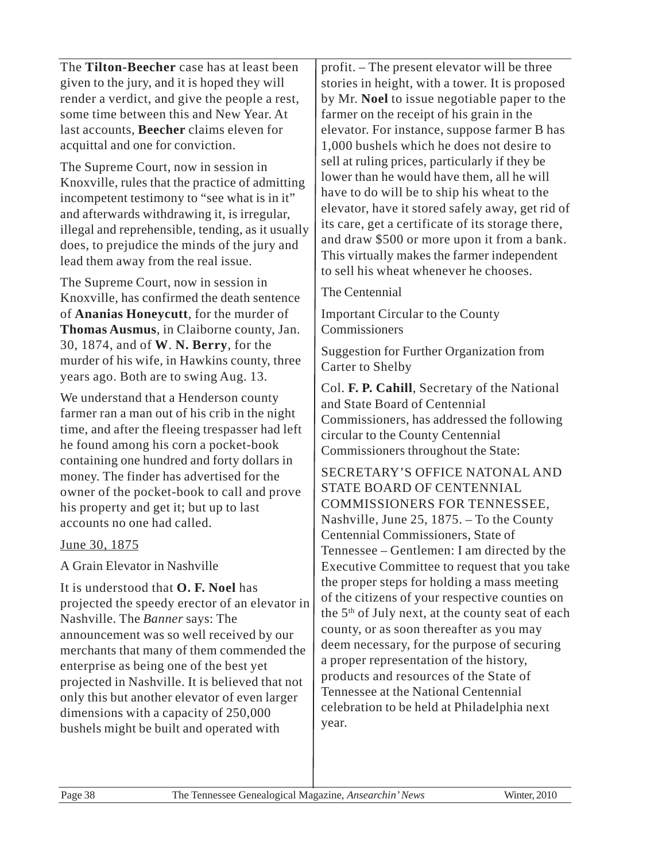The **Tilton-Beecher** case has at least been given to the jury, and it is hoped they will render a verdict, and give the people a rest, some time between this and New Year. At last accounts, **Beecher** claims eleven for acquittal and one for conviction.

The Supreme Court, now in session in Knoxville, rules that the practice of admitting incompetent testimony to "see what is in it" and afterwards withdrawing it, is irregular, illegal and reprehensible, tending, as it usually does, to prejudice the minds of the jury and lead them away from the real issue.

The Supreme Court, now in session in Knoxville, has confirmed the death sentence of **Ananias Honeycutt**, for the murder of **Thomas Ausmus**, in Claiborne county, Jan. 30, 1874, and of **W**. **N. Berry**, for the murder of his wife, in Hawkins county, three years ago. Both are to swing Aug. 13.

We understand that a Henderson county farmer ran a man out of his crib in the night time, and after the fleeing trespasser had left he found among his corn a pocket-book containing one hundred and forty dollars in money. The finder has advertised for the owner of the pocket-book to call and prove his property and get it; but up to last accounts no one had called.

June 30, 1875

A Grain Elevator in Nashville

It is understood that **O. F. Noel** has projected the speedy erector of an elevator in Nashville. The *Banner* says: The announcement was so well received by our merchants that many of them commended the enterprise as being one of the best yet projected in Nashville. It is believed that not only this but another elevator of even larger dimensions with a capacity of 250,000 bushels might be built and operated with

profit. – The present elevator will be three stories in height, with a tower. It is proposed by Mr. **Noel** to issue negotiable paper to the farmer on the receipt of his grain in the elevator. For instance, suppose farmer B has 1,000 bushels which he does not desire to sell at ruling prices, particularly if they be lower than he would have them, all he will have to do will be to ship his wheat to the elevator, have it stored safely away, get rid of its care, get a certificate of its storage there, and draw \$500 or more upon it from a bank. This virtually makes the farmer independent to sell his wheat whenever he chooses.

The Centennial

Important Circular to the County **Commissioners** 

Suggestion for Further Organization from Carter to Shelby

Col. **F. P. Cahill**, Secretary of the National and State Board of Centennial Commissioners, has addressed the following circular to the County Centennial Commissioners throughout the State:

SECRETARY'S OFFICE NATONAL AND STATE BOARD OF CENTENNIAL COMMISSIONERS FOR TENNESSEE, Nashville, June 25, 1875. – To the County Centennial Commissioners, State of Tennessee – Gentlemen: I am directed by the Executive Committee to request that you take the proper steps for holding a mass meeting of the citizens of your respective counties on the  $5<sup>th</sup>$  of July next, at the county seat of each county, or as soon thereafter as you may deem necessary, for the purpose of securing a proper representation of the history, products and resources of the State of Tennessee at the National Centennial celebration to be held at Philadelphia next year.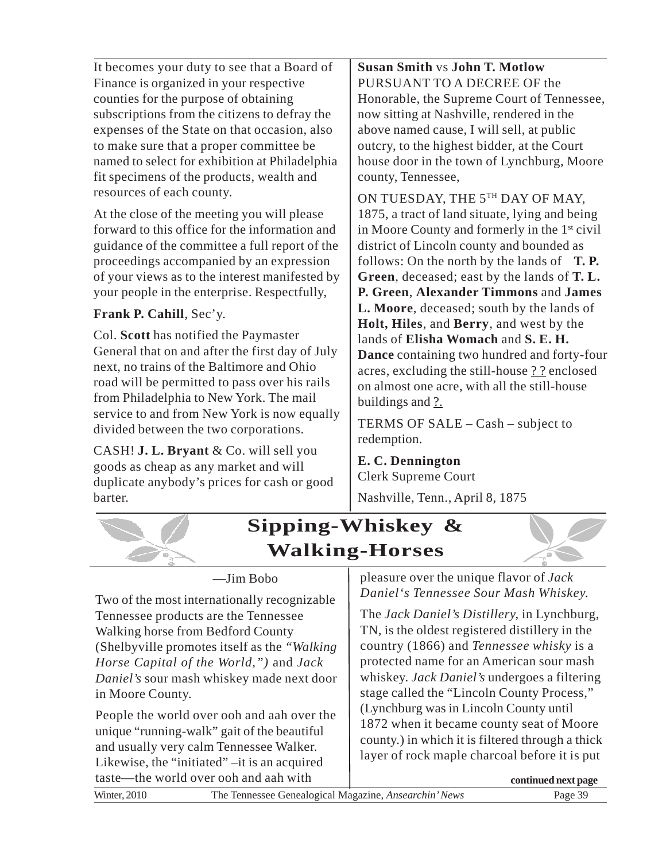It becomes your duty to see that a Board of Finance is organized in your respective counties for the purpose of obtaining subscriptions from the citizens to defray the expenses of the State on that occasion, also to make sure that a proper committee be named to select for exhibition at Philadelphia fit specimens of the products, wealth and resources of each county.

At the close of the meeting you will please forward to this office for the information and guidance of the committee a full report of the proceedings accompanied by an expression of your views as to the interest manifested by your people in the enterprise. Respectfully,

### **Frank P. Cahill**, Sec'y.

Col. **Scott** has notified the Paymaster General that on and after the first day of July next, no trains of the Baltimore and Ohio road will be permitted to pass over his rails from Philadelphia to New York. The mail service to and from New York is now equally divided between the two corporations.

CASH! **J. L. Bryant** & Co. will sell you goods as cheap as any market and will duplicate anybody's prices for cash or good barter.

**Susan Smith** vs **John T. Motlow** PURSUANT TO A DECREE OF the Honorable, the Supreme Court of Tennessee, now sitting at Nashville, rendered in the above named cause, I will sell, at public outcry, to the highest bidder, at the Court house door in the town of Lynchburg, Moore county, Tennessee,

ON TUESDAY, THE 5TH DAY OF MAY, 1875, a tract of land situate, lying and being in Moore County and formerly in the 1st civil district of Lincoln county and bounded as follows: On the north by the lands of **T. P. Green**, deceased; east by the lands of **T. L. P. Green**, **Alexander Timmons** and **James L. Moore**, deceased; south by the lands of **Holt, Hiles**, and **Berry**, and west by the lands of **Elisha Womach** and **S. E. H. Dance** containing two hundred and forty-four acres, excluding the still-house ? ? enclosed on almost one acre, with all the still-house buildings and ?.

TERMS OF SALE – Cash – subject to redemption.

**E. C. Dennington** Clerk Supreme Court

Nashville, Tenn., April 8, 1875



—Jim Bobo

Two of the most internationally recognizable Tennessee products are the Tennessee Walking horse from Bedford County (Shelbyville promotes itself as the *"Walking Horse Capital of the World,")* and *Jack Daniel's* sour mash whiskey made next door in Moore County.

People the world over ooh and aah over the unique "running-walk" gait of the beautiful and usually very calm Tennessee Walker. Likewise, the "initiated" –it is an acquired taste—the world over ooh and aah with

pleasure over the unique flavor of *Jack Daniel's Tennessee Sour Mash Whiskey.*

The *Jack Daniel's Distillery,* in Lynchburg, TN*,* is the oldest registered distillery in the country (1866) and *Tennessee whisky* is a protected name for an American sour mash whiskey. *Jack Daniel's* undergoes a filtering stage called the "Lincoln County Process," (Lynchburg was in Lincoln County until 1872 when it became county seat of Moore county.) in which it is filtered through a thick layer of rock maple charcoal before it is put

| taste—the world over ooh and aah with                                        | continued next page |
|------------------------------------------------------------------------------|---------------------|
| <b>Winter, 2010</b><br>The Tennessee Genealogical Magazine, Ansearchin' News | Page 39             |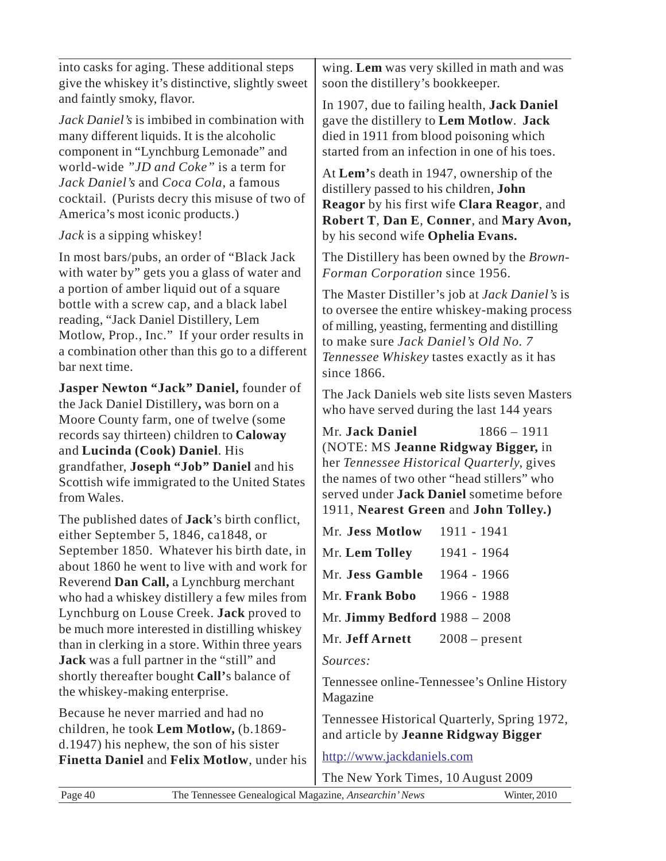| into casks for aging. These additional steps<br>give the whiskey it's distinctive, slightly sweet                                                                                                                                                      | wing. Lem was very skilled in math and was<br>soon the distillery's bookkeeper.                                                                                                                                                                               |  |  |
|--------------------------------------------------------------------------------------------------------------------------------------------------------------------------------------------------------------------------------------------------------|---------------------------------------------------------------------------------------------------------------------------------------------------------------------------------------------------------------------------------------------------------------|--|--|
| and faintly smoky, flavor.<br>Jack Daniel's is imbibed in combination with<br>many different liquids. It is the alcoholic<br>component in "Lynchburg Lemonade" and                                                                                     | In 1907, due to failing health, Jack Daniel<br>gave the distillery to Lem Motlow. Jack<br>died in 1911 from blood poisoning which<br>started from an infection in one of his toes.                                                                            |  |  |
| world-wide "JD and Coke" is a term for<br>Jack Daniel's and Coca Cola, a famous<br>cocktail. (Purists decry this misuse of two of<br>America's most iconic products.)                                                                                  | At Lem's death in 1947, ownership of the<br>distillery passed to his children, John<br>Reagor by his first wife Clara Reagor, and<br>Robert T, Dan E, Conner, and Mary Avon,                                                                                  |  |  |
| Jack is a sipping whiskey!                                                                                                                                                                                                                             | by his second wife Ophelia Evans.                                                                                                                                                                                                                             |  |  |
| In most bars/pubs, an order of "Black Jack"<br>with water by" gets you a glass of water and                                                                                                                                                            | The Distillery has been owned by the <i>Brown</i> -<br>Forman Corporation since 1956.                                                                                                                                                                         |  |  |
| a portion of amber liquid out of a square<br>bottle with a screw cap, and a black label<br>reading, "Jack Daniel Distillery, Lem<br>Motlow, Prop., Inc." If your order results in<br>a combination other than this go to a different<br>bar next time. | The Master Distiller's job at <i>Jack Daniel's</i> is<br>to oversee the entire whiskey-making process<br>of milling, yeasting, fermenting and distilling<br>to make sure Jack Daniel's Old No. 7<br>Tennessee Whiskey tastes exactly as it has<br>since 1866. |  |  |
| Jasper Newton "Jack" Daniel, founder of<br>the Jack Daniel Distillery, was born on a                                                                                                                                                                   | The Jack Daniels web site lists seven Masters<br>who have served during the last 144 years                                                                                                                                                                    |  |  |
| Moore County farm, one of twelve (some<br>records say thirteen) children to Caloway<br>and Lucinda (Cook) Daniel. His<br>grandfather, Joseph "Job" Daniel and his<br>Scottish wife immigrated to the United States<br>from Wales.                      | Mr. Jack Daniel<br>$1866 - 1911$<br>(NOTE: MS Jeanne Ridgway Bigger, in<br>her Tennessee Historical Quarterly, gives<br>the names of two other "head stillers" who<br>served under Jack Daniel sometime before                                                |  |  |
| The published dates of <b>Jack</b> 's birth conflict,                                                                                                                                                                                                  | 1911, Nearest Green and John Tolley.)                                                                                                                                                                                                                         |  |  |
| either September 5, 1846, ca1848, or                                                                                                                                                                                                                   | Mr. Jess Motlow<br>1911 - 1941                                                                                                                                                                                                                                |  |  |
| September 1850. Whatever his birth date, in                                                                                                                                                                                                            | Mr. Lem Tolley<br>1941 - 1964                                                                                                                                                                                                                                 |  |  |
| about 1860 he went to live with and work for<br>Reverend Dan Call, a Lynchburg merchant                                                                                                                                                                | Mr. Jess Gamble<br>1964 - 1966                                                                                                                                                                                                                                |  |  |
| who had a whiskey distillery a few miles from                                                                                                                                                                                                          | Mr. Frank Bobo<br>1966 - 1988                                                                                                                                                                                                                                 |  |  |
| Lynchburg on Louse Creek. Jack proved to                                                                                                                                                                                                               | Mr. Jimmy Bedford $1988 - 2008$                                                                                                                                                                                                                               |  |  |
| be much more interested in distilling whiskey                                                                                                                                                                                                          | Mr. Jeff Arnett<br>$2008$ – present                                                                                                                                                                                                                           |  |  |
| than in clerking in a store. Within three years                                                                                                                                                                                                        |                                                                                                                                                                                                                                                               |  |  |
| Jack was a full partner in the "still" and<br>shortly thereafter bought Call's balance of                                                                                                                                                              | Sources:                                                                                                                                                                                                                                                      |  |  |
| the whiskey-making enterprise.                                                                                                                                                                                                                         | Tennessee online-Tennessee's Online History<br>Magazine                                                                                                                                                                                                       |  |  |
| Because he never married and had no                                                                                                                                                                                                                    | Tennessee Historical Quarterly, Spring 1972,                                                                                                                                                                                                                  |  |  |
| children, he took Lem Motlow, (b.1869-<br>d.1947) his nephew, the son of his sister                                                                                                                                                                    | and article by Jeanne Ridgway Bigger                                                                                                                                                                                                                          |  |  |
| Finetta Daniel and Felix Motlow, under his                                                                                                                                                                                                             | http://www.jackdaniels.com                                                                                                                                                                                                                                    |  |  |
|                                                                                                                                                                                                                                                        | The New York Times, 10 August 2009                                                                                                                                                                                                                            |  |  |
| Page 40<br>The Tennessee Genealogical Magazine, Ansearchin' News                                                                                                                                                                                       | Winter, 2010                                                                                                                                                                                                                                                  |  |  |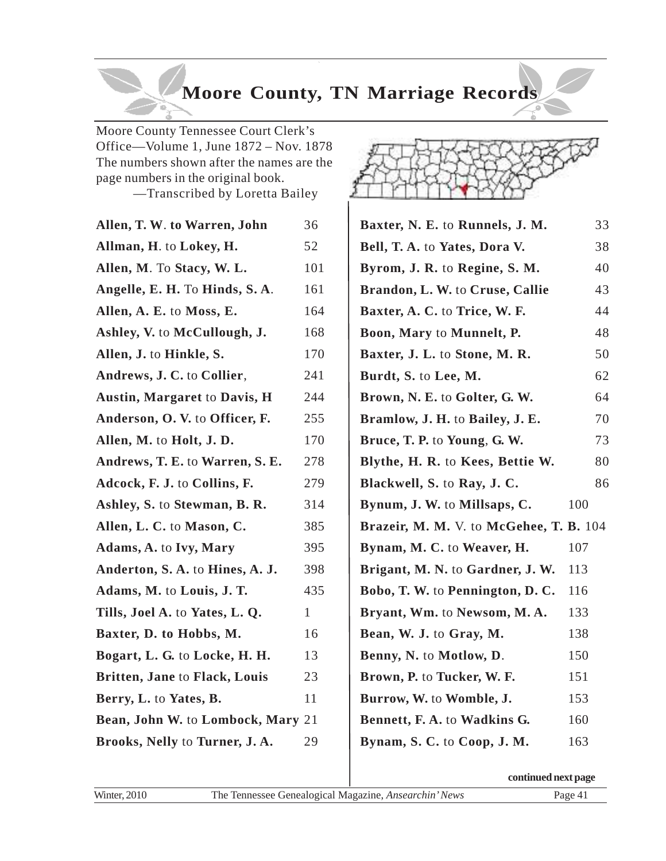# **Moore County, TN Marriage Records**

Moore County Tennessee Court Clerk's Office—Volume 1, June 1872 – Nov. 1878 The numbers shown after the names are the page numbers in the original book.

—Transcribed by Loretta Bailey

| Allen, T. W. to Warren, John         | 36           |
|--------------------------------------|--------------|
| Allman, H. to Lokey, H.              | 52           |
| Allen, M. To Stacy, W. L.            | 101          |
| Angelle, E. H. To Hinds, S. A.       | 161          |
| Allen, A. E. to Moss, E.             | 164          |
| Ashley, V. to McCullough, J.         | 168          |
| Allen, J. to Hinkle, S.              | 170          |
| Andrews, J. C. to Collier,           | 241          |
| <b>Austin, Margaret to Davis, H</b>  | 244          |
| Anderson, O.V. to Officer, F.        | 255          |
| Allen, M. to Holt, J. D.             | 170          |
| Andrews, T. E. to Warren, S. E.      | 278          |
| Adcock, F. J. to Collins, F.         | 279          |
| Ashley, S. to Stewman, B. R.         | 314          |
| Allen, L. C. to Mason, C.            | 385          |
| <b>Adams, A. to Ivy, Mary</b>        | 395          |
| Anderton, S. A. to Hines, A. J.      | 398          |
| Adams, M. to Louis, J. T.            | 435          |
| Tills, Joel A. to Yates, L. Q.       | $\mathbf{1}$ |
| Baxter, D. to Hobbs, M.              | 16           |
| Bogart, L. G. to Locke, H. H.        | 13           |
| <b>Britten, Jane to Flack, Louis</b> | 23           |
| Berry, L. to Yates, B.               | 11           |
| Bean, John W. to Lombock, Mary 21    |              |
| Brooks, Nelly to Turner, J. A.       | 29           |



| Baxter, N. E. to Runnels, J. M.         | 33  |
|-----------------------------------------|-----|
| Bell, T. A. to Yates, Dora V.           | 38  |
| Byrom, J. R. to Regine, S. M.           | 40  |
| Brandon, L. W. to Cruse, Callie         | 43  |
| Baxter, A. C. to Trice, W. F.           | 44  |
| Boon, Mary to Munnelt, P.               | 48  |
| Baxter, J. L. to Stone, M. R.           | 50  |
| Burdt, S. to Lee, M.                    | 62  |
| Brown, N. E. to Golter, G. W.           | 64  |
| Bramlow, J. H. to Bailey, J. E.         | 70  |
| Bruce, T. P. to Young, G. W.            | 73  |
| Blythe, H. R. to Kees, Bettie W.        | 80  |
| Blackwell, S. to Ray, J. C.             | 86  |
| Bynum, J. W. to Millsaps, C.            | 100 |
| Brazeir, M. M. V. to McGehee, T. B. 104 |     |
| Bynam, M. C. to Weaver, H.              | 107 |
| Brigant, M. N. to Gardner, J. W.        | 113 |
| Bobo, T. W. to Pennington, D. C.        | 116 |
| Bryant, Wm. to Newsom, M.A.             | 133 |
| Bean, W. J. to Gray, M.                 | 138 |
| Benny, N. to Motlow, D.                 | 150 |
| Brown, P. to Tucker, W. F.              | 151 |
| Burrow, W. to Womble, J.                | 153 |
| Bennett, F. A. to Wadkins G.            | 160 |
| Bynam, S. C. to Coop, J. M.             | 163 |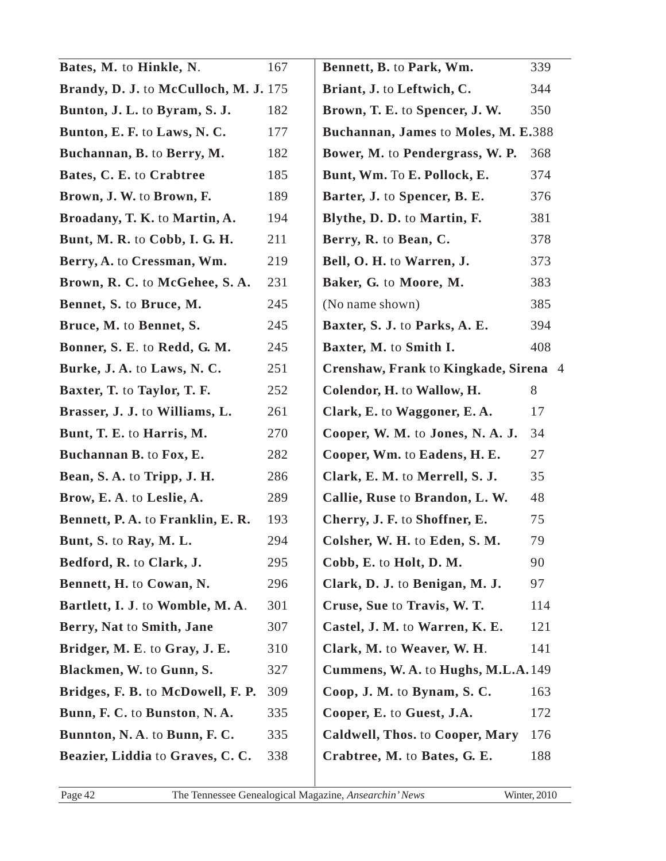| 167                                   | Bennett, B. to Park, Wm.              | 339                                                                                                                                       |  |
|---------------------------------------|---------------------------------------|-------------------------------------------------------------------------------------------------------------------------------------------|--|
| Brandy, D. J. to McCulloch, M. J. 175 |                                       | 344                                                                                                                                       |  |
| 182<br>Bunton, J. L. to Byram, S. J.  |                                       | 350                                                                                                                                       |  |
| 177                                   |                                       |                                                                                                                                           |  |
| 182                                   | Bower, M. to Pendergrass, W. P.       | 368                                                                                                                                       |  |
| 185                                   | Bunt, Wm. To E. Pollock, E.           | 374                                                                                                                                       |  |
| 189                                   | Barter, J. to Spencer, B. E.          | 376                                                                                                                                       |  |
| 194                                   | Blythe, D. D. to Martin, F.           | 381                                                                                                                                       |  |
| 211                                   | Berry, R. to Bean, C.                 | 378                                                                                                                                       |  |
| 219                                   | Bell, O. H. to Warren, J.             | 373                                                                                                                                       |  |
| 231                                   | Baker, G. to Moore, M.                | 383                                                                                                                                       |  |
| 245                                   | (No name shown)                       | 385                                                                                                                                       |  |
| 245                                   | Baxter, S. J. to Parks, A. E.         | 394                                                                                                                                       |  |
| 245                                   | Baxter, M. to Smith I.                | 408                                                                                                                                       |  |
| 251                                   | Crenshaw, Frank to Kingkade, Sirena 4 |                                                                                                                                           |  |
| 252                                   | Colendor, H. to Wallow, H.            | 8                                                                                                                                         |  |
| 261                                   | Clark, E. to Waggoner, E.A.           | 17                                                                                                                                        |  |
| 270                                   | Cooper, W. M. to Jones, N. A. J.      | 34                                                                                                                                        |  |
| 282                                   | Cooper, Wm. to Eadens, H. E.          | 27                                                                                                                                        |  |
| 286                                   | Clark, E. M. to Merrell, S. J.        | 35                                                                                                                                        |  |
| 289                                   | Callie, Ruse to Brandon, L. W.        | 48                                                                                                                                        |  |
| 193                                   | Cherry, J. F. to Shoffner, E.         | 75                                                                                                                                        |  |
| 294                                   | Colsher, W. H. to Eden, S. M.         | 79                                                                                                                                        |  |
| 295                                   | Cobb, E. to Holt, D. M.               | 90                                                                                                                                        |  |
| 296                                   | Clark, D. J. to Benigan, M. J.        | 97                                                                                                                                        |  |
| 301                                   | Cruse, Sue to Travis, W. T.           | 114                                                                                                                                       |  |
| 307                                   | Castel, J. M. to Warren, K. E.        | 121                                                                                                                                       |  |
| 310                                   | Clark, M. to Weaver, W. H.            | 141                                                                                                                                       |  |
| 327                                   |                                       |                                                                                                                                           |  |
| 309                                   | Coop, J. M. to Bynam, S. C.           | 163                                                                                                                                       |  |
| 335                                   | Cooper, E. to Guest, J.A.             | 172                                                                                                                                       |  |
| 335                                   | Caldwell, Thos. to Cooper, Mary       | 176                                                                                                                                       |  |
| 338                                   | Crabtree, M. to Bates, G. E.          | 188                                                                                                                                       |  |
|                                       |                                       | Briant, J. to Leftwich, C.<br>Brown, T. E. to Spencer, J. W.<br>Buchannan, James to Moles, M. E.388<br>Cummens, W. A. to Hughs, M.L.A.149 |  |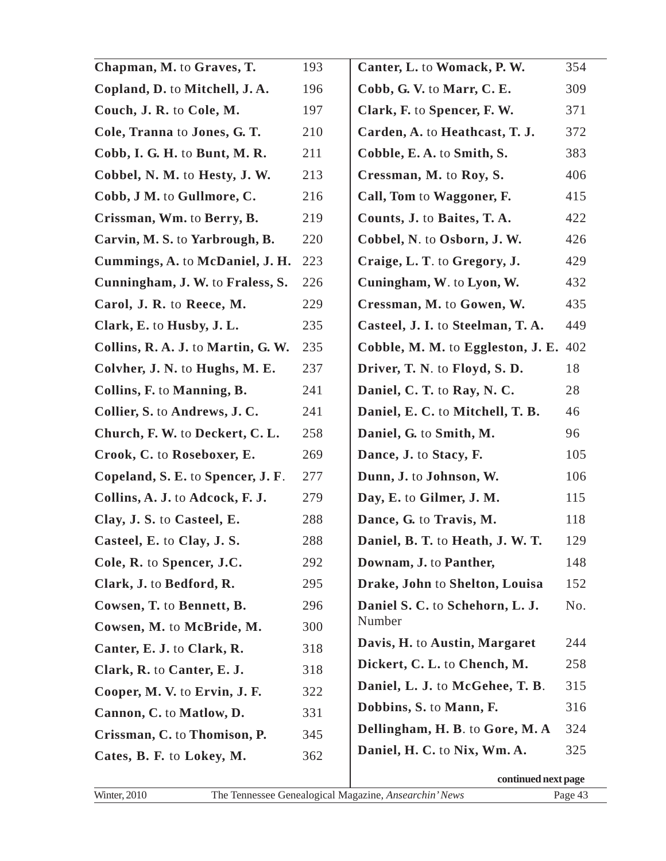| Chapman, M. to Graves, T.          | 193 | Canter, L. to Womack, P. W.       | 354 |
|------------------------------------|-----|-----------------------------------|-----|
| Copland, D. to Mitchell, J.A.      | 196 | Cobb, G. V. to Marr, C. E.        | 309 |
| Couch, J. R. to Cole, M.           | 197 | Clark, F. to Spencer, F. W.       | 371 |
| Cole, Tranna to Jones, G. T.       | 210 | Carden, A. to Heathcast, T. J.    | 372 |
| Cobb, I. G. H. to Bunt, M. R.      | 211 | Cobble, E. A. to Smith, S.        | 383 |
| Cobbel, N. M. to Hesty, J. W.      | 213 | Cressman, M. to Roy, S.           | 406 |
| Cobb, J M. to Gullmore, C.         | 216 | Call, Tom to Waggoner, F.         | 415 |
| Crissman, Wm. to Berry, B.         | 219 | Counts, J. to Baites, T. A.       | 422 |
| Carvin, M. S. to Yarbrough, B.     | 220 | Cobbel, N. to Osborn, J. W.       | 426 |
| Cummings, A. to McDaniel, J. H.    | 223 | Craige, L. T. to Gregory, J.      | 429 |
| Cunningham, J. W. to Fraless, S.   | 226 | Cuningham, W. to Lyon, W.         | 432 |
| Carol, J. R. to Reece, M.          | 229 | Cressman, M. to Gowen, W.         | 435 |
| Clark, E. to Husby, J. L.          | 235 | Casteel, J. I. to Steelman, T. A. | 449 |
| Collins, R. A. J. to Martin, G. W. | 235 | Cobble, M. M. to Eggleston, J. E. | 402 |
| Colvher, J. N. to Hughs, M. E.     | 237 | Driver, T. N. to Floyd, S. D.     | 18  |
| Collins, F. to Manning, B.         | 241 | Daniel, C. T. to Ray, N. C.       | 28  |
| Collier, S. to Andrews, J. C.      | 241 | Daniel, E. C. to Mitchell, T. B.  | 46  |
| Church, F. W. to Deckert, C. L.    | 258 | Daniel, G. to Smith, M.           | 96  |
| Crook, C. to Roseboxer, E.         | 269 | Dance, J. to Stacy, F.            | 105 |
| Copeland, S. E. to Spencer, J. F.  | 277 | Dunn, J. to Johnson, W.           | 106 |
| Collins, A. J. to Adcock, F. J.    | 279 | Day, E. to Gilmer, J. M.          | 115 |
| Clay, J. S. to Casteel, E.         | 288 | Dance, G. to Travis, M.           | 118 |
| Casteel, E. to Clay, J. S.         | 288 | Daniel, B. T. to Heath, J. W. T.  | 129 |
| Cole, R. to Spencer, J.C.          | 292 | Downam, J. to Panther,            | 148 |
| Clark, J. to Bedford, R.           | 295 | Drake, John to Shelton, Louisa    | 152 |
| Cowsen, T. to Bennett, B.          | 296 | Daniel S. C. to Schehorn, L. J.   | No. |
| Cowsen, M. to McBride, M.          | 300 | Number                            |     |
| Canter, E. J. to Clark, R.         | 318 | Davis, H. to Austin, Margaret     | 244 |
| Clark, R. to Canter, E. J.         | 318 | Dickert, C. L. to Chench, M.      | 258 |
| Cooper, M. V. to Ervin, J. F.      | 322 | Daniel, L. J. to McGehee, T. B.   | 315 |
| Cannon, C. to Matlow, D.           | 331 | Dobbins, S. to Mann, F.           | 316 |
| Crissman, C. to Thomison, P.       | 345 | Dellingham, H. B. to Gore, M. A.  | 324 |
| Cates, B. F. to Lokey, M.          | 362 | Daniel, H. C. to Nix, Wm. A.      | 325 |
|                                    |     |                                   |     |

**continued next page**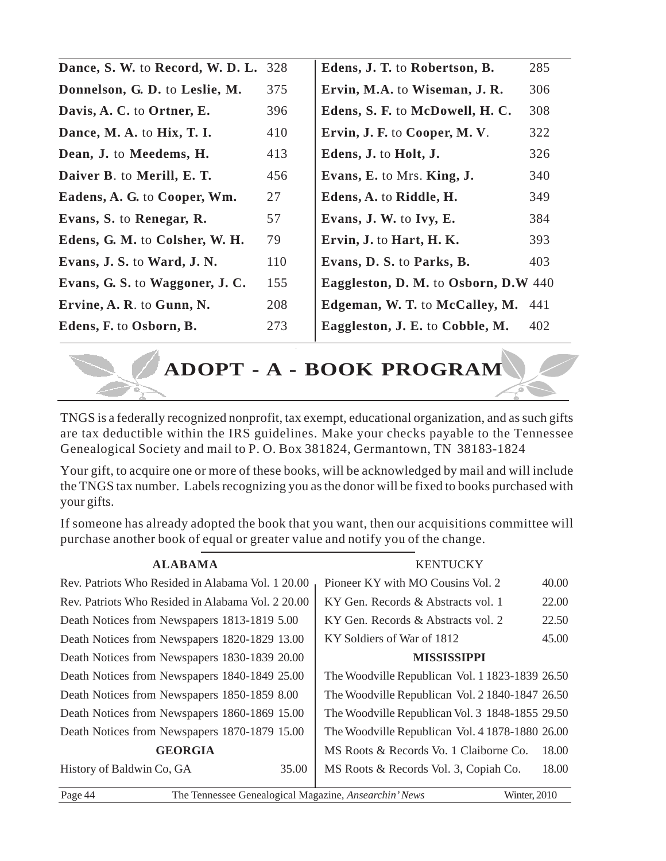| Dance, S. W. to Record, W. D. L. | 328 | Edens, J. T. to Robertson, B.        | 285 |
|----------------------------------|-----|--------------------------------------|-----|
| Donnelson, G. D. to Leslie, M.   | 375 | Ervin, M.A. to Wiseman, J. R.        | 306 |
| Davis, A. C. to Ortner, E.       | 396 | Edens, S. F. to McDowell, H. C.      | 308 |
| Dance, M. A. to Hix, T. I.       | 410 | Ervin, J. F. to Cooper, M. V.        | 322 |
| Dean, J. to Meedems, H.          | 413 | Edens, J. to Holt, J.                | 326 |
| Daiver B. to Merill, E. T.       | 456 | Evans, E. to Mrs. King, J.           | 340 |
| Eadens, A. G. to Cooper, Wm.     | 27  | Edens, A. to Riddle, H.              | 349 |
| Evans, S. to Renegar, R.         | 57  | Evans, J. W. to Ivy, E.              | 384 |
| Edens, G. M. to Colsher, W. H.   | 79  | Ervin, J. to Hart, H. K.             | 393 |
| Evans, J. S. to Ward, J. N.      | 110 | Evans, D. S. to Parks, B.            | 403 |
| Evans, G. S. to Waggoner, J. C.  | 155 | Eaggleston, D. M. to Osborn, D.W 440 |     |
| Ervine, A. R. to Gunn, N.        | 208 | Edgeman, W. T. to McCalley, M.       | 441 |
| Edens, F. to Osborn, B.          | 273 | Eaggleston, J. E. to Cobble, M.      | 402 |
|                                  |     |                                      |     |

**ADOPT - A - BOOK PROGRAM**

TNGS is a federally recognized nonprofit, tax exempt, educational organization, and as such gifts are tax deductible within the IRS guidelines. Make your checks payable to the Tennessee Genealogical Society and mail to P. O. Box 381824, Germantown, TN 38183-1824

Your gift, to acquire one or more of these books, will be acknowledged by mail and will include the TNGS tax number. Labels recognizing you as the donor will be fixed to books purchased with your gifts.

If someone has already adopted the book that you want, then our acquisitions committee will purchase another book of equal or greater value and notify you of the change.

| <b>ALABAMA</b>                                    | <b>KENTUCKY</b>                                 |
|---------------------------------------------------|-------------------------------------------------|
| Rev. Patriots Who Resided in Alabama Vol. 1 20.00 | Pioneer KY with MO Cousins Vol. 2<br>40.00      |
| Rev. Patriots Who Resided in Alabama Vol. 2 20.00 | 22.00<br>KY Gen. Records & Abstracts vol. 1     |
| Death Notices from Newspapers 1813-1819 5.00      | 22.50<br>KY Gen. Records & Abstracts vol. 2     |
| Death Notices from Newspapers 1820-1829 13.00     | 45.00<br>KY Soldiers of War of 1812             |
| Death Notices from Newspapers 1830-1839 20.00     | <b>MISSISSIPPI</b>                              |
| Death Notices from Newspapers 1840-1849 25.00     | The Woodville Republican Vol. 1 1823-1839 26.50 |
| Death Notices from Newspapers 1850-1859 8.00      | The Woodville Republican Vol. 2 1840-1847 26.50 |
| Death Notices from Newspapers 1860-1869 15.00     | The Woodville Republican Vol. 3 1848-1855 29.50 |
| Death Notices from Newspapers 1870-1879 15.00     | The Woodville Republican Vol. 4 1878-1880 26.00 |
| <b>GEORGIA</b>                                    | 18.00<br>MS Roots & Records Vo. 1 Claiborne Co. |
| History of Baldwin Co, GA<br>35.00                | 18.00<br>MS Roots & Records Vol. 3, Copiah Co.  |
|                                                   |                                                 |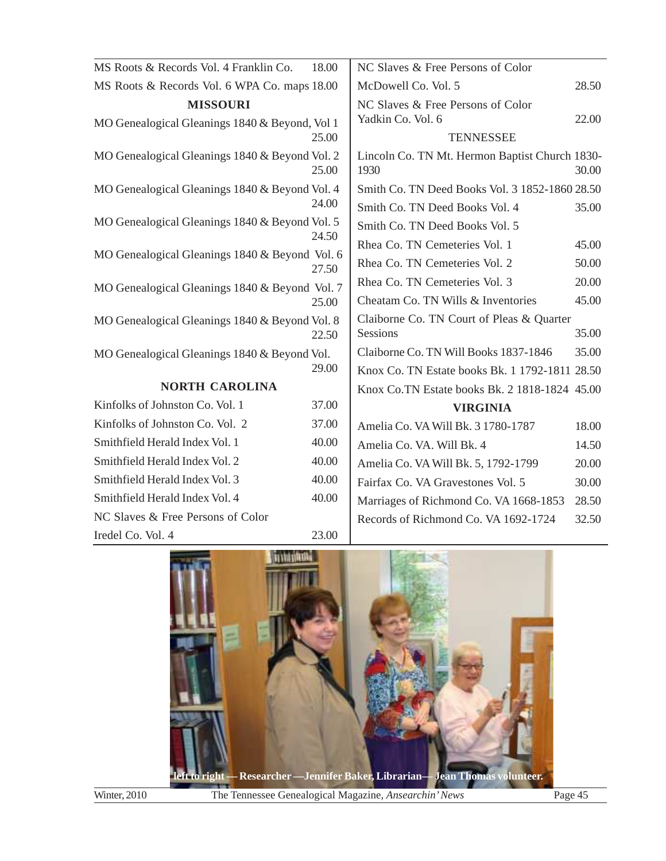| MS Roots & Records Vol. 4 Franklin Co.         | 18.00 | NC Slaves & Free Persons of Color                      |       |
|------------------------------------------------|-------|--------------------------------------------------------|-------|
| MS Roots & Records Vol. 6 WPA Co. maps 18.00   |       | McDowell Co. Vol. 5                                    | 28.50 |
| <b>MISSOURI</b>                                |       | NC Slaves & Free Persons of Color                      |       |
| MO Genealogical Gleanings 1840 & Beyond, Vol 1 |       | Yadkin Co. Vol. 6                                      | 22.00 |
|                                                | 25.00 | <b>TENNESSEE</b>                                       |       |
| MO Genealogical Gleanings 1840 & Beyond Vol. 2 | 25.00 | Lincoln Co. TN Mt. Hermon Baptist Church 1830-<br>1930 | 30.00 |
| MO Genealogical Gleanings 1840 & Beyond Vol. 4 |       | Smith Co. TN Deed Books Vol. 3 1852-1860 28.50         |       |
|                                                | 24.00 | Smith Co. TN Deed Books Vol. 4                         | 35.00 |
| MO Genealogical Gleanings 1840 & Beyond Vol. 5 |       | Smith Co. TN Deed Books Vol. 5                         |       |
|                                                | 24.50 | Rhea Co. TN Cemeteries Vol. 1                          | 45.00 |
| MO Genealogical Gleanings 1840 & Beyond Vol. 6 | 27.50 | Rhea Co. TN Cemeteries Vol. 2                          | 50.00 |
| MO Genealogical Gleanings 1840 & Beyond Vol. 7 |       | Rhea Co. TN Cemeteries Vol. 3                          | 20.00 |
|                                                | 25.00 | Cheatam Co. TN Wills & Inventories                     | 45.00 |
| MO Genealogical Gleanings 1840 & Beyond Vol. 8 | 22.50 | Claiborne Co. TN Court of Pleas & Quarter<br>Sessions  | 35.00 |
| MO Genealogical Gleanings 1840 & Beyond Vol.   |       | Claiborne Co. TN Will Books 1837-1846                  | 35.00 |
|                                                | 29.00 | Knox Co. TN Estate books Bk. 1 1792-1811 28.50         |       |
| <b>NORTH CAROLINA</b>                          |       | Knox Co.TN Estate books Bk. 2 1818-1824 45.00          |       |
| Kinfolks of Johnston Co. Vol. 1                | 37.00 | <b>VIRGINIA</b>                                        |       |
| Kinfolks of Johnston Co. Vol. 2                | 37.00 | Amelia Co. VA Will Bk. 3 1780-1787                     | 18.00 |
| Smithfield Herald Index Vol. 1                 | 40.00 | Amelia Co. VA. Will Bk. 4                              | 14.50 |
| Smithfield Herald Index Vol. 2                 | 40.00 | Amelia Co. VA Will Bk. 5, 1792-1799                    | 20.00 |
| Smithfield Herald Index Vol. 3                 | 40.00 | Fairfax Co. VA Gravestones Vol. 5                      | 30.00 |
| Smithfield Herald Index Vol. 4                 | 40.00 | Marriages of Richmond Co. VA 1668-1853                 | 28.50 |
| NC Slaves & Free Persons of Color              |       | Records of Richmond Co. VA 1692-1724                   | 32.50 |
| Iredel Co. Vol. 4                              | 23.00 |                                                        |       |





Winter, 2010 The Tennessee Genealogical Magazine, *Ansearchin' News* Page 45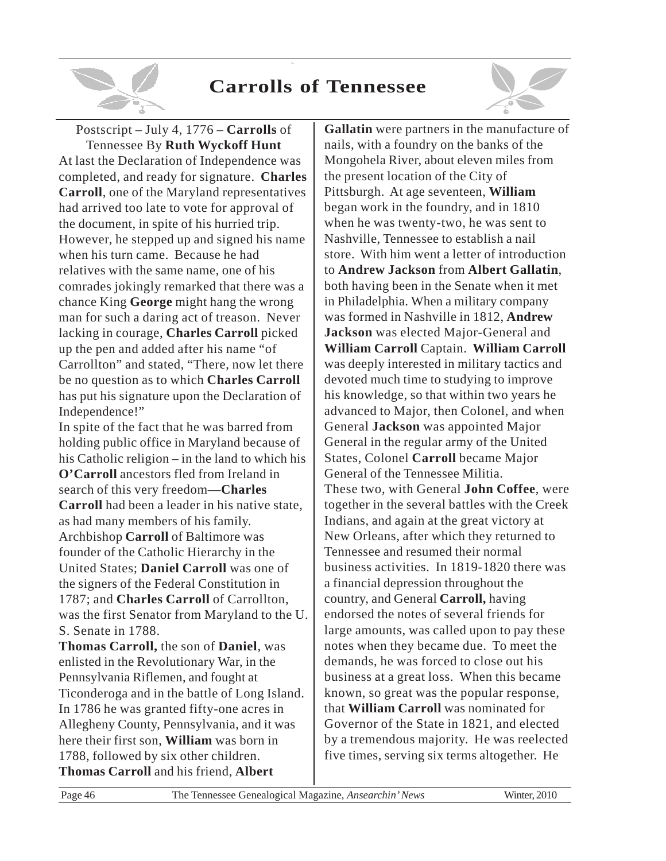# **Carrolls of Tennessee**



Postscript – July 4, 1776 – **Carrolls** of Tennessee By **Ruth Wyckoff Hunt** At last the Declaration of Independence was completed, and ready for signature. **Charles Carroll**, one of the Maryland representatives had arrived too late to vote for approval of the document, in spite of his hurried trip. However, he stepped up and signed his name when his turn came. Because he had relatives with the same name, one of his comrades jokingly remarked that there was a chance King **George** might hang the wrong man for such a daring act of treason. Never lacking in courage, **Charles Carroll** picked up the pen and added after his name "of Carrollton" and stated, "There, now let there be no question as to which **Charles Carroll** has put his signature upon the Declaration of Independence!"

In spite of the fact that he was barred from holding public office in Maryland because of his Catholic religion – in the land to which his **O'Carroll** ancestors fled from Ireland in search of this very freedom—**Charles Carroll** had been a leader in his native state, as had many members of his family. Archbishop **Carroll** of Baltimore was founder of the Catholic Hierarchy in the United States; **Daniel Carroll** was one of the signers of the Federal Constitution in 1787; and **Charles Carroll** of Carrollton, was the first Senator from Maryland to the U. S. Senate in 1788. **Thomas Carroll,** the son of **Daniel**, was enlisted in the Revolutionary War, in the Pennsylvania Riflemen, and fought at Ticonderoga and in the battle of Long Island. In 1786 he was granted fifty-one acres in Allegheny County, Pennsylvania, and it was

here their first son, **William** was born in 1788, followed by six other children. **Thomas Carroll** and his friend, **Albert**

**Gallatin** were partners in the manufacture of nails, with a foundry on the banks of the Mongohela River, about eleven miles from the present location of the City of Pittsburgh. At age seventeen, **William** began work in the foundry, and in 1810 when he was twenty-two, he was sent to Nashville, Tennessee to establish a nail store. With him went a letter of introduction to **Andrew Jackson** from **Albert Gallatin**, both having been in the Senate when it met in Philadelphia. When a military company was formed in Nashville in 1812, **Andrew Jackson** was elected Major-General and **William Carroll** Captain. **William Carroll** was deeply interested in military tactics and devoted much time to studying to improve his knowledge, so that within two years he advanced to Major, then Colonel, and when General **Jackson** was appointed Major General in the regular army of the United States, Colonel **Carroll** became Major General of the Tennessee Militia. These two, with General **John Coffee**, were together in the several battles with the Creek Indians, and again at the great victory at New Orleans, after which they returned to Tennessee and resumed their normal business activities. In 1819-1820 there was a financial depression throughout the country, and General **Carroll,** having endorsed the notes of several friends for large amounts, was called upon to pay these notes when they became due. To meet the demands, he was forced to close out his business at a great loss. When this became known, so great was the popular response, that **William Carroll** was nominated for Governor of the State in 1821, and elected by a tremendous majority. He was reelected five times, serving six terms altogether. He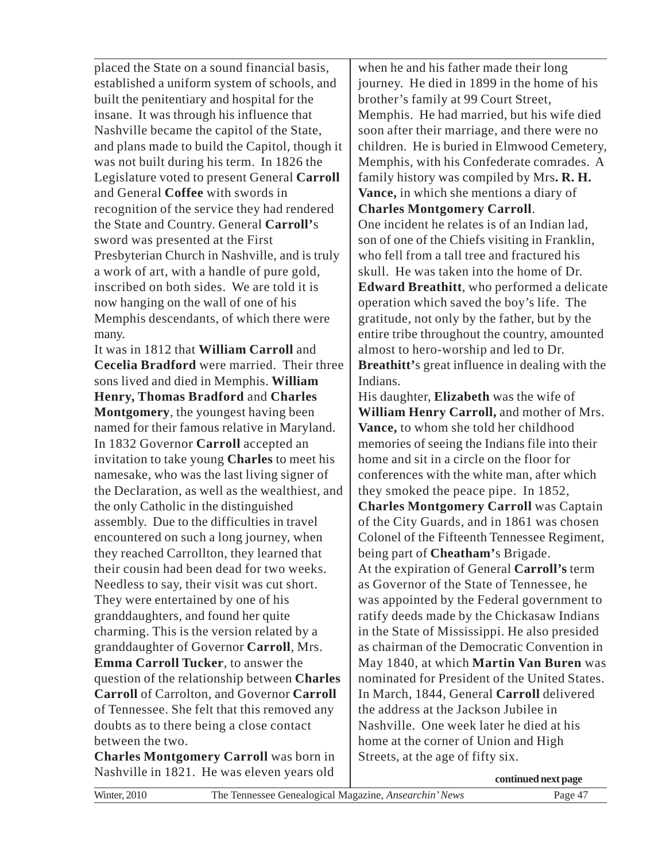placed the State on a sound financial basis, established a uniform system of schools, and built the penitentiary and hospital for the insane. It was through his influence that Nashville became the capitol of the State, and plans made to build the Capitol, though it was not built during his term. In 1826 the Legislature voted to present General **Carroll** and General **Coffee** with swords in recognition of the service they had rendered the State and Country. General **Carroll'**s sword was presented at the First Presbyterian Church in Nashville, and is truly a work of art, with a handle of pure gold, inscribed on both sides. We are told it is now hanging on the wall of one of his Memphis descendants, of which there were many.

It was in 1812 that **William Carroll** and **Cecelia Bradford** were married. Their three sons lived and died in Memphis. **William Henry, Thomas Bradford** and **Charles Montgomery**, the youngest having been named for their famous relative in Maryland. In 1832 Governor **Carroll** accepted an invitation to take young **Charles** to meet his namesake, who was the last living signer of the Declaration, as well as the wealthiest, and the only Catholic in the distinguished assembly. Due to the difficulties in travel encountered on such a long journey, when they reached Carrollton, they learned that their cousin had been dead for two weeks. Needless to say, their visit was cut short. They were entertained by one of his granddaughters, and found her quite charming. This is the version related by a granddaughter of Governor **Carroll**, Mrs. **Emma Carroll Tucker**, to answer the question of the relationship between **Charles Carroll** of Carrolton, and Governor **Carroll** of Tennessee. She felt that this removed any doubts as to there being a close contact between the two.

**Charles Montgomery Carroll** was born in Nashville in 1821. He was eleven years old

when he and his father made their long journey. He died in 1899 in the home of his brother's family at 99 Court Street, Memphis. He had married, but his wife died soon after their marriage, and there were no children. He is buried in Elmwood Cemetery, Memphis, with his Confederate comrades. A family history was compiled by Mrs**. R. H. Vance,** in which she mentions a diary of **Charles Montgomery Carroll**.

One incident he relates is of an Indian lad, son of one of the Chiefs visiting in Franklin, who fell from a tall tree and fractured his skull. He was taken into the home of Dr. **Edward Breathitt**, who performed a delicate operation which saved the boy's life. The gratitude, not only by the father, but by the entire tribe throughout the country, amounted almost to hero-worship and led to Dr. **Breathitt'**s great influence in dealing with the Indians.

His daughter, **Elizabeth** was the wife of **William Henry Carroll,** and mother of Mrs. **Vance,** to whom she told her childhood memories of seeing the Indians file into their home and sit in a circle on the floor for conferences with the white man, after which they smoked the peace pipe. In 1852, **Charles Montgomery Carroll** was Captain of the City Guards, and in 1861 was chosen Colonel of the Fifteenth Tennessee Regiment, being part of **Cheatham'**s Brigade. At the expiration of General **Carroll's** term as Governor of the State of Tennessee, he was appointed by the Federal government to ratify deeds made by the Chickasaw Indians in the State of Mississippi. He also presided as chairman of the Democratic Convention in May 1840, at which **Martin Van Buren** was nominated for President of the United States. In March, 1844, General **Carroll** delivered the address at the Jackson Jubilee in Nashville. One week later he died at his home at the corner of Union and High Streets, at the age of fifty six.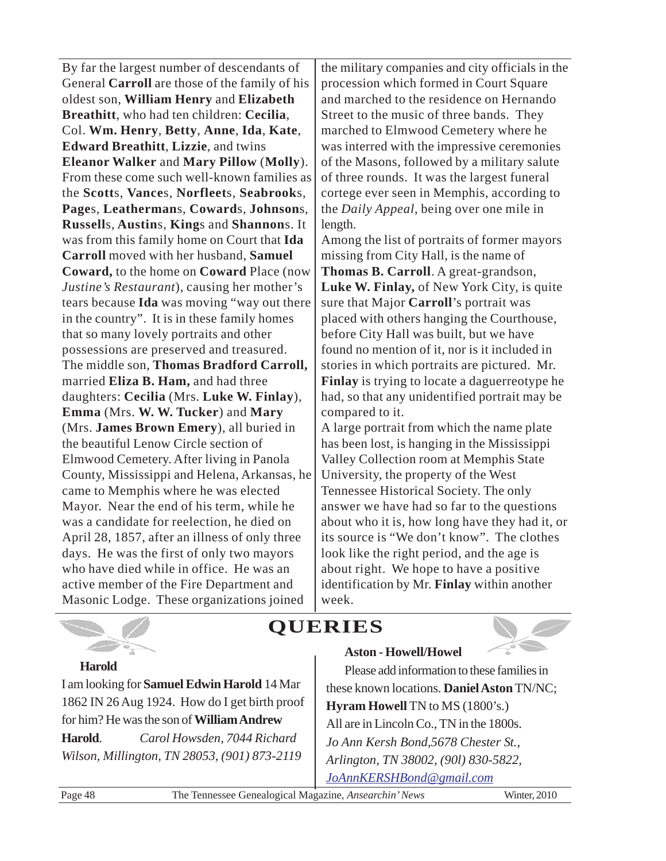By far the largest number of descendants of General **Carroll** are those of the family of his oldest son, **William Henry** and **Elizabeth Breathitt**, who had ten children: **Cecilia**, Col. **Wm. Henry**, **Betty**, **Anne**, **Ida**, **Kate**, **Edward Breathitt**, **Lizzie**, and twins **Eleanor Walker** and **Mary Pillow** (**Molly**). From these come such well-known families as the **Scott**s, **Vance**s, **Norfleet**s, **Seabrook**s, **Page**s, **Leatherman**s, **Coward**s, **Johnson**s, **Russell**s, **Austin**s, **King**s and **Shannon**s. It was from this family home on Court that **Ida Carroll** moved with her husband, **Samuel Coward,** to the home on **Coward** Place (now *Justine's Restaurant*), causing her mother's tears because **Ida** was moving "way out there in the country". It is in these family homes that so many lovely portraits and other possessions are preserved and treasured. The middle son, **Thomas Bradford Carroll,** married **Eliza B. Ham,** and had three daughters: **Cecilia** (Mrs. **Luke W. Finlay**), **Emma** (Mrs. **W. W. Tucker**) and **Mary** (Mrs. **James Brown Emery**), all buried in the beautiful Lenow Circle section of Elmwood Cemetery. After living in Panola County, Mississippi and Helena, Arkansas, he came to Memphis where he was elected Mayor. Near the end of his term, while he was a candidate for reelection, he died on April 28, 1857, after an illness of only three days. He was the first of only two mayors who have died while in office. He was an active member of the Fire Department and Masonic Lodge. These organizations joined

the military companies and city officials in the procession which formed in Court Square and marched to the residence on Hernando Street to the music of three bands. They marched to Elmwood Cemetery where he was interred with the impressive ceremonies of the Masons, followed by a military salute of three rounds. It was the largest funeral cortege ever seen in Memphis, according to the *Daily Appeal*, being over one mile in length.

Among the list of portraits of former mayors missing from City Hall, is the name of **Thomas B. Carroll**. A great-grandson, **Luke W. Finlay,** of New York City, is quite sure that Major **Carroll**'s portrait was placed with others hanging the Courthouse, before City Hall was built, but we have found no mention of it, nor is it included in stories in which portraits are pictured. Mr. **Finlay** is trying to locate a daguerreotype he had, so that any unidentified portrait may be compared to it.

A large portrait from which the name plate has been lost, is hanging in the Mississippi Valley Collection room at Memphis State University, the property of the West Tennessee Historical Society. The only answer we have had so far to the questions about who it is, how long have they had it, or its source is "We don't know". The clothes look like the right period, and the age is about right. We hope to have a positive identification by Mr. **Finlay** within another week.

# **QUERIES**



Please add information to these families in these known locations. **Daniel Aston**TN/NC; **Hyram Howell** TN to MS (1800's.) All are in Lincoln Co., TN in the 1800s. *Jo Ann Kersh Bond,5678 Chester St., Arlington, TN 38002, (90l) 830-5822,*

*JoAnnKERSHBond@gmail.com*

**Aston - Howell/Howel**

**Harold**

I am looking for **Samuel Edwin Harold** 14 Mar 1862 IN 26 Aug 1924. How do I get birth proof for him? He was the son of **William Andrew Harold**. *Carol Howsden, 7044 Richard Wilson, Millington, TN 28053, (901) 873-2119*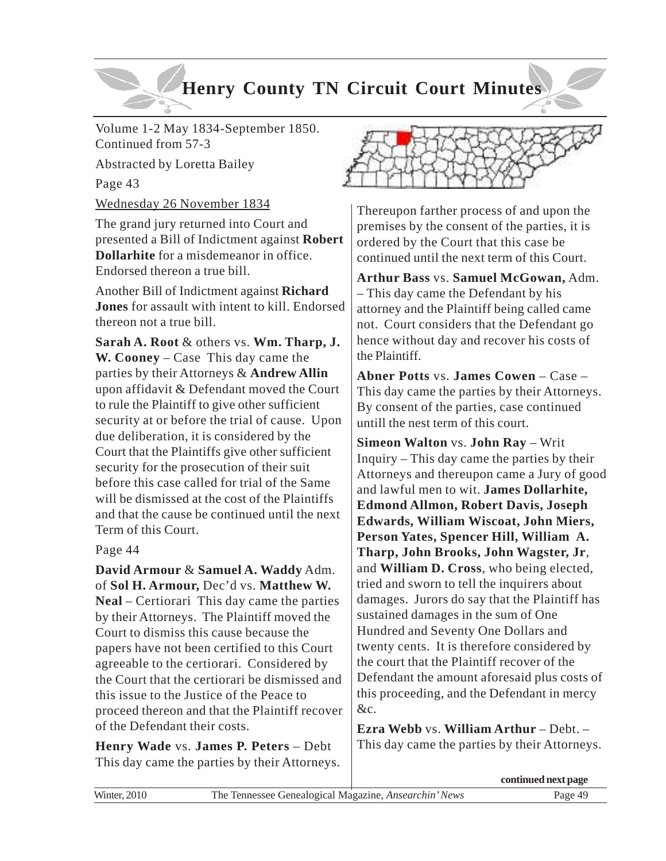# **Henry County TN Circuit Court Minutes**

Volume 1-2 May 1834-September 1850. Continued from 57-3

Abstracted by Loretta Bailey

Page 43

Wednesday 26 November 1834

The grand jury returned into Court and presented a Bill of Indictment against **Robert Dollarhite** for a misdemeanor in office. Endorsed thereon a true bill.

Another Bill of Indictment against **Richard Jones** for assault with intent to kill. Endorsed thereon not a true bill.

**Sarah A. Root** & others vs. **Wm. Tharp, J. W. Cooney** – Case This day came the parties by their Attorneys & **Andrew Allin** upon affidavit & Defendant moved the Court to rule the Plaintiff to give other sufficient security at or before the trial of cause. Upon due deliberation, it is considered by the Court that the Plaintiffs give other sufficient security for the prosecution of their suit before this case called for trial of the Same will be dismissed at the cost of the Plaintiffs and that the cause be continued until the next Term of this Court.

Page 44

**David Armour** & **Samuel A. Waddy** Adm. of **Sol H. Armour,** Dec'd vs. **Matthew W. Neal** – Certiorari This day came the parties by their Attorneys. The Plaintiff moved the Court to dismiss this cause because the papers have not been certified to this Court agreeable to the certiorari. Considered by the Court that the certiorari be dismissed and this issue to the Justice of the Peace to proceed thereon and that the Plaintiff recover of the Defendant their costs.

**Henry Wade** vs. **James P. Peters** – Debt This day came the parties by their Attorneys.



Thereupon farther process of and upon the premises by the consent of the parties, it is ordered by the Court that this case be continued until the next term of this Court.

**Arthur Bass** vs. **Samuel McGowan,** Adm. – This day came the Defendant by his attorney and the Plaintiff being called came not. Court considers that the Defendant go hence without day and recover his costs of the Plaintiff.

**Abner Potts** vs. **James Cowen** – Case – This day came the parties by their Attorneys. By consent of the parties, case continued untill the nest term of this court.

**Simeon Walton** vs. **John Ray** – Writ Inquiry – This day came the parties by their Attorneys and thereupon came a Jury of good and lawful men to wit. **James Dollarhite, Edmond Allmon, Robert Davis, Joseph Edwards, William Wiscoat, John Miers, Person Yates, Spencer Hill, William A. Tharp, John Brooks, John Wagster, Jr**, and **William D. Cross**, who being elected, tried and sworn to tell the inquirers about damages. Jurors do say that the Plaintiff has sustained damages in the sum of One Hundred and Seventy One Dollars and twenty cents. It is therefore considered by the court that the Plaintiff recover of the Defendant the amount aforesaid plus costs of this proceeding, and the Defendant in mercy &c.

**Ezra Webb** vs. **William Arthur** – Debt. – This day came the parties by their Attorneys.

|             |                                                       | continued next page |
|-------------|-------------------------------------------------------|---------------------|
| Winter 2010 | The Tennessee Genealogical Magazine, Ansearchin' News | Page 49             |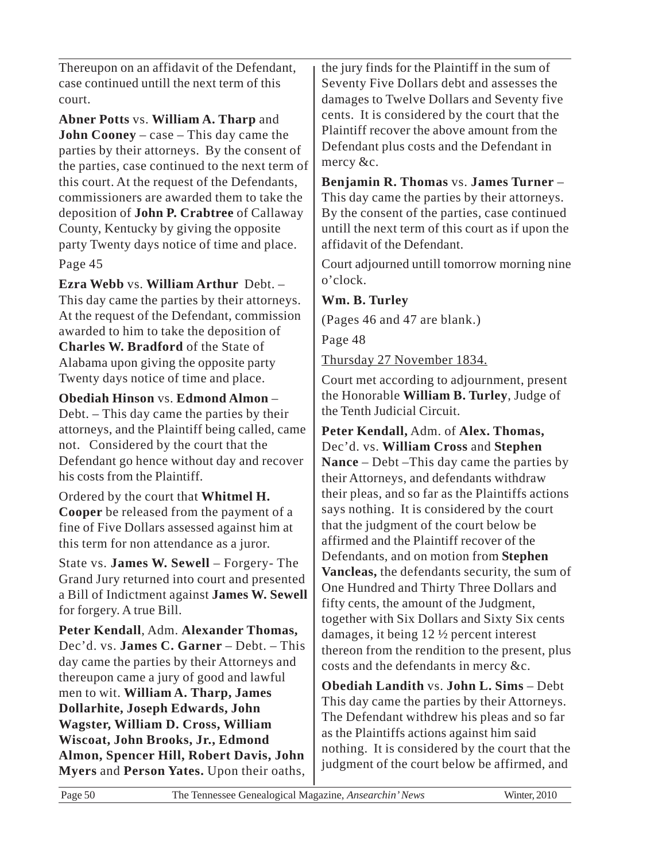Thereupon on an affidavit of the Defendant, case continued untill the next term of this court.

**Abner Potts** vs. **William A. Tharp** and **John Cooney** – case – This day came the parties by their attorneys. By the consent of the parties, case continued to the next term of this court. At the request of the Defendants, commissioners are awarded them to take the deposition of **John P. Crabtree** of Callaway County, Kentucky by giving the opposite party Twenty days notice of time and place. Page 45

**Ezra Webb** vs. **William Arthur** Debt. – This day came the parties by their attorneys. At the request of the Defendant, commission awarded to him to take the deposition of **Charles W. Bradford** of the State of Alabama upon giving the opposite party Twenty days notice of time and place.

**Obediah Hinson** vs. **Edmond Almon** – Debt. – This day came the parties by their attorneys, and the Plaintiff being called, came not. Considered by the court that the Defendant go hence without day and recover his costs from the Plaintiff.

Ordered by the court that **Whitmel H. Cooper** be released from the payment of a fine of Five Dollars assessed against him at this term for non attendance as a juror.

State vs. **James W. Sewell** – Forgery- The Grand Jury returned into court and presented a Bill of Indictment against **James W. Sewell** for forgery. A true Bill.

**Peter Kendall**, Adm. **Alexander Thomas,** Dec'd. vs. **James C. Garner** – Debt. – This day came the parties by their Attorneys and thereupon came a jury of good and lawful men to wit. **William A. Tharp, James Dollarhite, Joseph Edwards, John Wagster, William D. Cross, William Wiscoat, John Brooks, Jr., Edmond Almon, Spencer Hill, Robert Davis, John Myers** and **Person Yates.** Upon their oaths, the jury finds for the Plaintiff in the sum of Seventy Five Dollars debt and assesses the damages to Twelve Dollars and Seventy five cents. It is considered by the court that the Plaintiff recover the above amount from the Defendant plus costs and the Defendant in mercy &c.

**Benjamin R. Thomas** vs. **James Turner** – This day came the parties by their attorneys. By the consent of the parties, case continued untill the next term of this court as if upon the affidavit of the Defendant.

Court adjourned untill tomorrow morning nine o'clock.

**Wm. B. Turley**

(Pages 46 and 47 are blank.)

Page 48

Thursday 27 November 1834.

Court met according to adjournment, present the Honorable **William B. Turley**, Judge of the Tenth Judicial Circuit.

**Peter Kendall,** Adm. of **Alex. Thomas,** Dec'd. vs. **William Cross** and **Stephen Nance** – Debt –This day came the parties by their Attorneys, and defendants withdraw their pleas, and so far as the Plaintiffs actions says nothing. It is considered by the court that the judgment of the court below be affirmed and the Plaintiff recover of the Defendants, and on motion from **Stephen Vancleas,** the defendants security, the sum of One Hundred and Thirty Three Dollars and fifty cents, the amount of the Judgment, together with Six Dollars and Sixty Six cents damages, it being 12 ½ percent interest thereon from the rendition to the present, plus costs and the defendants in mercy &c.

**Obediah Landith** vs. **John L. Sims** – Debt This day came the parties by their Attorneys. The Defendant withdrew his pleas and so far as the Plaintiffs actions against him said nothing. It is considered by the court that the judgment of the court below be affirmed, and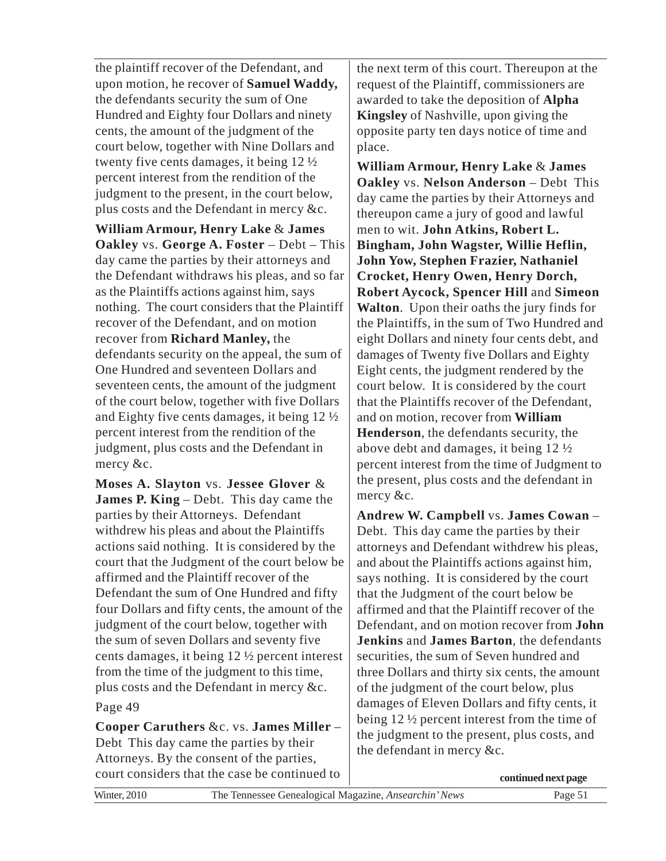the plaintiff recover of the Defendant, and upon motion, he recover of **Samuel Waddy,** the defendants security the sum of One Hundred and Eighty four Dollars and ninety cents, the amount of the judgment of the court below, together with Nine Dollars and twenty five cents damages, it being 12 ½ percent interest from the rendition of the judgment to the present, in the court below, plus costs and the Defendant in mercy &c.

**William Armour, Henry Lake** & **James Oakley** vs. **George A. Foster** – Debt – This day came the parties by their attorneys and the Defendant withdraws his pleas, and so far as the Plaintiffs actions against him, says nothing. The court considers that the Plaintiff recover of the Defendant, and on motion recover from **Richard Manley,** the defendants security on the appeal, the sum of One Hundred and seventeen Dollars and seventeen cents, the amount of the judgment of the court below, together with five Dollars and Eighty five cents damages, it being 12 ½ percent interest from the rendition of the judgment, plus costs and the Defendant in mercy &c.

**Moses A. Slayton** vs. **Jessee Glover** & **James P. King** – Debt. This day came the parties by their Attorneys. Defendant withdrew his pleas and about the Plaintiffs actions said nothing. It is considered by the court that the Judgment of the court below be affirmed and the Plaintiff recover of the Defendant the sum of One Hundred and fifty four Dollars and fifty cents, the amount of the judgment of the court below, together with the sum of seven Dollars and seventy five cents damages, it being 12 ½ percent interest from the time of the judgment to this time, plus costs and the Defendant in mercy &c.

Page 49

**Cooper Caruthers** &c. vs. **James Miller** – Debt This day came the parties by their Attorneys. By the consent of the parties, court considers that the case be continued to the next term of this court. Thereupon at the request of the Plaintiff, commissioners are awarded to take the deposition of **Alpha Kingsley** of Nashville, upon giving the opposite party ten days notice of time and place.

**William Armour, Henry Lake** & **James Oakley** vs. **Nelson Anderson** – Debt This day came the parties by their Attorneys and thereupon came a jury of good and lawful men to wit. **John Atkins, Robert L. Bingham, John Wagster, Willie Heflin, John Yow, Stephen Frazier, Nathaniel Crocket, Henry Owen, Henry Dorch, Robert Aycock, Spencer Hill** and **Simeon Walton**. Upon their oaths the jury finds for the Plaintiffs, in the sum of Two Hundred and eight Dollars and ninety four cents debt, and damages of Twenty five Dollars and Eighty Eight cents, the judgment rendered by the court below. It is considered by the court that the Plaintiffs recover of the Defendant, and on motion, recover from **William Henderson**, the defendants security, the above debt and damages, it being 12 ½ percent interest from the time of Judgment to the present, plus costs and the defendant in mercy &c.

**Andrew W. Campbell** vs. **James Cowan** – Debt. This day came the parties by their attorneys and Defendant withdrew his pleas, and about the Plaintiffs actions against him, says nothing. It is considered by the court that the Judgment of the court below be affirmed and that the Plaintiff recover of the Defendant, and on motion recover from **John Jenkins** and **James Barton**, the defendants securities, the sum of Seven hundred and three Dollars and thirty six cents, the amount of the judgment of the court below, plus damages of Eleven Dollars and fifty cents, it being 12 ½ percent interest from the time of the judgment to the present, plus costs, and the defendant in mercy &c.

**continued next page**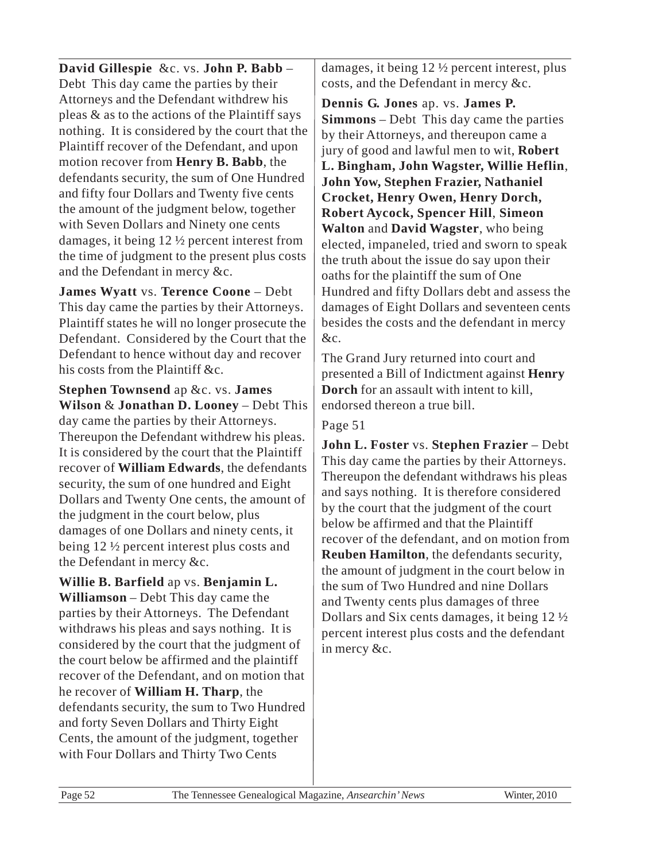**David Gillespie** &c. vs. **John P. Babb** – Debt This day came the parties by their Attorneys and the Defendant withdrew his pleas & as to the actions of the Plaintiff says nothing. It is considered by the court that the Plaintiff recover of the Defendant, and upon motion recover from **Henry B. Babb**, the defendants security, the sum of One Hundred and fifty four Dollars and Twenty five cents the amount of the judgment below, together with Seven Dollars and Ninety one cents damages, it being 12 ½ percent interest from the time of judgment to the present plus costs and the Defendant in mercy &c.

**James Wyatt** vs. **Terence Coone** – Debt This day came the parties by their Attorneys. Plaintiff states he will no longer prosecute the Defendant. Considered by the Court that the Defendant to hence without day and recover his costs from the Plaintiff &c.

**Stephen Townsend** ap &c. vs. **James Wilson** & **Jonathan D. Looney** – Debt This day came the parties by their Attorneys. Thereupon the Defendant withdrew his pleas. It is considered by the court that the Plaintiff recover of **William Edwards**, the defendants security, the sum of one hundred and Eight Dollars and Twenty One cents, the amount of the judgment in the court below, plus damages of one Dollars and ninety cents, it being 12 ½ percent interest plus costs and the Defendant in mercy &c.

**Willie B. Barfield** ap vs. **Benjamin L. Williamson** – Debt This day came the parties by their Attorneys. The Defendant withdraws his pleas and says nothing. It is considered by the court that the judgment of the court below be affirmed and the plaintiff recover of the Defendant, and on motion that he recover of **William H. Tharp**, the defendants security, the sum to Two Hundred and forty Seven Dollars and Thirty Eight Cents, the amount of the judgment, together with Four Dollars and Thirty Two Cents

damages, it being 12 ½ percent interest, plus costs, and the Defendant in mercy &c.

**Dennis G. Jones** ap. vs. **James P. Simmons** – Debt This day came the parties by their Attorneys, and thereupon came a jury of good and lawful men to wit, **Robert L. Bingham, John Wagster, Willie Heflin**, **John Yow, Stephen Frazier, Nathaniel Crocket, Henry Owen, Henry Dorch, Robert Aycock, Spencer Hill**, **Simeon Walton** and **David Wagster**, who being elected, impaneled, tried and sworn to speak the truth about the issue do say upon their oaths for the plaintiff the sum of One Hundred and fifty Dollars debt and assess the damages of Eight Dollars and seventeen cents besides the costs and the defendant in mercy &c.

The Grand Jury returned into court and presented a Bill of Indictment against **Henry Dorch** for an assault with intent to kill, endorsed thereon a true bill.

### Page 51

**John L. Foster** vs. **Stephen Frazier** – Debt This day came the parties by their Attorneys. Thereupon the defendant withdraws his pleas and says nothing. It is therefore considered by the court that the judgment of the court below be affirmed and that the Plaintiff recover of the defendant, and on motion from **Reuben Hamilton**, the defendants security, the amount of judgment in the court below in the sum of Two Hundred and nine Dollars and Twenty cents plus damages of three Dollars and Six cents damages, it being 12 ½ percent interest plus costs and the defendant in mercy &c.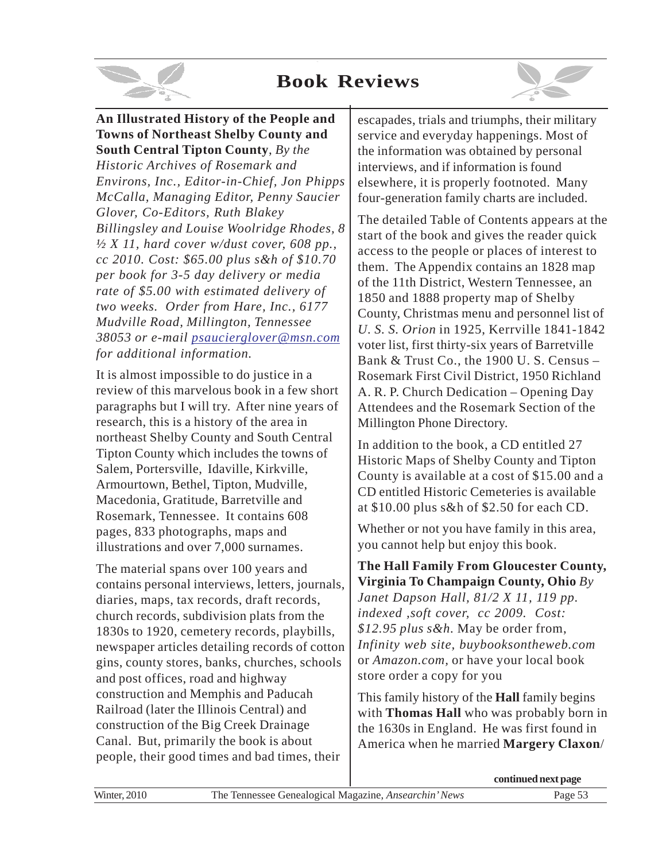# **Book Reviews**



### **An Illustrated History of the People and Towns of Northeast Shelby County and South Central Tipton County**, *By the*

*Historic Archives of Rosemark and Environs, Inc., Editor-in-Chief, Jon Phipps McCalla, Managing Editor, Penny Saucier Glover, Co-Editors, Ruth Blakey Billingsley and Louise Woolridge Rhodes, 8 ½ X 11, hard cover w/dust cover, 608 pp., cc 2010. Cost: \$65.00 plus s&h of \$10.70 per book for 3-5 day delivery or media rate of \$5.00 with estimated delivery of two weeks. Order from Hare, Inc., 6177 Mudville Road, Millington, Tennessee 38053 or e-mail psaucierglover@msn.com for additional information.*

It is almost impossible to do justice in a review of this marvelous book in a few short paragraphs but I will try. After nine years of research, this is a history of the area in northeast Shelby County and South Central Tipton County which includes the towns of Salem, Portersville, Idaville, Kirkville, Armourtown, Bethel, Tipton, Mudville, Macedonia, Gratitude, Barretville and Rosemark, Tennessee. It contains 608 pages, 833 photographs, maps and illustrations and over 7,000 surnames.

The material spans over 100 years and contains personal interviews, letters, journals, diaries, maps, tax records, draft records, church records, subdivision plats from the 1830s to 1920, cemetery records, playbills, newspaper articles detailing records of cotton gins, county stores, banks, churches, schools and post offices, road and highway construction and Memphis and Paducah Railroad (later the Illinois Central) and construction of the Big Creek Drainage Canal. But, primarily the book is about people, their good times and bad times, their

escapades, trials and triumphs, their military service and everyday happenings. Most of the information was obtained by personal interviews, and if information is found elsewhere, it is properly footnoted. Many four-generation family charts are included.

The detailed Table of Contents appears at the start of the book and gives the reader quick access to the people or places of interest to them. The Appendix contains an 1828 map of the 11th District, Western Tennessee, an 1850 and 1888 property map of Shelby County, Christmas menu and personnel list of *U. S. S. Orion* in 1925, Kerrville 1841-1842 voter list, first thirty-six years of Barretville Bank & Trust Co., the 1900 U. S. Census – Rosemark First Civil District, 1950 Richland A. R. P. Church Dedication – Opening Day Attendees and the Rosemark Section of the Millington Phone Directory.

In addition to the book, a CD entitled 27 Historic Maps of Shelby County and Tipton County is available at a cost of \$15.00 and a CD entitled Historic Cemeteries is available at \$10.00 plus s&h of \$2.50 for each CD.

Whether or not you have family in this area, you cannot help but enjoy this book.

**The Hall Family From Gloucester County, Virginia To Champaign County, Ohio** *By Janet Dapson Hall, 81/2 X 11, 119 pp. indexed ,soft cover, cc 2009. Cost: \$12.95 plus s&h.* May be order from, *Infinity web site, buybooksontheweb.com* or *Amazon.com,* or have your local book

This family history of the **Hall** family begins with **Thomas Hall** who was probably born in the 1630s in England. He was first found in America when he married **Margery Claxon**/

store order a copy for you

|                     |                                                       | continued next page |
|---------------------|-------------------------------------------------------|---------------------|
| <b>Winter, 2010</b> | The Tennessee Genealogical Magazine, Ansearchin' News | Page $5z$           |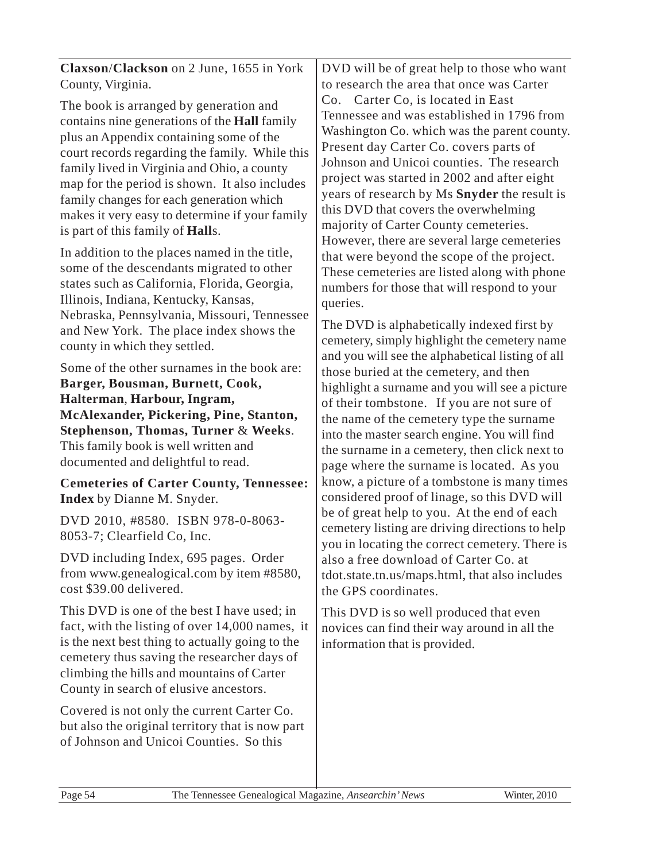**Claxson**/**Clackson** on 2 June, 1655 in York County, Virginia.

The book is arranged by generation and contains nine generations of the **Hall** family plus an Appendix containing some of the court records regarding the family. While this family lived in Virginia and Ohio, a county map for the period is shown. It also includes family changes for each generation which makes it very easy to determine if your family is part of this family of **Hall**s.

In addition to the places named in the title, some of the descendants migrated to other states such as California, Florida, Georgia, Illinois, Indiana, Kentucky, Kansas, Nebraska, Pennsylvania, Missouri, Tennessee and New York. The place index shows the county in which they settled.

Some of the other surnames in the book are:

**Barger, Bousman, Burnett, Cook, Halterman**, **Harbour, Ingram, McAlexander, Pickering, Pine, Stanton, Stephenson, Thomas, Turner** & **Weeks**. This family book is well written and documented and delightful to read.

**Cemeteries of Carter County, Tennessee: Index** by Dianne M. Snyder.

DVD 2010, #8580. ISBN 978-0-8063- 8053-7; Clearfield Co, Inc.

DVD including Index, 695 pages. Order from www.genealogical.com by item #8580, cost \$39.00 delivered.

This DVD is one of the best I have used; in fact, with the listing of over 14,000 names, it is the next best thing to actually going to the cemetery thus saving the researcher days of climbing the hills and mountains of Carter County in search of elusive ancestors.

Covered is not only the current Carter Co. but also the original territory that is now part of Johnson and Unicoi Counties. So this

DVD will be of great help to those who want to research the area that once was Carter Co. Carter Co, is located in East Tennessee and was established in 1796 from Washington Co. which was the parent county. Present day Carter Co. covers parts of Johnson and Unicoi counties. The research project was started in 2002 and after eight years of research by Ms **Snyder** the result is this DVD that covers the overwhelming majority of Carter County cemeteries. However, there are several large cemeteries that were beyond the scope of the project. These cemeteries are listed along with phone numbers for those that will respond to your queries.

The DVD is alphabetically indexed first by cemetery, simply highlight the cemetery name and you will see the alphabetical listing of all those buried at the cemetery, and then highlight a surname and you will see a picture of their tombstone. If you are not sure of the name of the cemetery type the surname into the master search engine. You will find the surname in a cemetery, then click next to page where the surname is located. As you know, a picture of a tombstone is many times considered proof of linage, so this DVD will be of great help to you. At the end of each cemetery listing are driving directions to help you in locating the correct cemetery. There is also a free download of Carter Co. at tdot.state.tn.us/maps.html, that also includes the GPS coordinates.

This DVD is so well produced that even novices can find their way around in all the information that is provided.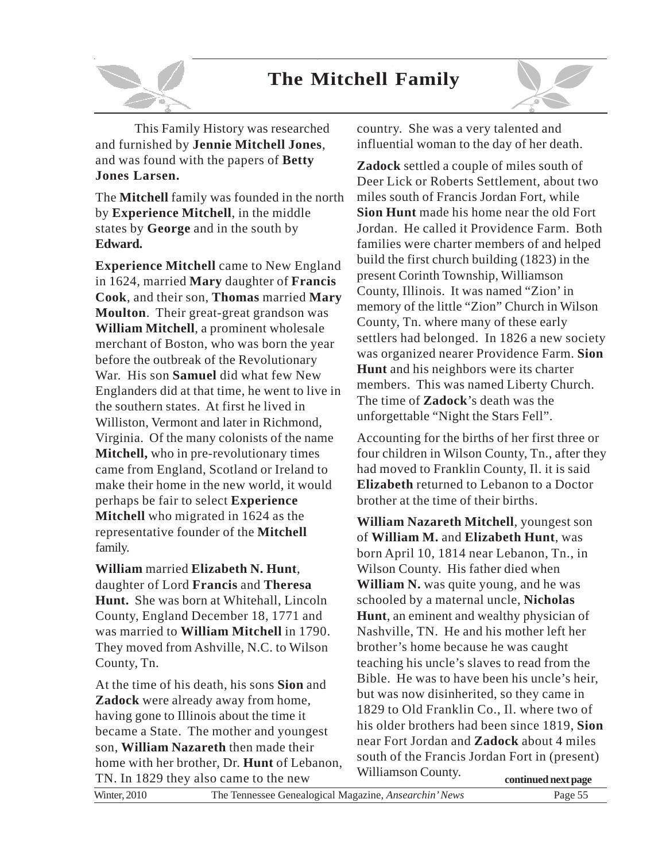# **The Mitchell Family**



This Family History was researched and furnished by **Jennie Mitchell Jones**, and was found with the papers of **Betty Jones Larsen.**

The **Mitchell** family was founded in the north by **Experience Mitchell**, in the middle states by **George** and in the south by **Edward.**

**Experience Mitchell** came to New England in 1624, married **Mary** daughter of **Francis Cook**, and their son, **Thomas** married **Mary Moulton**. Their great-great grandson was **William Mitchell**, a prominent wholesale merchant of Boston, who was born the year before the outbreak of the Revolutionary War. His son **Samuel** did what few New Englanders did at that time, he went to live in the southern states. At first he lived in Williston, Vermont and later in Richmond, Virginia. Of the many colonists of the name **Mitchell,** who in pre-revolutionary times came from England, Scotland or Ireland to make their home in the new world, it would perhaps be fair to select **Experience Mitchell** who migrated in 1624 as the representative founder of the **Mitchell** family.

**William** married **Elizabeth N. Hunt**, daughter of Lord **Francis** and **Theresa Hunt.** She was born at Whitehall, Lincoln County, England December 18, 1771 and was married to **William Mitchell** in 1790. They moved from Ashville, N.C. to Wilson County, Tn.

At the time of his death, his sons **Sion** and **Zadock** were already away from home, having gone to Illinois about the time it became a State. The mother and youngest son, **William Nazareth** then made their home with her brother, Dr. **Hunt** of Lebanon, TN. In 1829 they also came to the new

country. She was a very talented and influential woman to the day of her death.

**Zadock** settled a couple of miles south of Deer Lick or Roberts Settlement, about two miles south of Francis Jordan Fort, while **Sion Hunt** made his home near the old Fort Jordan. He called it Providence Farm. Both families were charter members of and helped build the first church building (1823) in the present Corinth Township, Williamson County, Illinois. It was named "Zion' in memory of the little "Zion" Church in Wilson County, Tn. where many of these early settlers had belonged. In 1826 a new society was organized nearer Providence Farm. **Sion Hunt** and his neighbors were its charter members. This was named Liberty Church. The time of **Zadock**'s death was the unforgettable "Night the Stars Fell".

Accounting for the births of her first three or four children in Wilson County, Tn., after they had moved to Franklin County, Il. it is said **Elizabeth** returned to Lebanon to a Doctor brother at the time of their births.

**William Nazareth Mitchell**, youngest son of **William M.** and **Elizabeth Hunt**, was born April 10, 1814 near Lebanon, Tn., in Wilson County. His father died when **William N.** was quite young, and he was schooled by a maternal uncle, **Nicholas Hunt**, an eminent and wealthy physician of Nashville, TN. He and his mother left her brother's home because he was caught teaching his uncle's slaves to read from the Bible. He was to have been his uncle's heir, but was now disinherited, so they came in 1829 to Old Franklin Co., Il. where two of his older brothers had been since 1819, **Sion** near Fort Jordan and **Zadock** about 4 miles south of the Francis Jordan Fort in (present) Williamson County.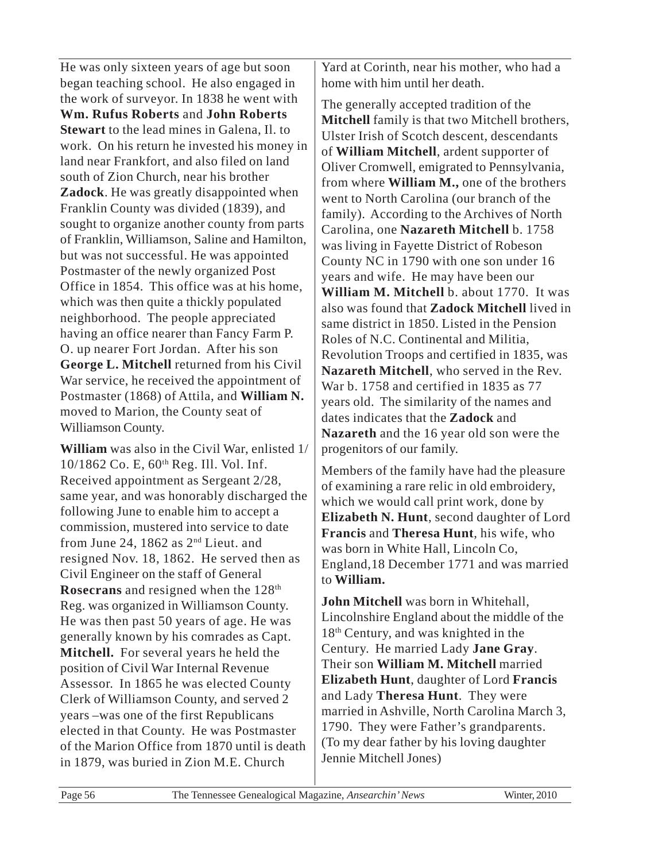He was only sixteen years of age but soon began teaching school. He also engaged in the work of surveyor. In 1838 he went with **Wm. Rufus Roberts** and **John Roberts Stewart** to the lead mines in Galena, Il. to work. On his return he invested his money in land near Frankfort, and also filed on land south of Zion Church, near his brother **Zadock**. He was greatly disappointed when Franklin County was divided (1839), and sought to organize another county from parts of Franklin, Williamson, Saline and Hamilton, but was not successful. He was appointed Postmaster of the newly organized Post Office in 1854. This office was at his home, which was then quite a thickly populated neighborhood. The people appreciated having an office nearer than Fancy Farm P. O. up nearer Fort Jordan. After his son **George L. Mitchell** returned from his Civil War service, he received the appointment of Postmaster (1868) of Attila, and **William N.** moved to Marion, the County seat of Williamson County.

**William** was also in the Civil War, enlisted 1/ 10/1862 Co. E, 60th Reg. Ill. Vol. Inf. Received appointment as Sergeant 2/28, same year, and was honorably discharged the following June to enable him to accept a commission, mustered into service to date from June 24, 1862 as  $2<sup>nd</sup>$  Lieut. and resigned Nov. 18, 1862. He served then as Civil Engineer on the staff of General **Rosecrans** and resigned when the 128<sup>th</sup> Reg. was organized in Williamson County. He was then past 50 years of age. He was generally known by his comrades as Capt. **Mitchell.** For several years he held the position of Civil War Internal Revenue Assessor. In 1865 he was elected County Clerk of Williamson County, and served 2 years –was one of the first Republicans elected in that County. He was Postmaster of the Marion Office from 1870 until is death in 1879, was buried in Zion M.E. Church

Yard at Corinth, near his mother, who had a home with him until her death.

The generally accepted tradition of the **Mitchell** family is that two Mitchell brothers, Ulster Irish of Scotch descent, descendants of **William Mitchell**, ardent supporter of Oliver Cromwell, emigrated to Pennsylvania, from where **William M.,** one of the brothers went to North Carolina (our branch of the family). According to the Archives of North Carolina, one **Nazareth Mitchell** b. 1758 was living in Fayette District of Robeson County NC in 1790 with one son under 16 years and wife. He may have been our **William M. Mitchell** b. about 1770. It was also was found that **Zadock Mitchell** lived in same district in 1850. Listed in the Pension Roles of N.C. Continental and Militia, Revolution Troops and certified in 1835, was **Nazareth Mitchell**, who served in the Rev. War b. 1758 and certified in 1835 as 77 years old. The similarity of the names and dates indicates that the **Zadock** and **Nazareth** and the 16 year old son were the progenitors of our family.

Members of the family have had the pleasure of examining a rare relic in old embroidery, which we would call print work, done by **Elizabeth N. Hunt**, second daughter of Lord **Francis** and **Theresa Hunt**, his wife, who was born in White Hall, Lincoln Co, England,18 December 1771 and was married to **William.**

**John Mitchell** was born in Whitehall, Lincolnshire England about the middle of the 18<sup>th</sup> Century, and was knighted in the Century. He married Lady **Jane Gray**. Their son **William M. Mitchell** married **Elizabeth Hunt**, daughter of Lord **Francis** and Lady **Theresa Hunt**. They were married in Ashville, North Carolina March 3, 1790. They were Father's grandparents. (To my dear father by his loving daughter Jennie Mitchell Jones)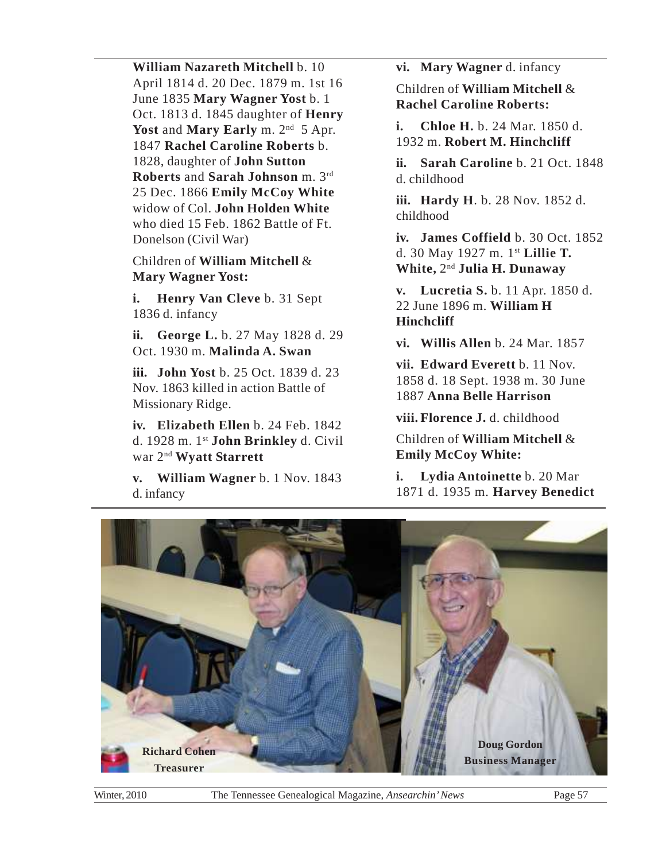**William Nazareth Mitchell** b. 10 April 1814 d. 20 Dec. 1879 m. 1st 16 June 1835 **Mary Wagner Yost** b. 1 Oct. 1813 d. 1845 daughter of **Henry** Yost and **Mary Early** m. 2<sup>nd</sup> 5 Apr. 1847 **Rachel Caroline Roberts** b. 1828, daughter of **John Sutton Roberts** and **Sarah Johnson** m. 3rd 25 Dec. 1866 **Emily McCoy White** widow of Col. **John Holden White** who died 15 Feb. 1862 Battle of Ft. Donelson (Civil War)

Children of **William Mitchell** & **Mary Wagner Yost:**

**i. Henry Van Cleve** b. 31 Sept 1836 d. infancy

**ii. George L.** b. 27 May 1828 d. 29 Oct. 1930 m. **Malinda A. Swan**

**iii. John Yost** b. 25 Oct. 1839 d. 23 Nov. 1863 killed in action Battle of Missionary Ridge.

**iv. Elizabeth Ellen** b. 24 Feb. 1842 d. 1928 m. 1st **John Brinkley** d. Civil war 2nd **Wyatt Starrett**

**v. William Wagner** b. 1 Nov. 1843 d. infancy

**vi. Mary Wagner** d. infancy

Children of **William Mitchell** & **Rachel Caroline Roberts:**

**i. Chloe H.** b. 24 Mar. 1850 d. 1932 m. **Robert M. Hinchcliff**

**ii. Sarah Caroline** b. 21 Oct. 1848 d. childhood

**iii. Hardy H**. b. 28 Nov. 1852 d. childhood

**iv. James Coffield** b. 30 Oct. 1852 d. 30 May 1927 m. 1st **Lillie T. White,** 2nd **Julia H. Dunaway**

**v. Lucretia S.** b. 11 Apr. 1850 d. 22 June 1896 m. **William H Hinchcliff**

**vi. Willis Allen** b. 24 Mar. 1857

**vii. Edward Everett** b. 11 Nov. 1858 d. 18 Sept. 1938 m. 30 June 1887 **Anna Belle Harrison**

**viii. Florence J.** d. childhood

Children of **William Mitchell** & **Emily McCoy White:**

**i. Lydia Antoinette** b. 20 Mar 1871 d. 1935 m. **Harvey Benedict**

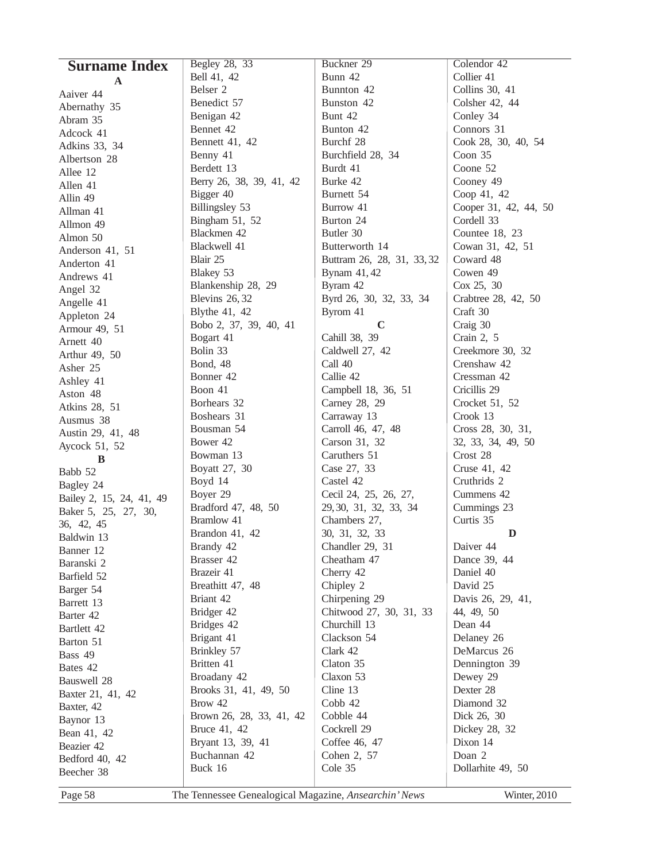| <b>Surname Index</b>     | Begley 28, 33                                         | Buckner 29                 | Colendor 42           |
|--------------------------|-------------------------------------------------------|----------------------------|-----------------------|
| A                        | Bell 41, 42                                           | Bunn 42                    | Collier 41            |
|                          | Belser 2                                              | Bunnton 42                 | Collins 30, 41        |
| Aaiver 44                | Benedict 57                                           | Bunston 42                 | Colsher 42, 44        |
| Abernathy 35             | Benigan 42                                            | Bunt 42                    | Conley 34             |
| Abram 35                 | Bennet 42                                             | Bunton 42                  | Connors 31            |
| Adcock 41                | Bennett 41, 42                                        | Burchf 28                  | Cook 28, 30, 40, 54   |
| Adkins 33, 34            | Benny 41                                              | Burchfield 28, 34          | Coon 35               |
| Albertson 28             | Berdett 13                                            | Burdt 41                   | Coone 52              |
| Allee 12                 | Berry 26, 38, 39, 41, 42                              | Burke 42                   | Cooney 49             |
| Allen 41                 | Bigger 40                                             | Burnett 54                 | Coop 41, 42           |
| Allin 49                 | Billingsley 53                                        | Burrow 41                  | Cooper 31, 42, 44, 50 |
| Allman 41                | Bingham 51, 52                                        | Burton 24                  | Cordell 33            |
| Allmon 49                |                                                       |                            |                       |
| Almon 50                 | Blackmen 42                                           | Butler 30                  | Countee 18, 23        |
| Anderson 41, 51          | Blackwell 41                                          | Butterworth 14             | Cowan 31, 42, 51      |
| Anderton 41              | Blair 25                                              | Buttram 26, 28, 31, 33, 32 | Coward 48             |
| Andrews 41               | Blakey 53                                             | Bynam 41, 42               | Cowen 49              |
| Angel 32                 | Blankenship 28, 29                                    | Byram 42                   | Cox 25, 30            |
| Angelle 41               | <b>Blevins 26, 32</b>                                 | Byrd 26, 30, 32, 33, 34    | Crabtree 28, 42, 50   |
| Appleton 24              | Blythe 41, 42                                         | Byrom 41                   | Craft 30              |
| Armour 49, 51            | Bobo 2, 37, 39, 40, 41                                | $\mathbf C$                | Craig 30              |
| Arnett 40                | Bogart 41                                             | Cahill 38, 39              | Crain 2, 5            |
| Arthur 49, 50            | Bolin 33                                              | Caldwell 27, 42            | Creekmore 30, 32      |
| Asher 25                 | Bond, 48                                              | Call 40                    | Crenshaw 42           |
| Ashley 41                | Bonner 42                                             | Callie 42                  | Cressman 42           |
| Aston 48                 | Boon 41                                               | Campbell 18, 36, 51        | Cricillis 29          |
| Atkins 28, 51            | Borhears 32                                           | Carney 28, 29              | Crocket 51, 52        |
| Ausmus 38                | Boshears 31                                           | Carraway 13                | Crook 13              |
| Austin 29, 41, 48        | Bousman 54                                            | Carroll 46, 47, 48         | Cross 28, 30, 31,     |
| Aycock 51, 52            | Bower 42                                              | Carson 31, 32              | 32, 33, 34, 49, 50    |
| B                        | Bowman 13                                             | Caruthers 51               | Crost 28              |
| Babb 52                  | Boyatt 27, 30                                         | Case 27, 33                | Cruse 41, 42          |
| Bagley 24                | Boyd 14                                               | Castel 42                  | Cruthrids 2           |
| Bailey 2, 15, 24, 41, 49 | Boyer 29                                              | Cecil 24, 25, 26, 27,      | Cummens 42            |
| Baker 5, 25, 27, 30,     | Bradford 47, 48, 50                                   | 29, 30, 31, 32, 33, 34     | Cummings 23           |
| 36, 42, 45               | Bramlow 41                                            | Chambers 27,               | Curtis 35             |
|                          | Brandon 41, 42                                        | 30, 31, 32, 33             | D                     |
| Baldwin 13               | Brandy 42                                             | Chandler 29, 31            | Daiver 44             |
| Banner 12                | Brasser 42                                            | Cheatham 47                | Dance 39, 44          |
| Baranski 2               | Brazeir 41                                            | Cherry 42                  | Daniel 40             |
| Barfield 52              | Breathitt 47, 48                                      | Chipley 2                  | David 25              |
| Barger 54                | Briant 42                                             | Chirpening 29              | Davis 26, 29, 41,     |
| Barrett 13               | Bridger 42                                            | Chitwood 27, 30, 31, 33    | 44, 49, 50            |
| Barter 42                | Bridges 42                                            | Churchill 13               | Dean 44               |
| Bartlett 42              | Brigant 41                                            | Clackson 54                | Delaney 26            |
| Barton 51                | Brinkley 57                                           | Clark 42                   | DeMarcus 26           |
| Bass 49                  | Britten 41                                            | Claton 35                  | Dennington 39         |
| Bates 42                 | Broadany 42                                           | Claxon 53                  | Dewey 29              |
| Bauswell 28              | Brooks 31, 41, 49, 50                                 | Cline 13                   | Dexter 28             |
| Baxter 21, 41, 42        | Brow 42                                               | Cobb 42                    | Diamond 32            |
| Baxter, 42               | Brown 26, 28, 33, 41, 42                              | Cobble 44                  | Dick 26, 30           |
| Baynor 13                |                                                       |                            |                       |
| Bean 41, 42              | Bruce 41, 42                                          | Cockrell 29                | Dickey 28, 32         |
| Beazier 42               | Bryant 13, 39, 41                                     | Coffee 46, 47              | Dixon 14              |
| Bedford 40, 42           | Buchannan 42                                          | Cohen 2, 57                | Doan 2                |
| Beecher 38               | Buck 16                                               | Cole 35                    | Dollarhite 49, 50     |
| Page 58                  | The Tennessee Genealogical Magazine, Ansearchin' News |                            | Winter, 2010          |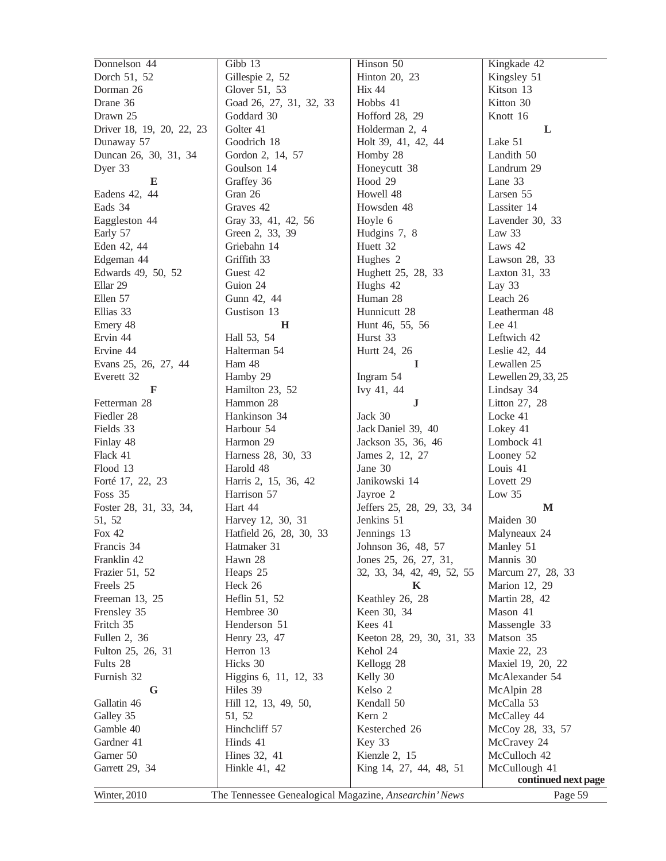| Gillespie 2, 52<br>Kingsley 51<br>Dorch 51, 52<br>Hinton 20, 23<br>Dorman 26<br>Glover 51, 53<br>Hix 44<br>Kitson 13<br>Kitton 30<br>Drane 36<br>Goad 26, 27, 31, 32, 33<br>Hobbs 41<br>Drawn 25<br>Goddard 30<br>Hofford 28, 29<br>Knott 16<br>Driver 18, 19, 20, 22, 23<br>Golter 41<br>Holderman 2, 4<br>L<br>Goodrich 18<br>Holt 39, 41, 42, 44<br>Lake 51<br>Dunaway 57<br>Duncan 26, 30, 31, 34<br>Gordon 2, 14, 57<br>Homby 28<br>Landith 50<br>Dyer 33<br>Goulson 14<br>Honeycutt 38<br>Landrum 29<br>Graffey 36<br>Hood 29<br>Lane 33<br>E<br>Eadens 42, 44<br>Gran 26<br>Howell 48<br>Larsen 55<br>Lassiter 14<br>Eads 34<br>Graves 42<br>Howsden 48<br>Eaggleston 44<br>Gray 33, 41, 42, 56<br>Lavender 30, 33<br>Hoyle 6<br>Green 2, 33, 39<br>Hudgins 7, 8<br>Law 33<br>Early 57<br>Eden 42, 44<br>Griebahn 14<br>Laws 42<br>Huett 32<br>Edgeman 44<br>Griffith 33<br>Hughes <sub>2</sub><br>Lawson 28, 33<br>Edwards 49, 50, 52<br>Guest 42<br>Hughett 25, 28, 33<br>Laxton 31, 33<br>Ellar 29<br>Guion 24<br>Hughs 42<br>Lay 33<br>Gunn 42, 44<br>Ellen 57<br>Human 28<br>Leach 26<br>Hunnicutt 28<br>Ellias 33<br>Gustison 13<br>Leatherman 48<br>Hunt 46, 55, 56<br>Lee 41<br>Emery 48<br>H<br>Ervin 44<br>Hall 53, 54<br>Hurst 33<br>Leftwich 42<br>Ervine 44<br>Halterman 54<br>Hurtt 24, 26<br>Leslie 42, 44<br>Ham 48<br>Lewallen 25<br>Evans 25, 26, 27, 44<br>-1<br>Hamby 29<br>Ingram 54<br>Lewellen 29, 33, 25<br>Everett 32<br>Hamilton 23, 52<br>Ivy 41, 44<br>F<br>Lindsay 34<br>Fetterman 28<br>Hammon 28<br>Litton 27, 28<br>J<br>Hankinson 34<br>Fiedler 28<br>Jack 30<br>Locke 41<br>Harbour 54<br>Fields 33<br>Lokey 41<br>Jack Daniel 39, 40<br>Harmon 29<br>Jackson 35, 36, 46<br>Lombock 41<br>Finlay 48<br>Harness 28, 30, 33<br>Flack 41<br>James 2, 12, 27<br>Looney 52<br>Flood 13<br>Jane 30<br>Louis 41<br>Harold 48<br>Forté 17, 22, 23<br>Janikowski 14<br>Harris 2, 15, 36, 42<br>Lovett <sub>29</sub><br>Harrison 57<br>Low $35$<br>Foss 35<br>Jayroe 2<br>Hart 44<br>Foster 28, 31, 33, 34,<br>Jeffers 25, 28, 29, 33, 34<br>M<br>Jenkins 51<br>Maiden 30<br>51, 52<br>Harvey 12, 30, 31<br>Jennings 13<br>Fox $42$<br>Hatfield 26, 28, 30, 33<br>Malyneaux 24<br>Manley 51<br>Francis 34<br>Johnson 36, 48, 57<br>Hatmaker 31<br>Franklin 42<br>Hawn 28<br>Mannis 30<br>Jones 25, 26, 27, 31,<br>Frazier 51, 52<br>Heaps 25<br>Marcum 27, 28, 33<br>32, 33, 34, 42, 49, 52, 55<br>Heck 26<br>Marion 12, 29<br>Freels 25<br>K<br>Freeman 13, 25<br>Heflin 51, 52<br>Keathley 26, 28<br>Martin 28, 42<br>Hembree 30<br>Mason 41<br>Frensley 35<br>Keen 30, 34<br>Henderson 51<br>Massengle 33<br>Fritch 35<br>Kees 41<br>Matson 35<br>Fullen 2, 36<br>Henry 23, 47<br>Keeton 28, 29, 30, 31, 33<br>Herron 13<br>Maxie 22, 23<br>Fulton 25, 26, 31<br>Kehol 24<br>Hicks 30<br>Fults 28<br>Kellogg 28<br>Maxiel 19, 20, 22<br>Furnish 32<br>Higgins 6, 11, 12, 33<br>McAlexander 54<br>Kelly 30<br>McAlpin 28<br>Hiles 39<br>Kelso 2<br>G<br>McCalla 53<br>Gallatin 46<br>Hill 12, 13, 49, 50,<br>Kendall 50<br>Kern 2<br>Galley 35<br>McCalley 44<br>51, 52<br>Hinchcliff 57<br>Gamble 40<br>Kesterched 26<br>McCoy 28, 33, 57<br>Gardner 41<br>Hinds 41<br>Key 33<br>McCravey 24<br>Garner 50<br>Hines 32, 41<br>Kienzle 2, 15<br>McCulloch 42<br>Garrett 29, 34<br>McCullough 41<br>Hinkle 41, 42<br>King 14, 27, 44, 48, 51<br>continued next page<br>Winter, 2010<br>The Tennessee Genealogical Magazine, Ansearchin' News<br>Page 59 | Donnelson 44 | Gibb 13 | Hinson 50 | Kingkade 42 |
|----------------------------------------------------------------------------------------------------------------------------------------------------------------------------------------------------------------------------------------------------------------------------------------------------------------------------------------------------------------------------------------------------------------------------------------------------------------------------------------------------------------------------------------------------------------------------------------------------------------------------------------------------------------------------------------------------------------------------------------------------------------------------------------------------------------------------------------------------------------------------------------------------------------------------------------------------------------------------------------------------------------------------------------------------------------------------------------------------------------------------------------------------------------------------------------------------------------------------------------------------------------------------------------------------------------------------------------------------------------------------------------------------------------------------------------------------------------------------------------------------------------------------------------------------------------------------------------------------------------------------------------------------------------------------------------------------------------------------------------------------------------------------------------------------------------------------------------------------------------------------------------------------------------------------------------------------------------------------------------------------------------------------------------------------------------------------------------------------------------------------------------------------------------------------------------------------------------------------------------------------------------------------------------------------------------------------------------------------------------------------------------------------------------------------------------------------------------------------------------------------------------------------------------------------------------------------------------------------------------------------------------------------------------------------------------------------------------------------------------------------------------------------------------------------------------------------------------------------------------------------------------------------------------------------------------------------------------------------------------------------------------------------------------------------------------------------------------------------------------------------------------------------------------------------------------------------------------------------------------------------------------------------------------------------------------------------------------------------------------------------------------------------------------------------------------------------------------------------------------|--------------|---------|-----------|-------------|
|                                                                                                                                                                                                                                                                                                                                                                                                                                                                                                                                                                                                                                                                                                                                                                                                                                                                                                                                                                                                                                                                                                                                                                                                                                                                                                                                                                                                                                                                                                                                                                                                                                                                                                                                                                                                                                                                                                                                                                                                                                                                                                                                                                                                                                                                                                                                                                                                                                                                                                                                                                                                                                                                                                                                                                                                                                                                                                                                                                                                                                                                                                                                                                                                                                                                                                                                                                                                                                                                                        |              |         |           |             |
|                                                                                                                                                                                                                                                                                                                                                                                                                                                                                                                                                                                                                                                                                                                                                                                                                                                                                                                                                                                                                                                                                                                                                                                                                                                                                                                                                                                                                                                                                                                                                                                                                                                                                                                                                                                                                                                                                                                                                                                                                                                                                                                                                                                                                                                                                                                                                                                                                                                                                                                                                                                                                                                                                                                                                                                                                                                                                                                                                                                                                                                                                                                                                                                                                                                                                                                                                                                                                                                                                        |              |         |           |             |
|                                                                                                                                                                                                                                                                                                                                                                                                                                                                                                                                                                                                                                                                                                                                                                                                                                                                                                                                                                                                                                                                                                                                                                                                                                                                                                                                                                                                                                                                                                                                                                                                                                                                                                                                                                                                                                                                                                                                                                                                                                                                                                                                                                                                                                                                                                                                                                                                                                                                                                                                                                                                                                                                                                                                                                                                                                                                                                                                                                                                                                                                                                                                                                                                                                                                                                                                                                                                                                                                                        |              |         |           |             |
|                                                                                                                                                                                                                                                                                                                                                                                                                                                                                                                                                                                                                                                                                                                                                                                                                                                                                                                                                                                                                                                                                                                                                                                                                                                                                                                                                                                                                                                                                                                                                                                                                                                                                                                                                                                                                                                                                                                                                                                                                                                                                                                                                                                                                                                                                                                                                                                                                                                                                                                                                                                                                                                                                                                                                                                                                                                                                                                                                                                                                                                                                                                                                                                                                                                                                                                                                                                                                                                                                        |              |         |           |             |
|                                                                                                                                                                                                                                                                                                                                                                                                                                                                                                                                                                                                                                                                                                                                                                                                                                                                                                                                                                                                                                                                                                                                                                                                                                                                                                                                                                                                                                                                                                                                                                                                                                                                                                                                                                                                                                                                                                                                                                                                                                                                                                                                                                                                                                                                                                                                                                                                                                                                                                                                                                                                                                                                                                                                                                                                                                                                                                                                                                                                                                                                                                                                                                                                                                                                                                                                                                                                                                                                                        |              |         |           |             |
|                                                                                                                                                                                                                                                                                                                                                                                                                                                                                                                                                                                                                                                                                                                                                                                                                                                                                                                                                                                                                                                                                                                                                                                                                                                                                                                                                                                                                                                                                                                                                                                                                                                                                                                                                                                                                                                                                                                                                                                                                                                                                                                                                                                                                                                                                                                                                                                                                                                                                                                                                                                                                                                                                                                                                                                                                                                                                                                                                                                                                                                                                                                                                                                                                                                                                                                                                                                                                                                                                        |              |         |           |             |
|                                                                                                                                                                                                                                                                                                                                                                                                                                                                                                                                                                                                                                                                                                                                                                                                                                                                                                                                                                                                                                                                                                                                                                                                                                                                                                                                                                                                                                                                                                                                                                                                                                                                                                                                                                                                                                                                                                                                                                                                                                                                                                                                                                                                                                                                                                                                                                                                                                                                                                                                                                                                                                                                                                                                                                                                                                                                                                                                                                                                                                                                                                                                                                                                                                                                                                                                                                                                                                                                                        |              |         |           |             |
|                                                                                                                                                                                                                                                                                                                                                                                                                                                                                                                                                                                                                                                                                                                                                                                                                                                                                                                                                                                                                                                                                                                                                                                                                                                                                                                                                                                                                                                                                                                                                                                                                                                                                                                                                                                                                                                                                                                                                                                                                                                                                                                                                                                                                                                                                                                                                                                                                                                                                                                                                                                                                                                                                                                                                                                                                                                                                                                                                                                                                                                                                                                                                                                                                                                                                                                                                                                                                                                                                        |              |         |           |             |
|                                                                                                                                                                                                                                                                                                                                                                                                                                                                                                                                                                                                                                                                                                                                                                                                                                                                                                                                                                                                                                                                                                                                                                                                                                                                                                                                                                                                                                                                                                                                                                                                                                                                                                                                                                                                                                                                                                                                                                                                                                                                                                                                                                                                                                                                                                                                                                                                                                                                                                                                                                                                                                                                                                                                                                                                                                                                                                                                                                                                                                                                                                                                                                                                                                                                                                                                                                                                                                                                                        |              |         |           |             |
|                                                                                                                                                                                                                                                                                                                                                                                                                                                                                                                                                                                                                                                                                                                                                                                                                                                                                                                                                                                                                                                                                                                                                                                                                                                                                                                                                                                                                                                                                                                                                                                                                                                                                                                                                                                                                                                                                                                                                                                                                                                                                                                                                                                                                                                                                                                                                                                                                                                                                                                                                                                                                                                                                                                                                                                                                                                                                                                                                                                                                                                                                                                                                                                                                                                                                                                                                                                                                                                                                        |              |         |           |             |
|                                                                                                                                                                                                                                                                                                                                                                                                                                                                                                                                                                                                                                                                                                                                                                                                                                                                                                                                                                                                                                                                                                                                                                                                                                                                                                                                                                                                                                                                                                                                                                                                                                                                                                                                                                                                                                                                                                                                                                                                                                                                                                                                                                                                                                                                                                                                                                                                                                                                                                                                                                                                                                                                                                                                                                                                                                                                                                                                                                                                                                                                                                                                                                                                                                                                                                                                                                                                                                                                                        |              |         |           |             |
|                                                                                                                                                                                                                                                                                                                                                                                                                                                                                                                                                                                                                                                                                                                                                                                                                                                                                                                                                                                                                                                                                                                                                                                                                                                                                                                                                                                                                                                                                                                                                                                                                                                                                                                                                                                                                                                                                                                                                                                                                                                                                                                                                                                                                                                                                                                                                                                                                                                                                                                                                                                                                                                                                                                                                                                                                                                                                                                                                                                                                                                                                                                                                                                                                                                                                                                                                                                                                                                                                        |              |         |           |             |
|                                                                                                                                                                                                                                                                                                                                                                                                                                                                                                                                                                                                                                                                                                                                                                                                                                                                                                                                                                                                                                                                                                                                                                                                                                                                                                                                                                                                                                                                                                                                                                                                                                                                                                                                                                                                                                                                                                                                                                                                                                                                                                                                                                                                                                                                                                                                                                                                                                                                                                                                                                                                                                                                                                                                                                                                                                                                                                                                                                                                                                                                                                                                                                                                                                                                                                                                                                                                                                                                                        |              |         |           |             |
|                                                                                                                                                                                                                                                                                                                                                                                                                                                                                                                                                                                                                                                                                                                                                                                                                                                                                                                                                                                                                                                                                                                                                                                                                                                                                                                                                                                                                                                                                                                                                                                                                                                                                                                                                                                                                                                                                                                                                                                                                                                                                                                                                                                                                                                                                                                                                                                                                                                                                                                                                                                                                                                                                                                                                                                                                                                                                                                                                                                                                                                                                                                                                                                                                                                                                                                                                                                                                                                                                        |              |         |           |             |
|                                                                                                                                                                                                                                                                                                                                                                                                                                                                                                                                                                                                                                                                                                                                                                                                                                                                                                                                                                                                                                                                                                                                                                                                                                                                                                                                                                                                                                                                                                                                                                                                                                                                                                                                                                                                                                                                                                                                                                                                                                                                                                                                                                                                                                                                                                                                                                                                                                                                                                                                                                                                                                                                                                                                                                                                                                                                                                                                                                                                                                                                                                                                                                                                                                                                                                                                                                                                                                                                                        |              |         |           |             |
|                                                                                                                                                                                                                                                                                                                                                                                                                                                                                                                                                                                                                                                                                                                                                                                                                                                                                                                                                                                                                                                                                                                                                                                                                                                                                                                                                                                                                                                                                                                                                                                                                                                                                                                                                                                                                                                                                                                                                                                                                                                                                                                                                                                                                                                                                                                                                                                                                                                                                                                                                                                                                                                                                                                                                                                                                                                                                                                                                                                                                                                                                                                                                                                                                                                                                                                                                                                                                                                                                        |              |         |           |             |
|                                                                                                                                                                                                                                                                                                                                                                                                                                                                                                                                                                                                                                                                                                                                                                                                                                                                                                                                                                                                                                                                                                                                                                                                                                                                                                                                                                                                                                                                                                                                                                                                                                                                                                                                                                                                                                                                                                                                                                                                                                                                                                                                                                                                                                                                                                                                                                                                                                                                                                                                                                                                                                                                                                                                                                                                                                                                                                                                                                                                                                                                                                                                                                                                                                                                                                                                                                                                                                                                                        |              |         |           |             |
|                                                                                                                                                                                                                                                                                                                                                                                                                                                                                                                                                                                                                                                                                                                                                                                                                                                                                                                                                                                                                                                                                                                                                                                                                                                                                                                                                                                                                                                                                                                                                                                                                                                                                                                                                                                                                                                                                                                                                                                                                                                                                                                                                                                                                                                                                                                                                                                                                                                                                                                                                                                                                                                                                                                                                                                                                                                                                                                                                                                                                                                                                                                                                                                                                                                                                                                                                                                                                                                                                        |              |         |           |             |
|                                                                                                                                                                                                                                                                                                                                                                                                                                                                                                                                                                                                                                                                                                                                                                                                                                                                                                                                                                                                                                                                                                                                                                                                                                                                                                                                                                                                                                                                                                                                                                                                                                                                                                                                                                                                                                                                                                                                                                                                                                                                                                                                                                                                                                                                                                                                                                                                                                                                                                                                                                                                                                                                                                                                                                                                                                                                                                                                                                                                                                                                                                                                                                                                                                                                                                                                                                                                                                                                                        |              |         |           |             |
|                                                                                                                                                                                                                                                                                                                                                                                                                                                                                                                                                                                                                                                                                                                                                                                                                                                                                                                                                                                                                                                                                                                                                                                                                                                                                                                                                                                                                                                                                                                                                                                                                                                                                                                                                                                                                                                                                                                                                                                                                                                                                                                                                                                                                                                                                                                                                                                                                                                                                                                                                                                                                                                                                                                                                                                                                                                                                                                                                                                                                                                                                                                                                                                                                                                                                                                                                                                                                                                                                        |              |         |           |             |
|                                                                                                                                                                                                                                                                                                                                                                                                                                                                                                                                                                                                                                                                                                                                                                                                                                                                                                                                                                                                                                                                                                                                                                                                                                                                                                                                                                                                                                                                                                                                                                                                                                                                                                                                                                                                                                                                                                                                                                                                                                                                                                                                                                                                                                                                                                                                                                                                                                                                                                                                                                                                                                                                                                                                                                                                                                                                                                                                                                                                                                                                                                                                                                                                                                                                                                                                                                                                                                                                                        |              |         |           |             |
|                                                                                                                                                                                                                                                                                                                                                                                                                                                                                                                                                                                                                                                                                                                                                                                                                                                                                                                                                                                                                                                                                                                                                                                                                                                                                                                                                                                                                                                                                                                                                                                                                                                                                                                                                                                                                                                                                                                                                                                                                                                                                                                                                                                                                                                                                                                                                                                                                                                                                                                                                                                                                                                                                                                                                                                                                                                                                                                                                                                                                                                                                                                                                                                                                                                                                                                                                                                                                                                                                        |              |         |           |             |
|                                                                                                                                                                                                                                                                                                                                                                                                                                                                                                                                                                                                                                                                                                                                                                                                                                                                                                                                                                                                                                                                                                                                                                                                                                                                                                                                                                                                                                                                                                                                                                                                                                                                                                                                                                                                                                                                                                                                                                                                                                                                                                                                                                                                                                                                                                                                                                                                                                                                                                                                                                                                                                                                                                                                                                                                                                                                                                                                                                                                                                                                                                                                                                                                                                                                                                                                                                                                                                                                                        |              |         |           |             |
|                                                                                                                                                                                                                                                                                                                                                                                                                                                                                                                                                                                                                                                                                                                                                                                                                                                                                                                                                                                                                                                                                                                                                                                                                                                                                                                                                                                                                                                                                                                                                                                                                                                                                                                                                                                                                                                                                                                                                                                                                                                                                                                                                                                                                                                                                                                                                                                                                                                                                                                                                                                                                                                                                                                                                                                                                                                                                                                                                                                                                                                                                                                                                                                                                                                                                                                                                                                                                                                                                        |              |         |           |             |
|                                                                                                                                                                                                                                                                                                                                                                                                                                                                                                                                                                                                                                                                                                                                                                                                                                                                                                                                                                                                                                                                                                                                                                                                                                                                                                                                                                                                                                                                                                                                                                                                                                                                                                                                                                                                                                                                                                                                                                                                                                                                                                                                                                                                                                                                                                                                                                                                                                                                                                                                                                                                                                                                                                                                                                                                                                                                                                                                                                                                                                                                                                                                                                                                                                                                                                                                                                                                                                                                                        |              |         |           |             |
|                                                                                                                                                                                                                                                                                                                                                                                                                                                                                                                                                                                                                                                                                                                                                                                                                                                                                                                                                                                                                                                                                                                                                                                                                                                                                                                                                                                                                                                                                                                                                                                                                                                                                                                                                                                                                                                                                                                                                                                                                                                                                                                                                                                                                                                                                                                                                                                                                                                                                                                                                                                                                                                                                                                                                                                                                                                                                                                                                                                                                                                                                                                                                                                                                                                                                                                                                                                                                                                                                        |              |         |           |             |
|                                                                                                                                                                                                                                                                                                                                                                                                                                                                                                                                                                                                                                                                                                                                                                                                                                                                                                                                                                                                                                                                                                                                                                                                                                                                                                                                                                                                                                                                                                                                                                                                                                                                                                                                                                                                                                                                                                                                                                                                                                                                                                                                                                                                                                                                                                                                                                                                                                                                                                                                                                                                                                                                                                                                                                                                                                                                                                                                                                                                                                                                                                                                                                                                                                                                                                                                                                                                                                                                                        |              |         |           |             |
|                                                                                                                                                                                                                                                                                                                                                                                                                                                                                                                                                                                                                                                                                                                                                                                                                                                                                                                                                                                                                                                                                                                                                                                                                                                                                                                                                                                                                                                                                                                                                                                                                                                                                                                                                                                                                                                                                                                                                                                                                                                                                                                                                                                                                                                                                                                                                                                                                                                                                                                                                                                                                                                                                                                                                                                                                                                                                                                                                                                                                                                                                                                                                                                                                                                                                                                                                                                                                                                                                        |              |         |           |             |
|                                                                                                                                                                                                                                                                                                                                                                                                                                                                                                                                                                                                                                                                                                                                                                                                                                                                                                                                                                                                                                                                                                                                                                                                                                                                                                                                                                                                                                                                                                                                                                                                                                                                                                                                                                                                                                                                                                                                                                                                                                                                                                                                                                                                                                                                                                                                                                                                                                                                                                                                                                                                                                                                                                                                                                                                                                                                                                                                                                                                                                                                                                                                                                                                                                                                                                                                                                                                                                                                                        |              |         |           |             |
|                                                                                                                                                                                                                                                                                                                                                                                                                                                                                                                                                                                                                                                                                                                                                                                                                                                                                                                                                                                                                                                                                                                                                                                                                                                                                                                                                                                                                                                                                                                                                                                                                                                                                                                                                                                                                                                                                                                                                                                                                                                                                                                                                                                                                                                                                                                                                                                                                                                                                                                                                                                                                                                                                                                                                                                                                                                                                                                                                                                                                                                                                                                                                                                                                                                                                                                                                                                                                                                                                        |              |         |           |             |
|                                                                                                                                                                                                                                                                                                                                                                                                                                                                                                                                                                                                                                                                                                                                                                                                                                                                                                                                                                                                                                                                                                                                                                                                                                                                                                                                                                                                                                                                                                                                                                                                                                                                                                                                                                                                                                                                                                                                                                                                                                                                                                                                                                                                                                                                                                                                                                                                                                                                                                                                                                                                                                                                                                                                                                                                                                                                                                                                                                                                                                                                                                                                                                                                                                                                                                                                                                                                                                                                                        |              |         |           |             |
|                                                                                                                                                                                                                                                                                                                                                                                                                                                                                                                                                                                                                                                                                                                                                                                                                                                                                                                                                                                                                                                                                                                                                                                                                                                                                                                                                                                                                                                                                                                                                                                                                                                                                                                                                                                                                                                                                                                                                                                                                                                                                                                                                                                                                                                                                                                                                                                                                                                                                                                                                                                                                                                                                                                                                                                                                                                                                                                                                                                                                                                                                                                                                                                                                                                                                                                                                                                                                                                                                        |              |         |           |             |
|                                                                                                                                                                                                                                                                                                                                                                                                                                                                                                                                                                                                                                                                                                                                                                                                                                                                                                                                                                                                                                                                                                                                                                                                                                                                                                                                                                                                                                                                                                                                                                                                                                                                                                                                                                                                                                                                                                                                                                                                                                                                                                                                                                                                                                                                                                                                                                                                                                                                                                                                                                                                                                                                                                                                                                                                                                                                                                                                                                                                                                                                                                                                                                                                                                                                                                                                                                                                                                                                                        |              |         |           |             |
|                                                                                                                                                                                                                                                                                                                                                                                                                                                                                                                                                                                                                                                                                                                                                                                                                                                                                                                                                                                                                                                                                                                                                                                                                                                                                                                                                                                                                                                                                                                                                                                                                                                                                                                                                                                                                                                                                                                                                                                                                                                                                                                                                                                                                                                                                                                                                                                                                                                                                                                                                                                                                                                                                                                                                                                                                                                                                                                                                                                                                                                                                                                                                                                                                                                                                                                                                                                                                                                                                        |              |         |           |             |
|                                                                                                                                                                                                                                                                                                                                                                                                                                                                                                                                                                                                                                                                                                                                                                                                                                                                                                                                                                                                                                                                                                                                                                                                                                                                                                                                                                                                                                                                                                                                                                                                                                                                                                                                                                                                                                                                                                                                                                                                                                                                                                                                                                                                                                                                                                                                                                                                                                                                                                                                                                                                                                                                                                                                                                                                                                                                                                                                                                                                                                                                                                                                                                                                                                                                                                                                                                                                                                                                                        |              |         |           |             |
|                                                                                                                                                                                                                                                                                                                                                                                                                                                                                                                                                                                                                                                                                                                                                                                                                                                                                                                                                                                                                                                                                                                                                                                                                                                                                                                                                                                                                                                                                                                                                                                                                                                                                                                                                                                                                                                                                                                                                                                                                                                                                                                                                                                                                                                                                                                                                                                                                                                                                                                                                                                                                                                                                                                                                                                                                                                                                                                                                                                                                                                                                                                                                                                                                                                                                                                                                                                                                                                                                        |              |         |           |             |
|                                                                                                                                                                                                                                                                                                                                                                                                                                                                                                                                                                                                                                                                                                                                                                                                                                                                                                                                                                                                                                                                                                                                                                                                                                                                                                                                                                                                                                                                                                                                                                                                                                                                                                                                                                                                                                                                                                                                                                                                                                                                                                                                                                                                                                                                                                                                                                                                                                                                                                                                                                                                                                                                                                                                                                                                                                                                                                                                                                                                                                                                                                                                                                                                                                                                                                                                                                                                                                                                                        |              |         |           |             |
|                                                                                                                                                                                                                                                                                                                                                                                                                                                                                                                                                                                                                                                                                                                                                                                                                                                                                                                                                                                                                                                                                                                                                                                                                                                                                                                                                                                                                                                                                                                                                                                                                                                                                                                                                                                                                                                                                                                                                                                                                                                                                                                                                                                                                                                                                                                                                                                                                                                                                                                                                                                                                                                                                                                                                                                                                                                                                                                                                                                                                                                                                                                                                                                                                                                                                                                                                                                                                                                                                        |              |         |           |             |
|                                                                                                                                                                                                                                                                                                                                                                                                                                                                                                                                                                                                                                                                                                                                                                                                                                                                                                                                                                                                                                                                                                                                                                                                                                                                                                                                                                                                                                                                                                                                                                                                                                                                                                                                                                                                                                                                                                                                                                                                                                                                                                                                                                                                                                                                                                                                                                                                                                                                                                                                                                                                                                                                                                                                                                                                                                                                                                                                                                                                                                                                                                                                                                                                                                                                                                                                                                                                                                                                                        |              |         |           |             |
|                                                                                                                                                                                                                                                                                                                                                                                                                                                                                                                                                                                                                                                                                                                                                                                                                                                                                                                                                                                                                                                                                                                                                                                                                                                                                                                                                                                                                                                                                                                                                                                                                                                                                                                                                                                                                                                                                                                                                                                                                                                                                                                                                                                                                                                                                                                                                                                                                                                                                                                                                                                                                                                                                                                                                                                                                                                                                                                                                                                                                                                                                                                                                                                                                                                                                                                                                                                                                                                                                        |              |         |           |             |
|                                                                                                                                                                                                                                                                                                                                                                                                                                                                                                                                                                                                                                                                                                                                                                                                                                                                                                                                                                                                                                                                                                                                                                                                                                                                                                                                                                                                                                                                                                                                                                                                                                                                                                                                                                                                                                                                                                                                                                                                                                                                                                                                                                                                                                                                                                                                                                                                                                                                                                                                                                                                                                                                                                                                                                                                                                                                                                                                                                                                                                                                                                                                                                                                                                                                                                                                                                                                                                                                                        |              |         |           |             |
|                                                                                                                                                                                                                                                                                                                                                                                                                                                                                                                                                                                                                                                                                                                                                                                                                                                                                                                                                                                                                                                                                                                                                                                                                                                                                                                                                                                                                                                                                                                                                                                                                                                                                                                                                                                                                                                                                                                                                                                                                                                                                                                                                                                                                                                                                                                                                                                                                                                                                                                                                                                                                                                                                                                                                                                                                                                                                                                                                                                                                                                                                                                                                                                                                                                                                                                                                                                                                                                                                        |              |         |           |             |
|                                                                                                                                                                                                                                                                                                                                                                                                                                                                                                                                                                                                                                                                                                                                                                                                                                                                                                                                                                                                                                                                                                                                                                                                                                                                                                                                                                                                                                                                                                                                                                                                                                                                                                                                                                                                                                                                                                                                                                                                                                                                                                                                                                                                                                                                                                                                                                                                                                                                                                                                                                                                                                                                                                                                                                                                                                                                                                                                                                                                                                                                                                                                                                                                                                                                                                                                                                                                                                                                                        |              |         |           |             |
|                                                                                                                                                                                                                                                                                                                                                                                                                                                                                                                                                                                                                                                                                                                                                                                                                                                                                                                                                                                                                                                                                                                                                                                                                                                                                                                                                                                                                                                                                                                                                                                                                                                                                                                                                                                                                                                                                                                                                                                                                                                                                                                                                                                                                                                                                                                                                                                                                                                                                                                                                                                                                                                                                                                                                                                                                                                                                                                                                                                                                                                                                                                                                                                                                                                                                                                                                                                                                                                                                        |              |         |           |             |
|                                                                                                                                                                                                                                                                                                                                                                                                                                                                                                                                                                                                                                                                                                                                                                                                                                                                                                                                                                                                                                                                                                                                                                                                                                                                                                                                                                                                                                                                                                                                                                                                                                                                                                                                                                                                                                                                                                                                                                                                                                                                                                                                                                                                                                                                                                                                                                                                                                                                                                                                                                                                                                                                                                                                                                                                                                                                                                                                                                                                                                                                                                                                                                                                                                                                                                                                                                                                                                                                                        |              |         |           |             |
|                                                                                                                                                                                                                                                                                                                                                                                                                                                                                                                                                                                                                                                                                                                                                                                                                                                                                                                                                                                                                                                                                                                                                                                                                                                                                                                                                                                                                                                                                                                                                                                                                                                                                                                                                                                                                                                                                                                                                                                                                                                                                                                                                                                                                                                                                                                                                                                                                                                                                                                                                                                                                                                                                                                                                                                                                                                                                                                                                                                                                                                                                                                                                                                                                                                                                                                                                                                                                                                                                        |              |         |           |             |
|                                                                                                                                                                                                                                                                                                                                                                                                                                                                                                                                                                                                                                                                                                                                                                                                                                                                                                                                                                                                                                                                                                                                                                                                                                                                                                                                                                                                                                                                                                                                                                                                                                                                                                                                                                                                                                                                                                                                                                                                                                                                                                                                                                                                                                                                                                                                                                                                                                                                                                                                                                                                                                                                                                                                                                                                                                                                                                                                                                                                                                                                                                                                                                                                                                                                                                                                                                                                                                                                                        |              |         |           |             |
|                                                                                                                                                                                                                                                                                                                                                                                                                                                                                                                                                                                                                                                                                                                                                                                                                                                                                                                                                                                                                                                                                                                                                                                                                                                                                                                                                                                                                                                                                                                                                                                                                                                                                                                                                                                                                                                                                                                                                                                                                                                                                                                                                                                                                                                                                                                                                                                                                                                                                                                                                                                                                                                                                                                                                                                                                                                                                                                                                                                                                                                                                                                                                                                                                                                                                                                                                                                                                                                                                        |              |         |           |             |
|                                                                                                                                                                                                                                                                                                                                                                                                                                                                                                                                                                                                                                                                                                                                                                                                                                                                                                                                                                                                                                                                                                                                                                                                                                                                                                                                                                                                                                                                                                                                                                                                                                                                                                                                                                                                                                                                                                                                                                                                                                                                                                                                                                                                                                                                                                                                                                                                                                                                                                                                                                                                                                                                                                                                                                                                                                                                                                                                                                                                                                                                                                                                                                                                                                                                                                                                                                                                                                                                                        |              |         |           |             |
|                                                                                                                                                                                                                                                                                                                                                                                                                                                                                                                                                                                                                                                                                                                                                                                                                                                                                                                                                                                                                                                                                                                                                                                                                                                                                                                                                                                                                                                                                                                                                                                                                                                                                                                                                                                                                                                                                                                                                                                                                                                                                                                                                                                                                                                                                                                                                                                                                                                                                                                                                                                                                                                                                                                                                                                                                                                                                                                                                                                                                                                                                                                                                                                                                                                                                                                                                                                                                                                                                        |              |         |           |             |
|                                                                                                                                                                                                                                                                                                                                                                                                                                                                                                                                                                                                                                                                                                                                                                                                                                                                                                                                                                                                                                                                                                                                                                                                                                                                                                                                                                                                                                                                                                                                                                                                                                                                                                                                                                                                                                                                                                                                                                                                                                                                                                                                                                                                                                                                                                                                                                                                                                                                                                                                                                                                                                                                                                                                                                                                                                                                                                                                                                                                                                                                                                                                                                                                                                                                                                                                                                                                                                                                                        |              |         |           |             |
|                                                                                                                                                                                                                                                                                                                                                                                                                                                                                                                                                                                                                                                                                                                                                                                                                                                                                                                                                                                                                                                                                                                                                                                                                                                                                                                                                                                                                                                                                                                                                                                                                                                                                                                                                                                                                                                                                                                                                                                                                                                                                                                                                                                                                                                                                                                                                                                                                                                                                                                                                                                                                                                                                                                                                                                                                                                                                                                                                                                                                                                                                                                                                                                                                                                                                                                                                                                                                                                                                        |              |         |           |             |
|                                                                                                                                                                                                                                                                                                                                                                                                                                                                                                                                                                                                                                                                                                                                                                                                                                                                                                                                                                                                                                                                                                                                                                                                                                                                                                                                                                                                                                                                                                                                                                                                                                                                                                                                                                                                                                                                                                                                                                                                                                                                                                                                                                                                                                                                                                                                                                                                                                                                                                                                                                                                                                                                                                                                                                                                                                                                                                                                                                                                                                                                                                                                                                                                                                                                                                                                                                                                                                                                                        |              |         |           |             |
|                                                                                                                                                                                                                                                                                                                                                                                                                                                                                                                                                                                                                                                                                                                                                                                                                                                                                                                                                                                                                                                                                                                                                                                                                                                                                                                                                                                                                                                                                                                                                                                                                                                                                                                                                                                                                                                                                                                                                                                                                                                                                                                                                                                                                                                                                                                                                                                                                                                                                                                                                                                                                                                                                                                                                                                                                                                                                                                                                                                                                                                                                                                                                                                                                                                                                                                                                                                                                                                                                        |              |         |           |             |
|                                                                                                                                                                                                                                                                                                                                                                                                                                                                                                                                                                                                                                                                                                                                                                                                                                                                                                                                                                                                                                                                                                                                                                                                                                                                                                                                                                                                                                                                                                                                                                                                                                                                                                                                                                                                                                                                                                                                                                                                                                                                                                                                                                                                                                                                                                                                                                                                                                                                                                                                                                                                                                                                                                                                                                                                                                                                                                                                                                                                                                                                                                                                                                                                                                                                                                                                                                                                                                                                                        |              |         |           |             |
|                                                                                                                                                                                                                                                                                                                                                                                                                                                                                                                                                                                                                                                                                                                                                                                                                                                                                                                                                                                                                                                                                                                                                                                                                                                                                                                                                                                                                                                                                                                                                                                                                                                                                                                                                                                                                                                                                                                                                                                                                                                                                                                                                                                                                                                                                                                                                                                                                                                                                                                                                                                                                                                                                                                                                                                                                                                                                                                                                                                                                                                                                                                                                                                                                                                                                                                                                                                                                                                                                        |              |         |           |             |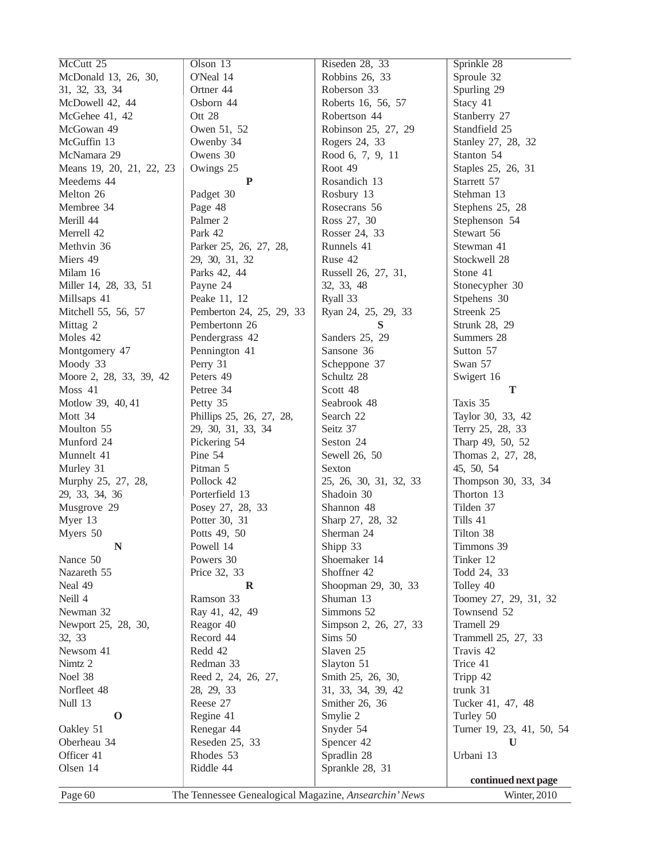| McCutt 25                | Olson 13                                              | Riseden 28, 33         | Sprinkle 28               |
|--------------------------|-------------------------------------------------------|------------------------|---------------------------|
| McDonald 13, 26, 30,     | O'Neal 14                                             | Robbins 26, 33         | Sproule 32                |
| 31, 32, 33, 34           | Ortner 44                                             | Roberson 33            | Spurling 29               |
| McDowell 42, 44          | Osborn 44                                             | Roberts 16, 56, 57     | Stacy 41                  |
| McGehee 41, 42           | Ott 28                                                | Robertson 44           | Stanberry 27              |
| McGowan 49               | Owen 51, 52                                           | Robinson 25, 27, 29    | Standfield 25             |
| McGuffin 13              | Owenby 34                                             | Rogers 24, 33          | Stanley 27, 28, 32        |
| McNamara 29              | Owens 30                                              | Rood 6, 7, 9, 11       | Stanton 54                |
| Means 19, 20, 21, 22, 23 | Owings 25                                             | Root 49                | Staples 25, 26, 31        |
| Meedems 44               | P                                                     | Rosandich 13           | Starrett 57               |
| Melton 26                | Padget 30                                             | Rosbury 13             | Stehman 13                |
| Membree 34               | Page 48                                               | Rosecrans 56           | Stephens 25, 28           |
| Merill 44                | Palmer <sub>2</sub>                                   | Ross 27, 30            | Stephenson 54             |
| Merrell 42               | Park 42                                               | Rosser 24, 33          | Stewart 56                |
| Methvin 36               | Parker 25, 26, 27, 28,                                | Runnels 41             | Stewman 41                |
| Miers 49                 | 29, 30, 31, 32                                        | Ruse 42                | Stockwell 28              |
| Milam 16                 | Parks 42, 44                                          | Russell 26, 27, 31,    | Stone 41                  |
| Miller 14, 28, 33, 51    | Payne 24                                              | 32, 33, 48             | Stonecypher 30            |
| Millsaps 41              | Peake 11, 12                                          | Ryall 33               | Stpehens 30               |
| Mitchell 55, 56, 57      | Pemberton 24, 25, 29, 33                              | Ryan 24, 25, 29, 33    | Streenk 25                |
| Mittag 2                 | Pembertonn 26                                         | S                      | Strunk 28, 29             |
| Moles 42                 | Pendergrass 42                                        | Sanders 25, 29         | Summers 28                |
| Montgomery 47            | Pennington 41                                         | Sansone 36             | Sutton 57                 |
| Moody 33                 | Perry 31                                              | Scheppone 37           | Swan 57                   |
| Moore 2, 28, 33, 39, 42  | Peters 49                                             | Schultz 28             | Swigert 16                |
| Moss 41                  | Petree 34                                             | Scott 48               | T                         |
| Motlow 39, 40, 41        | Petty 35                                              | Seabrook 48            | Taxis 35                  |
| Mott 34                  | Phillips 25, 26, 27, 28,                              | Search 22              | Taylor 30, 33, 42         |
| Moulton 55               | 29, 30, 31, 33, 34                                    | Seitz 37               | Terry 25, 28, 33          |
| Munford 24               | Pickering 54                                          | Seston 24              | Tharp 49, 50, 52          |
| Munnelt 41               | Pine 54                                               | Sewell 26, 50          | Thomas 2, 27, 28,         |
| Murley 31                | Pitman 5                                              | Sexton                 | 45, 50, 54                |
| Murphy 25, 27, 28,       | Pollock 42                                            | 25, 26, 30, 31, 32, 33 | Thompson 30, 33, 34       |
| 29, 33, 34, 36           | Porterfield 13                                        | Shadoin 30             | Thorton 13                |
| Musgrove 29              | Posey 27, 28, 33                                      | Shannon 48             | Tilden 37                 |
| Myer 13                  | Potter 30, 31                                         | Sharp 27, 28, 32       | Tills 41                  |
| Myers 50                 | Potts 49, 50                                          | Sherman 24             | Tilton 38                 |
| N                        | Powell 14                                             | Shipp 33               | Timmons 39                |
| Nance 50                 | Powers 30                                             | Shoemaker 14           | Tinker 12                 |
| Nazareth 55              | Price 32, 33                                          | Shoffner 42            | Todd 24, 33               |
| Neal 49                  | R                                                     | Shoopman 29, 30, 33    | Tolley 40                 |
| Neill 4                  | Ramson 33                                             | Shuman 13              | Toomey 27, 29, 31, 32     |
| Newman 32                | Ray 41, 42, 49                                        | Simmons 52             | Townsend 52               |
| Newport 25, 28, 30,      | Reagor 40                                             | Simpson 2, 26, 27, 33  | Tramell 29                |
| 32, 33                   | Record 44                                             | Sims 50                | Trammell 25, 27, 33       |
| Newsom 41                | Redd 42                                               | Slaven 25              | Travis 42                 |
| Nimtz 2                  | Redman 33                                             | Slayton 51             | Trice 41                  |
| Noel 38                  | Reed 2, 24, 26, 27,                                   | Smith 25, 26, 30,      | Tripp 42                  |
| Norfleet 48              | 28, 29, 33                                            | 31, 33, 34, 39, 42     | trunk 31                  |
| Null 13                  | Reese 27                                              | Smither 26, 36         | Tucker 41, 47, 48         |
| $\mathbf 0$              | Regine 41                                             | Smylie 2               | Turley 50                 |
| Oakley 51                | Renegar 44                                            | Snyder 54              | Turner 19, 23, 41, 50, 54 |
| Oberheau 34              | Reseden 25, 33                                        | Spencer 42             | U                         |
| Officer 41               | Rhodes 53                                             | Spradlin 28            | Urbani 13                 |
| Olsen 14                 | Riddle 44                                             | Sprankle 28, 31        |                           |
|                          |                                                       |                        | continued next page       |
| Page 60                  | The Tennessee Genealogical Magazine, Ansearchin' News |                        | Winter, 2010              |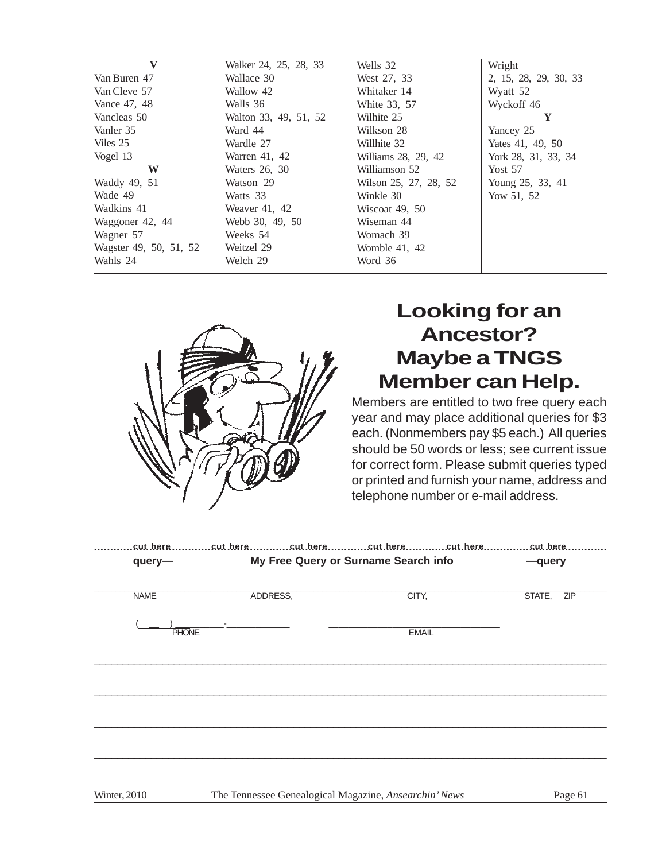| $\mathbf{V}$           | Walker 24, 25, 28, 33 | Wells 32              | Wright                |
|------------------------|-----------------------|-----------------------|-----------------------|
| Van Buren 47           | Wallace 30            | West 27, 33           | 2, 15, 28, 29, 30, 33 |
| Van Cleve 57           | Wallow 42             | Whitaker 14           | Wyatt 52              |
| Vance 47, 48           | Walls 36              | White 33, 57          | Wyckoff 46            |
| Vancleas 50            | Walton 33, 49, 51, 52 | Wilhite 25            | Y                     |
| Vanler 35              | Ward 44               | Wilkson 28            | Yancey 25             |
| Viles 25               | Wardle 27             | Willhite 32           | Yates 41, 49, 50      |
| Vogel 13               | Warren 41, 42         | Williams 28, 29, 42   | York 28, 31, 33, 34   |
| W                      | Waters 26, 30         | Williamson 52         | Yost $57$             |
| Waddy 49, 51           | Watson 29             | Wilson 25, 27, 28, 52 | Young 25, 33, 41      |
| Wade 49                | Watts 33              | Winkle 30             | Yow 51, 52            |
| Wadkins 41             | Weaver 41, 42         | Wiscoat 49, 50        |                       |
| Waggoner 42, 44        | Webb 30, 49, 50       | Wiseman 44            |                       |
| Wagner 57              | Weeks 54              | Womach 39             |                       |
| Wagster 49, 50, 51, 52 | Weitzel 29            | Womble 41, 42         |                       |
| Wahls 24               | Welch 29              | Word 36               |                       |
|                        |                       |                       |                       |



# **Looking for an Ancestor? Maybe a TNGS Member can Help.**

Members are entitled to two free query each year and may place additional queries for \$3 each. (Nonmembers pay \$5 each.) All queries should be 50 words or less; see current issue for correct form. Please submit queries typed or printed and furnish your name, address and telephone number or e-mail address.

| .cut.berecut.berecut.berecut.berecut.berecut.bere |          |                                      |               |
|---------------------------------------------------|----------|--------------------------------------|---------------|
| query-                                            |          | My Free Query or Surname Search info | -query        |
|                                                   |          |                                      |               |
| <b>NAME</b>                                       | ADDRESS, | CITY,                                | STATE,<br>ZIP |
|                                                   |          |                                      |               |
| <b>PHONE</b>                                      |          | <b>EMAIL</b>                         |               |
|                                                   |          |                                      |               |
|                                                   |          |                                      |               |
|                                                   |          |                                      |               |
|                                                   |          |                                      |               |
|                                                   |          |                                      |               |
|                                                   |          |                                      |               |
|                                                   |          |                                      |               |
|                                                   |          |                                      |               |
|                                                   |          |                                      |               |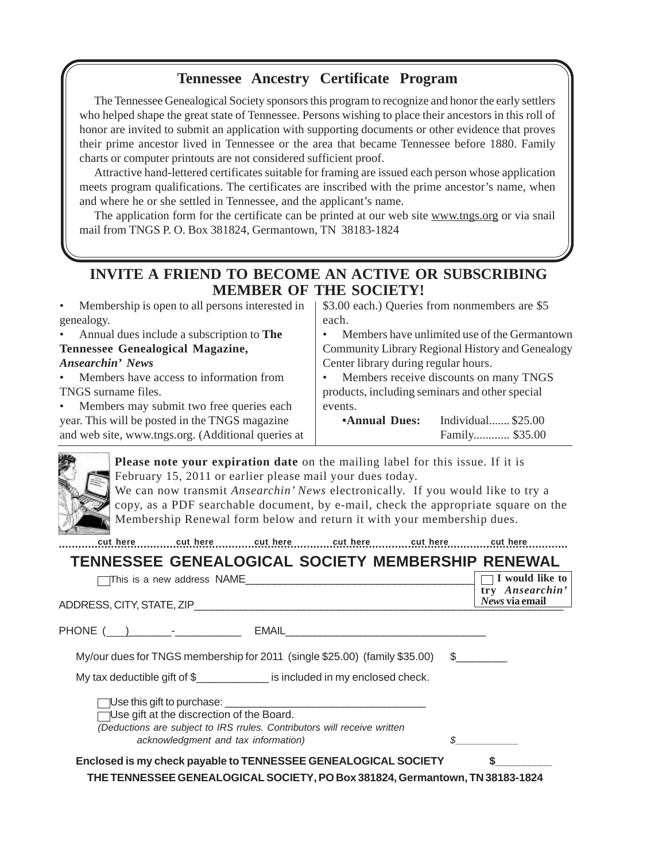### **Tennessee Ancestry Certificate Program**

The Tennessee Genealogical Society sponsors this program to recognize and honor the early settlers who helped shape the great state of Tennessee. Persons wishing to place their ancestors in this roll of honor are invited to submit an application with supporting documents or other evidence that proves their prime ancestor lived in Tennessee or the area that became Tennessee before 1880. Family charts or computer printouts are not considered sufficient proof.

Attractive hand-lettered certificates suitable for framing are issued each person whose application meets program qualifications. The certificates are inscribed with the prime ancestor's name, when and where he or she settled in Tennessee, and the applicant's name.

The application form for the certificate can be printed at our web site www.tngs.org or via snail mail from TNGS P. O. Box 381824, Germantown, TN 38183-1824

### **INVITE A FRIEND TO BECOME AN ACTIVE OR SUBSCRIBING MEMBER OF THE SOCIETY!**

| • Membership is open to all persons interested in    | \$3.00 each.) Queries from nonmembers are \$5       |  |
|------------------------------------------------------|-----------------------------------------------------|--|
| genealogy.                                           | each.                                               |  |
| • Annual dues include a subscription to The          | Members have unlimited use of the Germantown        |  |
| Tennessee Genealogical Magazine,                     | Community Library Regional History and Genealogy    |  |
| Ansearchin' News                                     | Center library during regular hours.                |  |
| Members have access to information from<br>$\bullet$ | Members receive discounts on many TNGS<br>$\bullet$ |  |
| TNGS surname files.                                  | products, including seminars and other special      |  |
| • Members may submit two free queries each           | events.                                             |  |
| year. This will be posted in the TNGS magazine       | Individual \$25.00<br><b>Annual Dues:</b>           |  |
| and web site, www.tngs.org. (Additional queries at   | Family \$35.00                                      |  |

**Please note your expiration date** on the mailing label for this issue. If it is February 15, 2011 or earlier please mail your dues today.

We can now transmit *Ansearchin' News* electronically. If you would like to try a copy, as a PDF searchable document, by e-mail, check the appropriate square on the Membership Renewal form below and return it with your membership dues.

**............................................................................................................................................................ cut here cut here cut here cut here cut here cut here**

#### **TENNESSEE GENEALOGICAL SOCIETY MEMBERSHIP RENEWAL**  $\Box$  This is a new address NAME  **I would like to**

| ADDRESS, CITY, STATE, ZIP | try Ansearchin'<br>News via email |
|---------------------------|-----------------------------------|
|                           |                                   |

PHONE ( )\_\_\_\_\_\_\_-\_\_\_\_\_\_\_\_\_\_\_ EMAIL\_\_\_\_\_\_\_\_\_\_\_\_\_\_\_\_\_\_\_\_\_\_\_\_\_\_\_\_\_\_\_\_\_\_\_

My/our dues for TNGS membership for 2011 (single  $$25.00$ ) (family  $$35.00$ )  $$$ 

My tax deductible gift of \$\_\_\_\_\_\_\_\_\_\_\_\_\_\_ is included in my enclosed check.

 $\Box$ Use this gift to purchase:

Use gift at the discrection of the Board. (Deductions are subject to IRS rrules. Contributors will receive written acknowledgment and tax information)

| ________ |
|----------|
|          |

### Enclosed is my check payable to TENNESSEE GENEALOGICAL SOCIETY

**THE TENNESSEE GENEALOGICAL SOCIETY, PO Box 381824, Germantown, TN 38183-1824**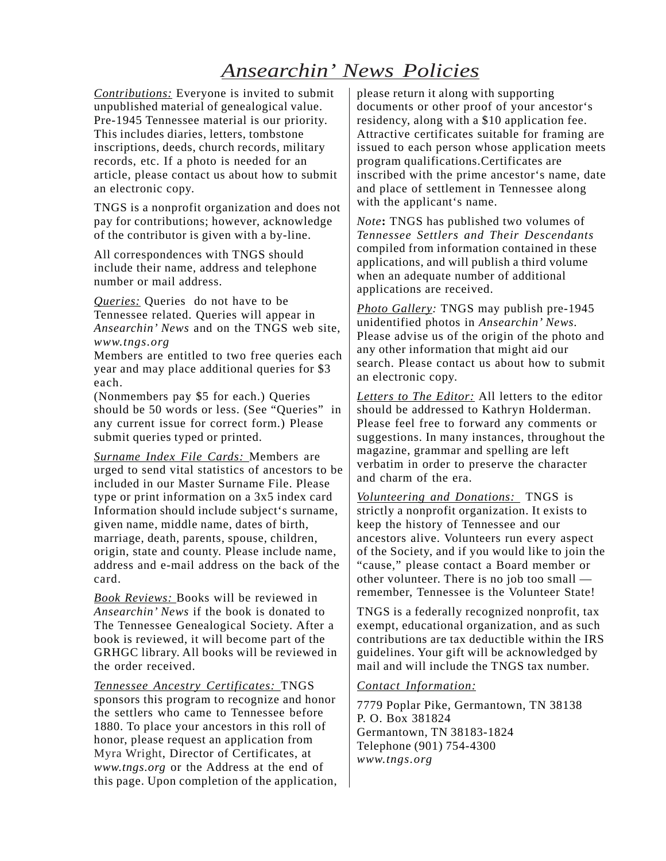### *Ansearchin' News Policies*

*Contributions:* Everyone is invited to submit unpublished material of genealogical value. Pre-1945 Tennessee material is our priority. This includes diaries, letters, tombstone inscriptions, deeds, church records, military records, etc. If a photo is needed for an article, please contact us about how to submit an electronic copy.

TNGS is a nonprofit organization and does not pay for contributions; however, acknowledge of the contributor is given with a by-line.

All correspondences with TNGS should include their name, address and telephone number or mail address.

*Queries:* Queries do not have to be Tennessee related. Queries will appear in *Ansearchin' News* and on the TNGS web site, *www.tngs.org*

Members are entitled to two free queries each year and may place additional queries for \$3 each.

(Nonmembers pay \$5 for each.) Queries should be 50 words or less. (See "Queries" in any current issue for correct form.) Please submit queries typed or printed.

*Surname Index File Cards:* Members are urged to send vital statistics of ancestors to be included in our Master Surname File. Please type or print information on a 3x5 index card Information should include subject's surname, given name, middle name, dates of birth, marriage, death, parents, spouse, children, origin, state and county. Please include name, address and e-mail address on the back of the card.

*Book Reviews:* Books will be reviewed in *Ansearchin' News* if the book is donated to The Tennessee Genealogical Society. After a book is reviewed, it will become part of the GRHGC library. All books will be reviewed in the order received.

*Tennessee Ancestry Certificates:* TNGS sponsors this program to recognize and honor the settlers who came to Tennessee before 1880. To place your ancestors in this roll of honor, please request an application from Myra Wright, Director of Certificates, at *www.tngs.org* or the Address at the end of this page. Upon completion of the application, please return it along with supporting documents or other proof of your ancestor's residency, along with a \$10 application fee. Attractive certificates suitable for framing are issued to each person whose application meets program qualifications.Certificates are inscribed with the prime ancestor's name, date and place of settlement in Tennessee along with the applicant's name.

*Note***:** TNGS has published two volumes of *Tennessee Settlers and Their Descendants* compiled from information contained in these applications, and will publish a third volume when an adequate number of additional applications are received.

*Photo Gallery:* TNGS may publish pre-1945 unidentified photos in *Ansearchin' News.* Please advise us of the origin of the photo and any other information that might aid our search. Please contact us about how to submit an electronic copy.

*Letters to The Editor:* All letters to the editor should be addressed to Kathryn Holderman. Please feel free to forward any comments or suggestions. In many instances, throughout the magazine, grammar and spelling are left verbatim in order to preserve the character and charm of the era.

*Volunteering and Donations:* TNGS is strictly a nonprofit organization. It exists to keep the history of Tennessee and our ancestors alive. Volunteers run every aspect of the Society, and if you would like to join the "cause," please contact a Board member or other volunteer. There is no job too small remember, Tennessee is the Volunteer State!

TNGS is a federally recognized nonprofit, tax exempt, educational organization, and as such contributions are tax deductible within the IRS guidelines. Your gift will be acknowledged by mail and will include the TNGS tax number.

#### *Contact Information:*

7779 Poplar Pike, Germantown, TN 38138 P. O. Box 381824 Germantown, TN 38183-1824 Telephone (901) 754-4300 *www.tngs.org*